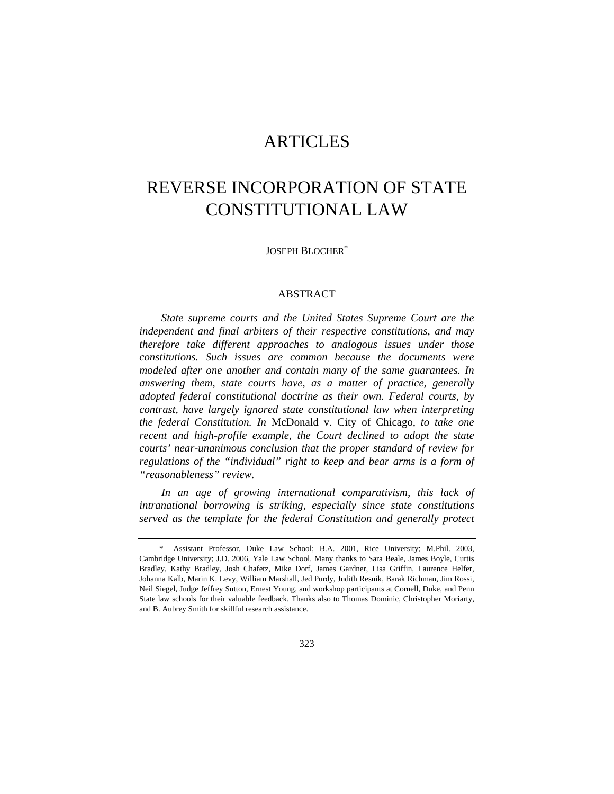# ARTICLES

# REVERSE INCORPORATION OF STATE CONSTITUTIONAL LAW

JOSEPH BLOCHER\*

#### ABSTRACT

*State supreme courts and the United States Supreme Court are the independent and final arbiters of their respective constitutions, and may therefore take different approaches to analogous issues under those constitutions. Such issues are common because the documents were modeled after one another and contain many of the same guarantees. In answering them, state courts have, as a matter of practice, generally adopted federal constitutional doctrine as their own. Federal courts, by contrast, have largely ignored state constitutional law when interpreting the federal Constitution. In* McDonald v. City of Chicago*, to take one recent and high-profile example, the Court declined to adopt the state courts' near-unanimous conclusion that the proper standard of review for regulations of the "individual" right to keep and bear arms is a form of "reasonableness" review.* 

*In an age of growing international comparativism, this lack of intranational borrowing is striking, especially since state constitutions served as the template for the federal Constitution and generally protect* 

 <sup>\*</sup> Assistant Professor, Duke Law School; B.A. 2001, Rice University; M.Phil. 2003, Cambridge University; J.D. 2006, Yale Law School. Many thanks to Sara Beale, James Boyle, Curtis Bradley, Kathy Bradley, Josh Chafetz, Mike Dorf, James Gardner, Lisa Griffin, Laurence Helfer, Johanna Kalb, Marin K. Levy, William Marshall, Jed Purdy, Judith Resnik, Barak Richman, Jim Rossi, Neil Siegel, Judge Jeffrey Sutton, Ernest Young, and workshop participants at Cornell, Duke, and Penn State law schools for their valuable feedback. Thanks also to Thomas Dominic, Christopher Moriarty, and B. Aubrey Smith for skillful research assistance.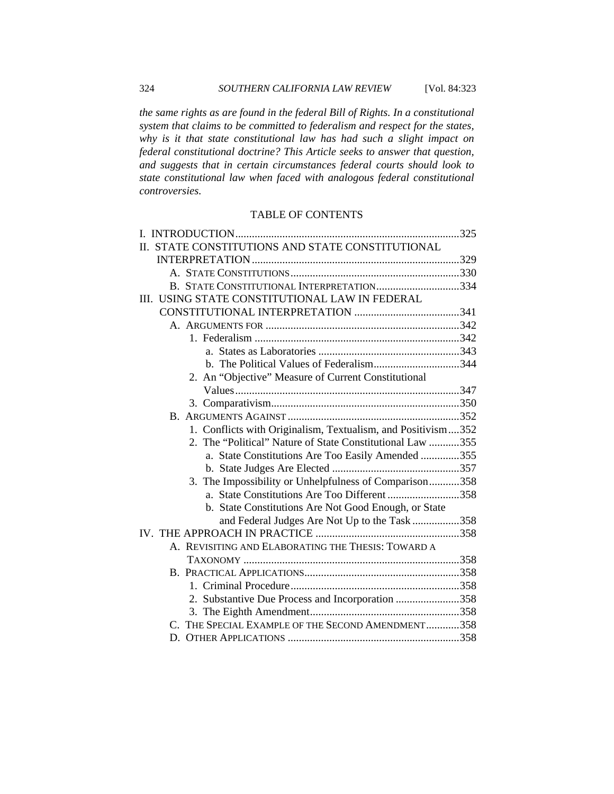*the same rights as are found in the federal Bill of Rights. In a constitutional system that claims to be committed to federalism and respect for the states, why is it that state constitutional law has had such a slight impact on federal constitutional doctrine? This Article seeks to answer that question, and suggests that in certain circumstances federal courts should look to state constitutional law when faced with analogous federal constitutional controversies.* 

# TABLE OF CONTENTS

| II. STATE CONSTITUTIONS AND STATE CONSTITUTIONAL             |  |
|--------------------------------------------------------------|--|
|                                                              |  |
|                                                              |  |
| B. STATE CONSTITUTIONAL INTERPRETATION334                    |  |
| III. USING STATE CONSTITUTIONAL LAW IN FEDERAL               |  |
|                                                              |  |
|                                                              |  |
|                                                              |  |
|                                                              |  |
| b. The Political Values of Federalism344                     |  |
| 2. An "Objective" Measure of Current Constitutional          |  |
|                                                              |  |
|                                                              |  |
|                                                              |  |
| 1. Conflicts with Originalism, Textualism, and Positivism352 |  |
| 2. The "Political" Nature of State Constitutional Law 355    |  |
| a. State Constitutions Are Too Easily Amended 355            |  |
|                                                              |  |
| The Impossibility or Unhelpfulness of Comparison358<br>3.    |  |
| a. State Constitutions Are Too Different 358                 |  |
| b. State Constitutions Are Not Good Enough, or State         |  |
| and Federal Judges Are Not Up to the Task 358                |  |
|                                                              |  |
| A. REVISITING AND ELABORATING THE THESIS: TOWARD A           |  |
|                                                              |  |
|                                                              |  |
|                                                              |  |
| 2. Substantive Due Process and Incorporation 358             |  |
|                                                              |  |
| C. THE SPECIAL EXAMPLE OF THE SECOND AMENDMENT358            |  |
|                                                              |  |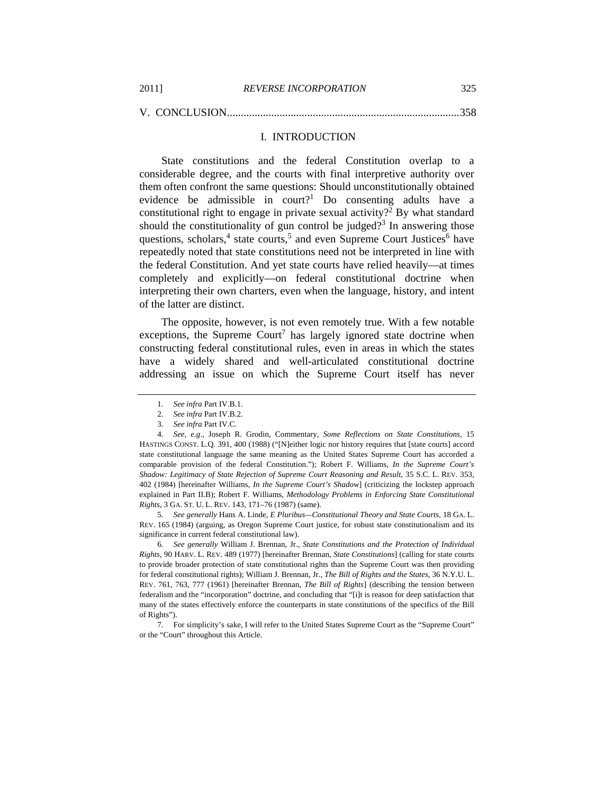| 2011] | <b>REVERSE INCORPORATION</b> | 325 |
|-------|------------------------------|-----|
|       |                              |     |

V. CONCLUSION....................................................................................358

#### I. INTRODUCTION

State constitutions and the federal Constitution overlap to a considerable degree, and the courts with final interpretive authority over them often confront the same questions: Should unconstitutionally obtained evidence be admissible in  $\text{court?}^1$  Do consenting adults have a constitutional right to engage in private sexual activity?<sup>2</sup> By what standard should the constitutionality of gun control be judged?<sup>3</sup> In answering those questions, scholars,<sup>4</sup> state courts,<sup>5</sup> and even Supreme Court Justices<sup>6</sup> have repeatedly noted that state constitutions need not be interpreted in line with the federal Constitution. And yet state courts have relied heavily—at times completely and explicitly—on federal constitutional doctrine when interpreting their own charters, even when the language, history, and intent of the latter are distinct.

The opposite, however, is not even remotely true. With a few notable exceptions, the Supreme Court<sup>7</sup> has largely ignored state doctrine when constructing federal constitutional rules, even in areas in which the states have a widely shared and well-articulated constitutional doctrine addressing an issue on which the Supreme Court itself has never

5*. See generally* Hans A. Linde, *E Pluribus—Constitutional Theory and State Courts*, 18 GA. L. REV. 165 (1984) (arguing, as Oregon Supreme Court justice, for robust state constitutionalism and its significance in current federal constitutional law).

6*. See generally* William J. Brennan, Jr., *State Constitutions and the Protection of Individual Rights*, 90 HARV. L. REV. 489 (1977) [hereinafter Brennan, *State Constitutions*] (calling for state courts to provide broader protection of state constitutional rights than the Supreme Court was then providing for federal constitutional rights); William J. Brennan, Jr., *The Bill of Rights and the States*, 36 N.Y.U. L. REV. 761, 763, 777 (1961) [hereinafter Brennan, *The Bill of Rights*] (describing the tension between federalism and the "incorporation" doctrine, and concluding that "[i]t is reason for deep satisfaction that many of the states effectively enforce the counterparts in state constitutions of the specifics of the Bill of Rights").

 7. For simplicity's sake, I will refer to the United States Supreme Court as the "Supreme Court" or the "Court" throughout this Article.

<sup>1</sup>*. See infra* Part IV.B.1.

<sup>2</sup>*. See infra* Part IV.B.2.

<sup>3</sup>*. See infra* Part IV.C.

<sup>4</sup>*. See, e.g*., Joseph R. Grodin, Commentary, *Some Reflections on State Constitutions*, 15 HASTINGS CONST. L.Q. 391, 400 (1988) ("[N]either logic nor history requires that [state courts] accord state constitutional language the same meaning as the United States Supreme Court has accorded a comparable provision of the federal Constitution."); Robert F. Williams, *In the Supreme Court's Shadow: Legitimacy of State Rejection of Supreme Court Reasoning and Result*, 35 S.C. L. REV. 353, 402 (1984) [hereinafter Williams, *In the Supreme Court's Shadow*] (criticizing the lockstep approach explained in Part II.B); Robert F. Williams, *Methodology Problems in Enforcing State Constitutional Rights*, 3 GA. ST. U. L. REV. 143, 171–76 (1987) (same).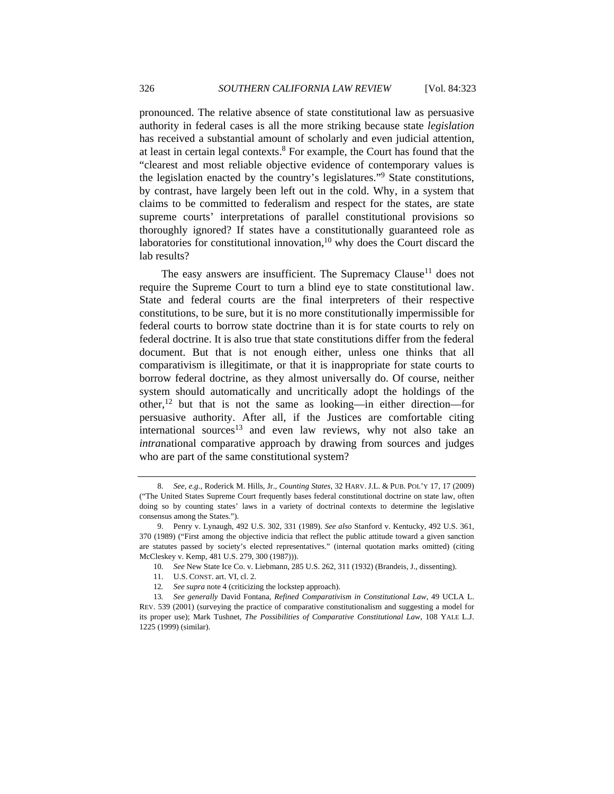pronounced. The relative absence of state constitutional law as persuasive authority in federal cases is all the more striking because state *legislation* has received a substantial amount of scholarly and even judicial attention, at least in certain legal contexts. $8$  For example, the Court has found that the "clearest and most reliable objective evidence of contemporary values is the legislation enacted by the country's legislatures."9 State constitutions, by contrast, have largely been left out in the cold. Why, in a system that claims to be committed to federalism and respect for the states, are state supreme courts' interpretations of parallel constitutional provisions so thoroughly ignored? If states have a constitutionally guaranteed role as laboratories for constitutional innovation, $10$  why does the Court discard the lab results?

The easy answers are insufficient. The Supremacy Clause<sup>11</sup> does not require the Supreme Court to turn a blind eye to state constitutional law. State and federal courts are the final interpreters of their respective constitutions, to be sure, but it is no more constitutionally impermissible for federal courts to borrow state doctrine than it is for state courts to rely on federal doctrine. It is also true that state constitutions differ from the federal document. But that is not enough either, unless one thinks that all comparativism is illegitimate, or that it is inappropriate for state courts to borrow federal doctrine, as they almost universally do. Of course, neither system should automatically and uncritically adopt the holdings of the other,<sup>12</sup> but that is not the same as looking—in either direction—for persuasive authority. After all, if the Justices are comfortable citing  $intermational sources<sup>13</sup>$  and even law reviews, why not also take an *intra*national comparative approach by drawing from sources and judges who are part of the same constitutional system?

<sup>8</sup>*. See, e.g.*, Roderick M. Hills, Jr., *Counting States*, 32 HARV. J.L. & PUB. POL'Y 17, 17 (2009) ("The United States Supreme Court frequently bases federal constitutional doctrine on state law, often doing so by counting states' laws in a variety of doctrinal contexts to determine the legislative consensus among the States.").

 <sup>9.</sup> Penry v. Lynaugh, 492 U.S. 302, 331 (1989). *See also* Stanford v. Kentucky, 492 U.S. 361, 370 (1989) ("First among the objective indicia that reflect the public attitude toward a given sanction are statutes passed by society's elected representatives." (internal quotation marks omitted) (citing McCleskey v. Kemp, 481 U.S. 279, 300 (1987))).

<sup>10</sup>*. See* New State Ice Co. v. Liebmann, 285 U.S. 262, 311 (1932) (Brandeis, J., dissenting).

 <sup>11.</sup> U.S. CONST. art. VI, cl. 2.

<sup>12</sup>*. See supra* note 4 (criticizing the lockstep approach).

<sup>13</sup>*. See generally* David Fontana, *Refined Comparativism in Constitutional Law*, 49 UCLA L. REV. 539 (2001) (surveying the practice of comparative constitutionalism and suggesting a model for its proper use); Mark Tushnet, *The Possibilities of Comparative Constitutional Law*, 108 YALE L.J. 1225 (1999) (similar).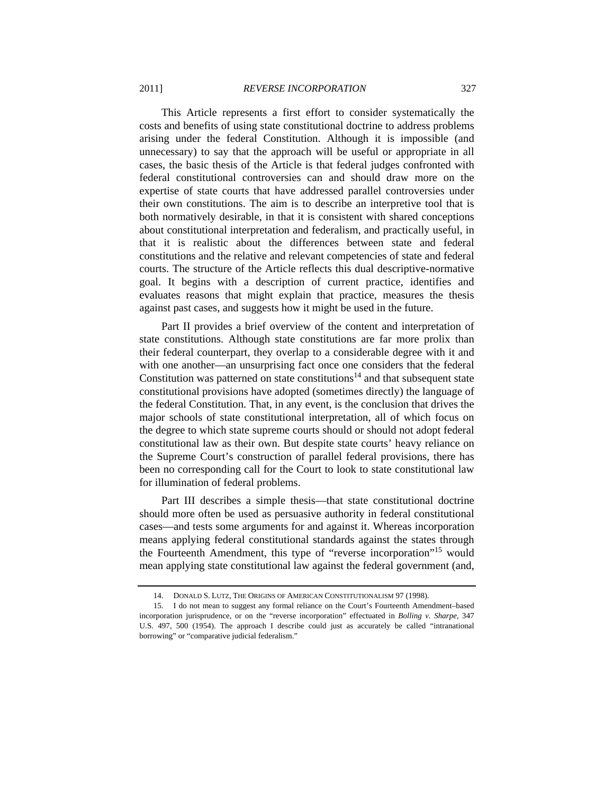This Article represents a first effort to consider systematically the costs and benefits of using state constitutional doctrine to address problems arising under the federal Constitution. Although it is impossible (and unnecessary) to say that the approach will be useful or appropriate in all cases, the basic thesis of the Article is that federal judges confronted with federal constitutional controversies can and should draw more on the expertise of state courts that have addressed parallel controversies under their own constitutions. The aim is to describe an interpretive tool that is both normatively desirable, in that it is consistent with shared conceptions about constitutional interpretation and federalism, and practically useful, in that it is realistic about the differences between state and federal constitutions and the relative and relevant competencies of state and federal courts. The structure of the Article reflects this dual descriptive-normative goal. It begins with a description of current practice, identifies and evaluates reasons that might explain that practice, measures the thesis against past cases, and suggests how it might be used in the future.

Part II provides a brief overview of the content and interpretation of state constitutions. Although state constitutions are far more prolix than their federal counterpart, they overlap to a considerable degree with it and with one another—an unsurprising fact once one considers that the federal Constitution was patterned on state constitutions<sup>14</sup> and that subsequent state constitutional provisions have adopted (sometimes directly) the language of the federal Constitution. That, in any event, is the conclusion that drives the major schools of state constitutional interpretation, all of which focus on the degree to which state supreme courts should or should not adopt federal constitutional law as their own. But despite state courts' heavy reliance on the Supreme Court's construction of parallel federal provisions, there has been no corresponding call for the Court to look to state constitutional law for illumination of federal problems.

Part III describes a simple thesis—that state constitutional doctrine should more often be used as persuasive authority in federal constitutional cases—and tests some arguments for and against it. Whereas incorporation means applying federal constitutional standards against the states through the Fourteenth Amendment, this type of "reverse incorporation"15 would mean applying state constitutional law against the federal government (and,

 <sup>14.</sup> DONALD S. LUTZ, THE ORIGINS OF AMERICAN CONSTITUTIONALISM 97 (1998).

 <sup>15.</sup> I do not mean to suggest any formal reliance on the Court's Fourteenth Amendment–based incorporation jurisprudence, or on the "reverse incorporation" effectuated in *Bolling v. Sharpe*, 347 U.S. 497, 500 (1954). The approach I describe could just as accurately be called "intranational borrowing" or "comparative judicial federalism."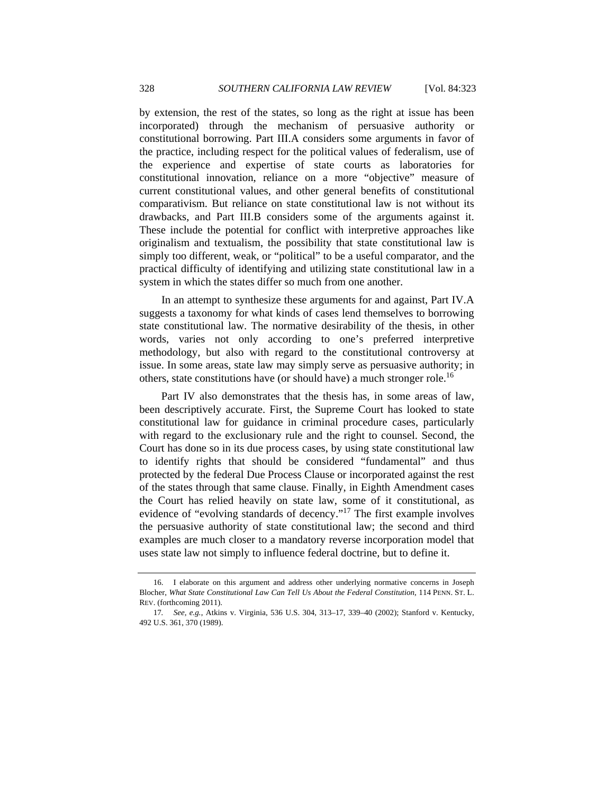by extension, the rest of the states, so long as the right at issue has been incorporated) through the mechanism of persuasive authority or constitutional borrowing. Part III.A considers some arguments in favor of the practice, including respect for the political values of federalism, use of the experience and expertise of state courts as laboratories for constitutional innovation, reliance on a more "objective" measure of current constitutional values, and other general benefits of constitutional comparativism. But reliance on state constitutional law is not without its drawbacks, and Part III.B considers some of the arguments against it. These include the potential for conflict with interpretive approaches like originalism and textualism, the possibility that state constitutional law is simply too different, weak, or "political" to be a useful comparator, and the practical difficulty of identifying and utilizing state constitutional law in a system in which the states differ so much from one another.

In an attempt to synthesize these arguments for and against, Part IV.A suggests a taxonomy for what kinds of cases lend themselves to borrowing state constitutional law. The normative desirability of the thesis, in other words, varies not only according to one's preferred interpretive methodology, but also with regard to the constitutional controversy at issue. In some areas, state law may simply serve as persuasive authority; in others, state constitutions have (or should have) a much stronger role.<sup>16</sup>

Part IV also demonstrates that the thesis has, in some areas of law, been descriptively accurate. First, the Supreme Court has looked to state constitutional law for guidance in criminal procedure cases, particularly with regard to the exclusionary rule and the right to counsel. Second, the Court has done so in its due process cases, by using state constitutional law to identify rights that should be considered "fundamental" and thus protected by the federal Due Process Clause or incorporated against the rest of the states through that same clause. Finally, in Eighth Amendment cases the Court has relied heavily on state law, some of it constitutional, as evidence of "evolving standards of decency."<sup>17</sup> The first example involves the persuasive authority of state constitutional law; the second and third examples are much closer to a mandatory reverse incorporation model that uses state law not simply to influence federal doctrine, but to define it.

 <sup>16.</sup> I elaborate on this argument and address other underlying normative concerns in Joseph Blocher, *What State Constitutional Law Can Tell Us About the Federal Constitution*, 114 PENN. ST. L. REV. (forthcoming 2011).

<sup>17</sup>*. See, e.g.*, Atkins v. Virginia, 536 U.S. 304, 313–17, 339–40 (2002); Stanford v. Kentucky, 492 U.S. 361, 370 (1989).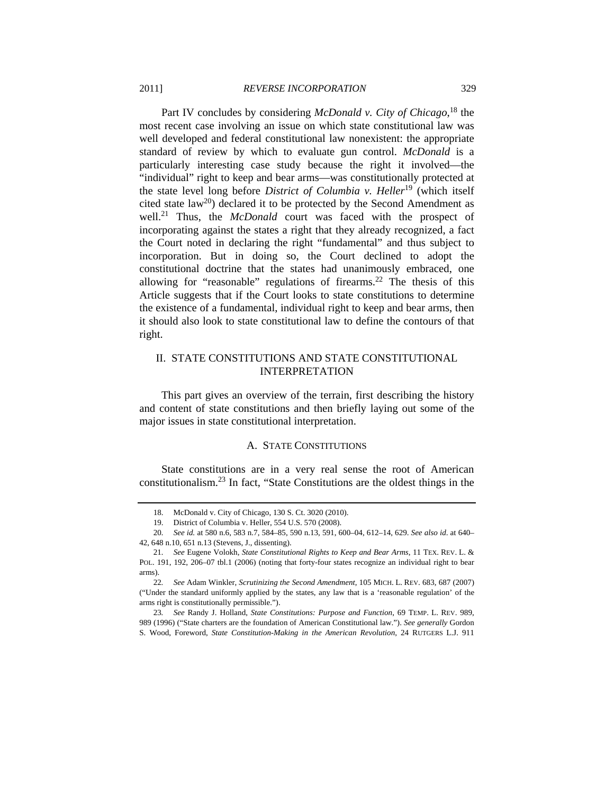Part IV concludes by considering *McDonald v. City of Chicago*, 18 the most recent case involving an issue on which state constitutional law was well developed and federal constitutional law nonexistent: the appropriate standard of review by which to evaluate gun control. *McDonald* is a particularly interesting case study because the right it involved—the "individual" right to keep and bear arms—was constitutionally protected at the state level long before *District of Columbia v. Heller*19 (which itself cited state  $law^{20}$ ) declared it to be protected by the Second Amendment as well.<sup>21</sup> Thus, the *McDonald* court was faced with the prospect of incorporating against the states a right that they already recognized, a fact the Court noted in declaring the right "fundamental" and thus subject to incorporation. But in doing so, the Court declined to adopt the constitutional doctrine that the states had unanimously embraced, one allowing for "reasonable" regulations of firearms.<sup>22</sup> The thesis of this Article suggests that if the Court looks to state constitutions to determine the existence of a fundamental, individual right to keep and bear arms, then it should also look to state constitutional law to define the contours of that right.

# II. STATE CONSTITUTIONS AND STATE CONSTITUTIONAL INTERPRETATION

This part gives an overview of the terrain, first describing the history and content of state constitutions and then briefly laying out some of the major issues in state constitutional interpretation.

#### A. STATE CONSTITUTIONS

State constitutions are in a very real sense the root of American constitutionalism.23 In fact, "State Constitutions are the oldest things in the

23*. See* Randy J. Holland, *State Constitutions: Purpose and Function*, 69 TEMP. L. REV. 989, 989 (1996) ("State charters are the foundation of American Constitutional law."). *See generally* Gordon S. Wood, Foreword, *State Constitution-Making in the American Revolution*, 24 RUTGERS L.J. 911

 <sup>18.</sup> McDonald v. City of Chicago, 130 S. Ct. 3020 (2010).

 <sup>19.</sup> District of Columbia v. Heller, 554 U.S. 570 (2008).

<sup>20</sup>*. See id.* at 580 n.6, 583 n.7, 584–85, 590 n.13, 591, 600–04, 612–14, 629. *See also id*. at 640– 42, 648 n.10, 651 n.13 (Stevens, J., dissenting).

<sup>21</sup>*. See* Eugene Volokh, *State Constitutional Rights to Keep and Bear Arms*, 11 TEX. REV. L. & POL. 191, 192, 206–07 tbl.1 (2006) (noting that forty-four states recognize an individual right to bear arms).

<sup>22</sup>*. See* Adam Winkler, *Scrutinizing the Second Amendment*, 105 MICH. L. REV. 683, 687 (2007) ("Under the standard uniformly applied by the states, any law that is a 'reasonable regulation' of the arms right is constitutionally permissible.").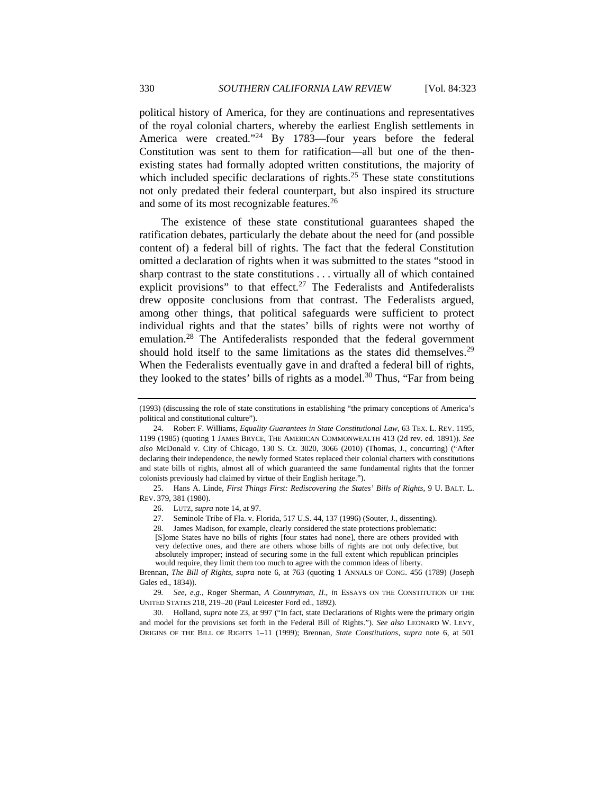political history of America, for they are continuations and representatives of the royal colonial charters, whereby the earliest English settlements in America were created."<sup>24</sup> By 1783—four years before the federal Constitution was sent to them for ratification—all but one of the thenexisting states had formally adopted written constitutions, the majority of which included specific declarations of rights.<sup>25</sup> These state constitutions not only predated their federal counterpart, but also inspired its structure and some of its most recognizable features.26

The existence of these state constitutional guarantees shaped the ratification debates, particularly the debate about the need for (and possible content of) a federal bill of rights. The fact that the federal Constitution omitted a declaration of rights when it was submitted to the states "stood in sharp contrast to the state constitutions . . . virtually all of which contained explicit provisions" to that effect.<sup>27</sup> The Federalists and Antifederalists drew opposite conclusions from that contrast. The Federalists argued, among other things, that political safeguards were sufficient to protect individual rights and that the states' bills of rights were not worthy of emulation.<sup>28</sup> The Antifederalists responded that the federal government should hold itself to the same limitations as the states did themselves.<sup>29</sup> When the Federalists eventually gave in and drafted a federal bill of rights, they looked to the states' bills of rights as a model.<sup>30</sup> Thus, "Far from being

 25. Hans A. Linde, *First Things First: Rediscovering the States' Bills of Rights*, 9 U. BALT. L. REV. 379, 381 (1980).

27. Seminole Tribe of Fla. v. Florida, 517 U.S. 44, 137 (1996) (Souter, J., dissenting).

28. James Madison, for example, clearly considered the state protections problematic:

[S]ome States have no bills of rights [four states had none], there are others provided with very defective ones, and there are others whose bills of rights are not only defective, but absolutely improper; instead of securing some in the full extent which republican principles would require, they limit them too much to agree with the common ideas of liberty.

Brennan, *The Bill of Rights*, *supra* note 6, at 763 (quoting 1 ANNALS OF CONG. 456 (1789) (Joseph Gales ed., 1834)).

29*. See, e.g.*, Roger Sherman, *A Countryman, II*., *in* ESSAYS ON THE CONSTITUTION OF THE UNITED STATES 218, 219–20 (Paul Leicester Ford ed., 1892).

 30. Holland, *supra* note 23, at 997 ("In fact, state Declarations of Rights were the primary origin and model for the provisions set forth in the Federal Bill of Rights."). *See also* LEONARD W. LEVY, ORIGINS OF THE BILL OF RIGHTS 1–11 (1999); Brennan, *State Constitutions*, *supra* note 6, at 501

<sup>(1993) (</sup>discussing the role of state constitutions in establishing "the primary conceptions of America's political and constitutional culture").

 <sup>24.</sup> Robert F. Williams, *Equality Guarantees in State Constitutional Law*, 63 TEX. L. REV. 1195, 1199 (1985) (quoting 1 JAMES BRYCE, THE AMERICAN COMMONWEALTH 413 (2d rev. ed. 1891)). *See also* McDonald v. City of Chicago, 130 S. Ct. 3020, 3066 (2010) (Thomas, J., concurring) ("After declaring their independence, the newly formed States replaced their colonial charters with constitutions and state bills of rights, almost all of which guaranteed the same fundamental rights that the former colonists previously had claimed by virtue of their English heritage.").

 <sup>26.</sup> LUTZ, *supra* note 14, at 97.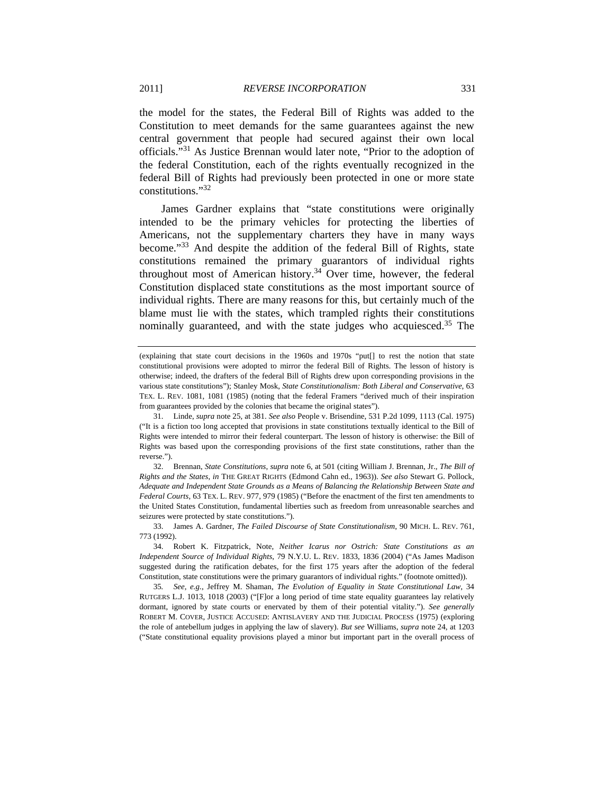the model for the states, the Federal Bill of Rights was added to the Constitution to meet demands for the same guarantees against the new central government that people had secured against their own local officials."31 As Justice Brennan would later note, "Prior to the adoption of the federal Constitution, each of the rights eventually recognized in the federal Bill of Rights had previously been protected in one or more state constitutions."<sup>32</sup>

James Gardner explains that "state constitutions were originally intended to be the primary vehicles for protecting the liberties of Americans, not the supplementary charters they have in many ways become."33 And despite the addition of the federal Bill of Rights, state constitutions remained the primary guarantors of individual rights throughout most of American history.<sup>34</sup> Over time, however, the federal Constitution displaced state constitutions as the most important source of individual rights. There are many reasons for this, but certainly much of the blame must lie with the states, which trampled rights their constitutions nominally guaranteed, and with the state judges who acquiesced.<sup>35</sup> The

 32. Brennan, *State Constitutions*, *supra* note 6, at 501 (citing William J. Brennan, Jr., *The Bill of Rights and the States*, *in* THE GREAT RIGHTS (Edmond Cahn ed., 1963)). *See also* Stewart G. Pollock, *Adequate and Independent State Grounds as a Means of Balancing the Relationship Between State and Federal Courts*, 63 TEX. L. REV. 977, 979 (1985) ("Before the enactment of the first ten amendments to the United States Constitution, fundamental liberties such as freedom from unreasonable searches and seizures were protected by state constitutions.").

35*. See, e.g.*, Jeffrey M. Shaman, *The Evolution of Equality in State Constitutional Law*, 34 RUTGERS L.J. 1013, 1018 (2003) ("[F]or a long period of time state equality guarantees lay relatively dormant, ignored by state courts or enervated by them of their potential vitality."). *See generally* ROBERT M. COVER, JUSTICE ACCUSED: ANTISLAVERY AND THE JUDICIAL PROCESS (1975) (exploring the role of antebellum judges in applying the law of slavery). *But see* Williams, *supra* note 24, at 1203 ("State constitutional equality provisions played a minor but important part in the overall process of

<sup>(</sup>explaining that state court decisions in the 1960s and 1970s "put[] to rest the notion that state constitutional provisions were adopted to mirror the federal Bill of Rights. The lesson of history is otherwise; indeed, the drafters of the federal Bill of Rights drew upon corresponding provisions in the various state constitutions"); Stanley Mosk, *State Constitutionalism: Both Liberal and Conservative*, 63 TEX. L. REV. 1081, 1081 (1985) (noting that the federal Framers "derived much of their inspiration from guarantees provided by the colonies that became the original states").

 <sup>31.</sup> Linde, *supra* note 25, at 381. *See also* People v. Brisendine, 531 P.2d 1099, 1113 (Cal. 1975) ("It is a fiction too long accepted that provisions in state constitutions textually identical to the Bill of Rights were intended to mirror their federal counterpart. The lesson of history is otherwise: the Bill of Rights was based upon the corresponding provisions of the first state constitutions, rather than the reverse.").

 <sup>33.</sup> James A. Gardner, *The Failed Discourse of State Constitutionalism*, 90 MICH. L. REV. 761, 773 (1992).

 <sup>34.</sup> Robert K. Fitzpatrick, Note, *Neither Icarus nor Ostrich: State Constitutions as an Independent Source of Individual Rights*, 79 N.Y.U. L. REV. 1833, 1836 (2004) ("As James Madison suggested during the ratification debates, for the first 175 years after the adoption of the federal Constitution, state constitutions were the primary guarantors of individual rights." (footnote omitted)).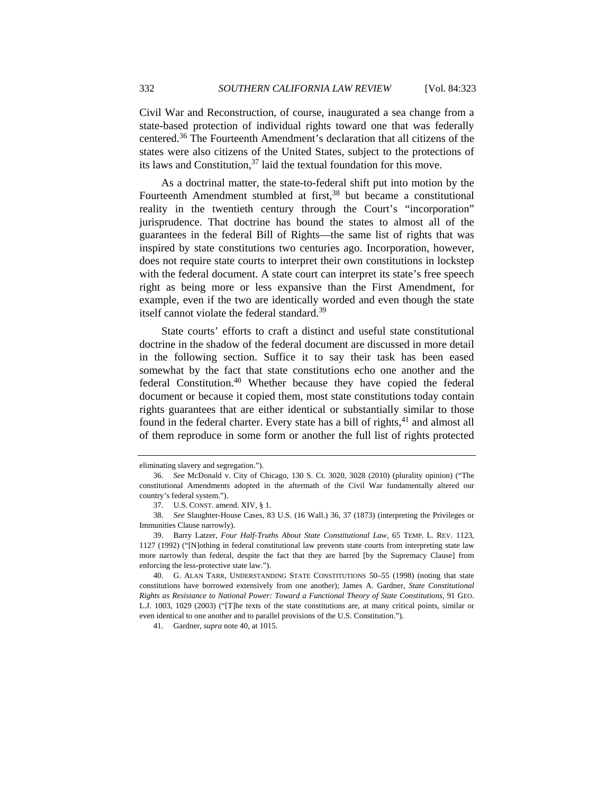Civil War and Reconstruction, of course, inaugurated a sea change from a state-based protection of individual rights toward one that was federally centered.36 The Fourteenth Amendment's declaration that all citizens of the states were also citizens of the United States, subject to the protections of its laws and Constitution,  $37$  laid the textual foundation for this move.

As a doctrinal matter, the state-to-federal shift put into motion by the Fourteenth Amendment stumbled at first, $38$  but became a constitutional reality in the twentieth century through the Court's "incorporation" jurisprudence. That doctrine has bound the states to almost all of the guarantees in the federal Bill of Rights—the same list of rights that was inspired by state constitutions two centuries ago. Incorporation, however, does not require state courts to interpret their own constitutions in lockstep with the federal document. A state court can interpret its state's free speech right as being more or less expansive than the First Amendment, for example, even if the two are identically worded and even though the state itself cannot violate the federal standard.<sup>39</sup>

State courts' efforts to craft a distinct and useful state constitutional doctrine in the shadow of the federal document are discussed in more detail in the following section. Suffice it to say their task has been eased somewhat by the fact that state constitutions echo one another and the federal Constitution.40 Whether because they have copied the federal document or because it copied them, most state constitutions today contain rights guarantees that are either identical or substantially similar to those found in the federal charter. Every state has a bill of rights, $41$  and almost all of them reproduce in some form or another the full list of rights protected

eliminating slavery and segregation.").

<sup>36</sup>*. See* McDonald v. City of Chicago, 130 S. Ct. 3020, 3028 (2010) (plurality opinion) ("The constitutional Amendments adopted in the aftermath of the Civil War fundamentally altered our country's federal system.").

 <sup>37.</sup> U.S. CONST. amend. XIV, § 1.

 <sup>38.</sup> *See* Slaughter-House Cases, 83 U.S. (16 Wall.) 36, 37 (1873) (interpreting the Privileges or Immunities Clause narrowly).

 <sup>39.</sup> Barry Latzer, *Four Half-Truths About State Constitutional Law*, 65 TEMP. L. REV. 1123, 1127 (1992) ("[N]othing in federal constitutional law prevents state courts from interpreting state law more narrowly than federal, despite the fact that they are barred [by the Supremacy Clause] from enforcing the less-protective state law.").

 <sup>40.</sup> G. ALAN TARR, UNDERSTANDING STATE CONSTITUTIONS 50–55 (1998) (noting that state constitutions have borrowed extensively from one another); James A. Gardner, *State Constitutional Rights as Resistance to National Power: Toward a Functional Theory of State Constitutions*, 91 GEO. L.J. 1003, 1029 (2003) ("[T]he texts of the state constitutions are, at many critical points, similar or even identical to one another and to parallel provisions of the U.S. Constitution.").

 <sup>41.</sup> Gardner, *supra* note 40, at 1015.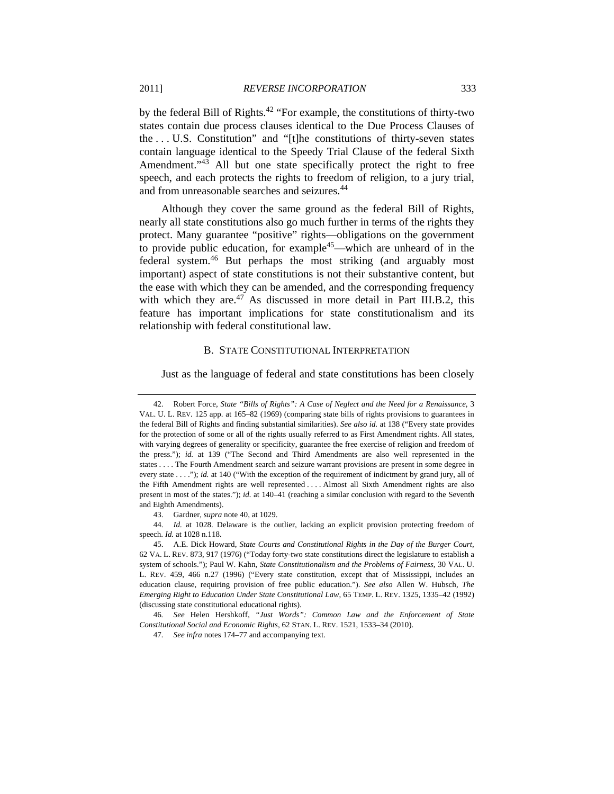by the federal Bill of Rights.42 "For example, the constitutions of thirty-two states contain due process clauses identical to the Due Process Clauses of the . . . U.S. Constitution" and "[t]he constitutions of thirty-seven states contain language identical to the Speedy Trial Clause of the federal Sixth Amendment."<sup>43</sup> All but one state specifically protect the right to free speech, and each protects the rights to freedom of religion, to a jury trial, and from unreasonable searches and seizures.<sup>44</sup>

Although they cover the same ground as the federal Bill of Rights, nearly all state constitutions also go much further in terms of the rights they protect. Many guarantee "positive" rights—obligations on the government to provide public education, for example<sup>45</sup>—which are unheard of in the federal system.46 But perhaps the most striking (and arguably most important) aspect of state constitutions is not their substantive content, but the ease with which they can be amended, and the corresponding frequency with which they are. $47$  As discussed in more detail in Part III.B.2, this feature has important implications for state constitutionalism and its relationship with federal constitutional law.

# B. STATE CONSTITUTIONAL INTERPRETATION

Just as the language of federal and state constitutions has been closely

43. Gardner, *supra* note 40, at 1029.

44*. Id.* at 1028. Delaware is the outlier, lacking an explicit provision protecting freedom of speech. *Id.* at 1028 n.118.

 <sup>42.</sup> Robert Force, *State "Bills of Rights": A Case of Neglect and the Need for a Renaissance*, 3 VAL. U. L. REV. 125 app. at 165–82 (1969) (comparing state bills of rights provisions to guarantees in the federal Bill of Rights and finding substantial similarities). *See also id.* at 138 ("Every state provides for the protection of some or all of the rights usually referred to as First Amendment rights. All states, with varying degrees of generality or specificity, guarantee the free exercise of religion and freedom of the press."); *id.* at 139 ("The Second and Third Amendments are also well represented in the states . . . . The Fourth Amendment search and seizure warrant provisions are present in some degree in every state . . . ."); *id.* at 140 ("With the exception of the requirement of indictment by grand jury, all of the Fifth Amendment rights are well represented . . . . Almost all Sixth Amendment rights are also present in most of the states."); *id.* at 140–41 (reaching a similar conclusion with regard to the Seventh and Eighth Amendments).

 <sup>45.</sup> A.E. Dick Howard, *State Courts and Constitutional Rights in the Day of the Burger Court*, 62 VA. L. REV. 873, 917 (1976) ("Today forty-two state constitutions direct the legislature to establish a system of schools."); Paul W. Kahn, *State Constitutionalism and the Problems of Fairness*, 30 VAL. U. L. REV. 459, 466 n.27 (1996) ("Every state constitution, except that of Mississippi, includes an education clause, requiring provision of free public education."). *See also* Allen W. Hubsch, *The Emerging Right to Education Under State Constitutional Law*, 65 TEMP. L. REV. 1325, 1335–42 (1992) (discussing state constitutional educational rights).

<sup>46</sup>*. See* Helen Hershkoff, *"Just Words": Common Law and the Enforcement of State Constitutional Social and Economic Rights*, 62 STAN. L. REV. 1521, 1533–34 (2010).

<sup>47</sup>*. See infra* notes 174–77 and accompanying text.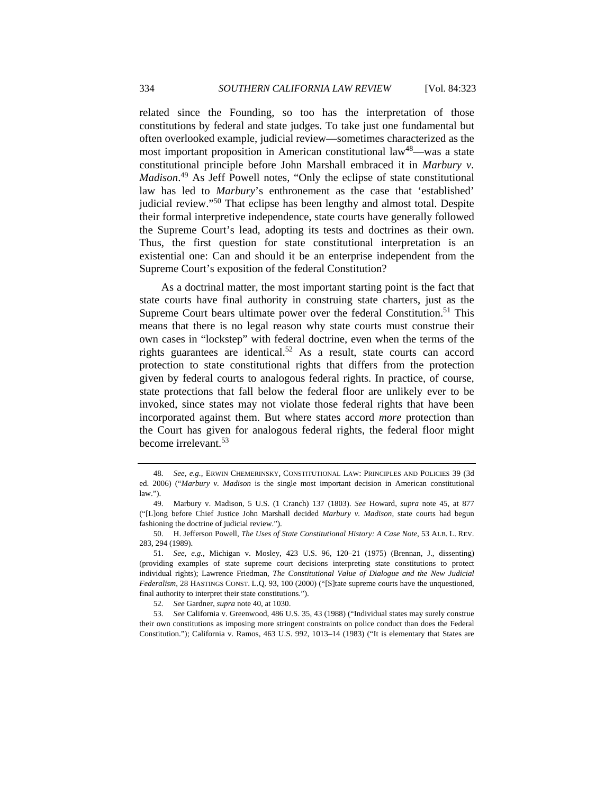related since the Founding, so too has the interpretation of those constitutions by federal and state judges. To take just one fundamental but often overlooked example, judicial review—sometimes characterized as the most important proposition in American constitutional law<sup>48</sup>—was a state constitutional principle before John Marshall embraced it in *Marbury v. Madison*. 49 As Jeff Powell notes, "Only the eclipse of state constitutional law has led to *Marbury*'s enthronement as the case that 'established' judicial review."50 That eclipse has been lengthy and almost total. Despite their formal interpretive independence, state courts have generally followed the Supreme Court's lead, adopting its tests and doctrines as their own. Thus, the first question for state constitutional interpretation is an existential one: Can and should it be an enterprise independent from the Supreme Court's exposition of the federal Constitution?

As a doctrinal matter, the most important starting point is the fact that state courts have final authority in construing state charters, just as the Supreme Court bears ultimate power over the federal Constitution.<sup>51</sup> This means that there is no legal reason why state courts must construe their own cases in "lockstep" with federal doctrine, even when the terms of the rights guarantees are identical.52 As a result, state courts can accord protection to state constitutional rights that differs from the protection given by federal courts to analogous federal rights. In practice, of course, state protections that fall below the federal floor are unlikely ever to be invoked, since states may not violate those federal rights that have been incorporated against them. But where states accord *more* protection than the Court has given for analogous federal rights, the federal floor might become irrelevant.<sup>53</sup>

<sup>48</sup>*. See, e.g.*, ERWIN CHEMERINSKY, CONSTITUTIONAL LAW: PRINCIPLES AND POLICIES 39 (3d ed. 2006) ("*Marbury v. Madison* is the single most important decision in American constitutional law.").

 <sup>49.</sup> Marbury v. Madison, 5 U.S. (1 Cranch) 137 (1803). *See* Howard, *supra* note 45, at 877 ("[L]ong before Chief Justice John Marshall decided *Marbury v. Madison*, state courts had begun fashioning the doctrine of judicial review.").

 <sup>50.</sup> H. Jefferson Powell, *The Uses of State Constitutional History: A Case Note*, 53 ALB. L. REV. 283, 294 (1989).

 <sup>51.</sup> *See, e.g.*, Michigan v. Mosley, 423 U.S. 96, 120–21 (1975) (Brennan, J., dissenting) (providing examples of state supreme court decisions interpreting state constitutions to protect individual rights); Lawrence Friedman, *The Constitutional Value of Dialogue and the New Judicial Federalism*, 28 HASTINGS CONST. L.Q. 93, 100 (2000) ("[S]tate supreme courts have the unquestioned, final authority to interpret their state constitutions.").

<sup>52</sup>*. See* Gardner, *supra* note 40, at 1030.

<sup>53</sup>*. See* California v. Greenwood, 486 U.S. 35, 43 (1988) ("Individual states may surely construe their own constitutions as imposing more stringent constraints on police conduct than does the Federal Constitution."); California v. Ramos, 463 U.S. 992, 1013–14 (1983) ("It is elementary that States are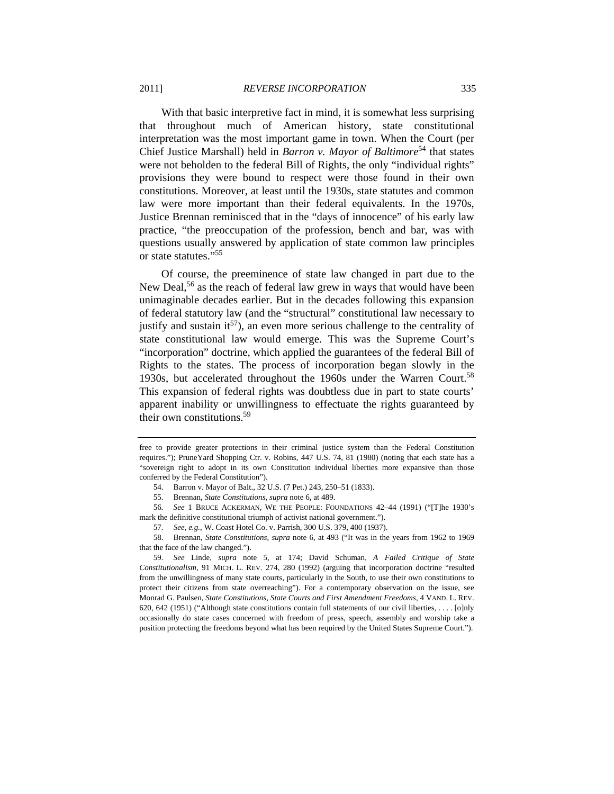With that basic interpretive fact in mind, it is somewhat less surprising that throughout much of American history, state constitutional interpretation was the most important game in town. When the Court (per Chief Justice Marshall) held in *Barron v. Mayor of Baltimore*<sup>54</sup> that states were not beholden to the federal Bill of Rights, the only "individual rights" provisions they were bound to respect were those found in their own constitutions. Moreover, at least until the 1930s, state statutes and common law were more important than their federal equivalents. In the 1970s, Justice Brennan reminisced that in the "days of innocence" of his early law practice, "the preoccupation of the profession, bench and bar, was with questions usually answered by application of state common law principles or state statutes."<sup>55</sup>

Of course, the preeminence of state law changed in part due to the New Deal,<sup>56</sup> as the reach of federal law grew in ways that would have been unimaginable decades earlier. But in the decades following this expansion of federal statutory law (and the "structural" constitutional law necessary to justify and sustain it<sup>57</sup>), an even more serious challenge to the centrality of state constitutional law would emerge. This was the Supreme Court's "incorporation" doctrine, which applied the guarantees of the federal Bill of Rights to the states. The process of incorporation began slowly in the 1930s, but accelerated throughout the 1960s under the Warren Court.<sup>58</sup> This expansion of federal rights was doubtless due in part to state courts' apparent inability or unwillingness to effectuate the rights guaranteed by their own constitutions.<sup>59</sup>

free to provide greater protections in their criminal justice system than the Federal Constitution requires."); PruneYard Shopping Ctr. v. Robins, 447 U.S. 74, 81 (1980) (noting that each state has a "sovereign right to adopt in its own Constitution individual liberties more expansive than those conferred by the Federal Constitution").

 <sup>54.</sup> Barron v. Mayor of Balt., 32 U.S. (7 Pet.) 243, 250–51 (1833).

 <sup>55.</sup> Brennan, *State Constitutions*, *supra* note 6, at 489.

<sup>56</sup>*. See* 1 BRUCE ACKERMAN, WE THE PEOPLE: FOUNDATIONS 42–44 (1991) ("[T]he 1930's mark the definitive constitutional triumph of activist national government.").

<sup>57</sup>*. See, e.g.*, W. Coast Hotel Co. v. Parrish, 300 U.S. 379, 400 (1937).

 <sup>58.</sup> Brennan, *State Constitutions*, *supra* note 6, at 493 ("It was in the years from 1962 to 1969 that the face of the law changed.").

<sup>59</sup>*. See* Linde, *supra* note 5, at 174; David Schuman, *A Failed Critique of State Constitutionalism*, 91 MICH. L. REV. 274, 280 (1992) (arguing that incorporation doctrine "resulted from the unwillingness of many state courts, particularly in the South, to use their own constitutions to protect their citizens from state overreaching"). For a contemporary observation on the issue, see Monrad G. Paulsen, *State Constitutions, State Courts and First Amendment Freedoms*, 4 VAND. L. REV. 620, 642 (1951) ("Although state constitutions contain full statements of our civil liberties, . . . . [o]nly occasionally do state cases concerned with freedom of press, speech, assembly and worship take a position protecting the freedoms beyond what has been required by the United States Supreme Court.").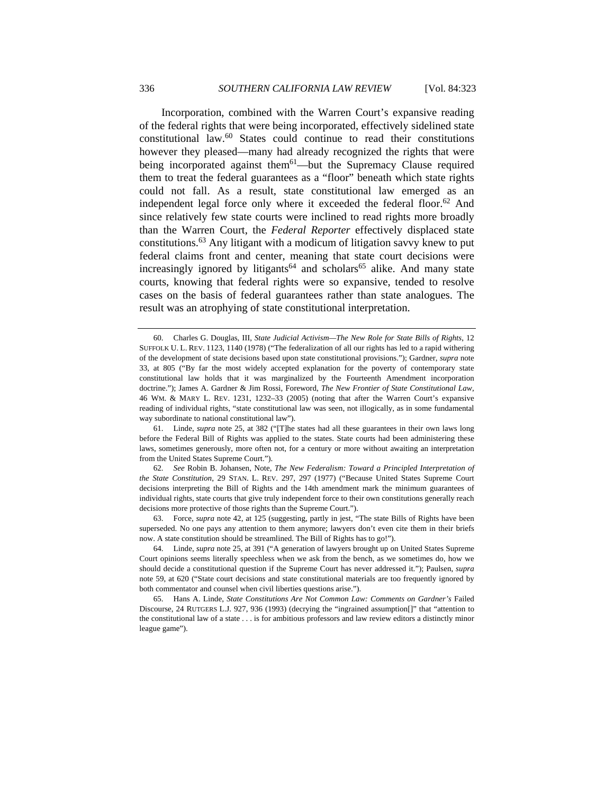Incorporation, combined with the Warren Court's expansive reading of the federal rights that were being incorporated, effectively sidelined state constitutional law.60 States could continue to read their constitutions however they pleased—many had already recognized the rights that were being incorporated against them $61$ —but the Supremacy Clause required them to treat the federal guarantees as a "floor" beneath which state rights could not fall. As a result, state constitutional law emerged as an independent legal force only where it exceeded the federal floor.<sup>62</sup> And since relatively few state courts were inclined to read rights more broadly than the Warren Court, the *Federal Reporter* effectively displaced state constitutions.63 Any litigant with a modicum of litigation savvy knew to put federal claims front and center, meaning that state court decisions were increasingly ignored by litigants<sup>64</sup> and scholars<sup>65</sup> alike. And many state courts, knowing that federal rights were so expansive, tended to resolve cases on the basis of federal guarantees rather than state analogues. The result was an atrophying of state constitutional interpretation.

 63. Force, *supra* note 42, at 125 (suggesting, partly in jest, "The state Bills of Rights have been superseded. No one pays any attention to them anymore; lawyers don't even cite them in their briefs now. A state constitution should be streamlined. The Bill of Rights has to go!").

 <sup>60.</sup> Charles G. Douglas, III, *State Judicial Activism—The New Role for State Bills of Rights*, 12 SUFFOLK U. L. REV. 1123, 1140 (1978) ("The federalization of all our rights has led to a rapid withering of the development of state decisions based upon state constitutional provisions."); Gardner, *supra* note 33, at 805 ("By far the most widely accepted explanation for the poverty of contemporary state constitutional law holds that it was marginalized by the Fourteenth Amendment incorporation doctrine."); James A. Gardner & Jim Rossi, Foreword, *The New Frontier of State Constitutional Law*, 46 WM. & MARY L. REV. 1231, 1232–33 (2005) (noting that after the Warren Court's expansive reading of individual rights, "state constitutional law was seen, not illogically, as in some fundamental way subordinate to national constitutional law").

 <sup>61.</sup> Linde, *supra* note 25, at 382 ("[T]he states had all these guarantees in their own laws long before the Federal Bill of Rights was applied to the states. State courts had been administering these laws, sometimes generously, more often not, for a century or more without awaiting an interpretation from the United States Supreme Court.").

<sup>62</sup>*. See* Robin B. Johansen, Note, *The New Federalism: Toward a Principled Interpretation of the State Constitution*, 29 STAN. L. REV. 297, 297 (1977) ("Because United States Supreme Court decisions interpreting the Bill of Rights and the 14th amendment mark the minimum guarantees of individual rights, state courts that give truly independent force to their own constitutions generally reach decisions more protective of those rights than the Supreme Court.").

 <sup>64.</sup> Linde, *supra* note 25, at 391 ("A generation of lawyers brought up on United States Supreme Court opinions seems literally speechless when we ask from the bench, as we sometimes do, how we should decide a constitutional question if the Supreme Court has never addressed it."); Paulsen, *supra* note 59, at 620 ("State court decisions and state constitutional materials are too frequently ignored by both commentator and counsel when civil liberties questions arise.").

 <sup>65.</sup> Hans A. Linde, *State Constitutions Are Not Common Law: Comments on Gardner's* Failed Discourse, 24 RUTGERS L.J. 927, 936 (1993) (decrying the "ingrained assumption[]" that "attention to the constitutional law of a state . . . is for ambitious professors and law review editors a distinctly minor league game").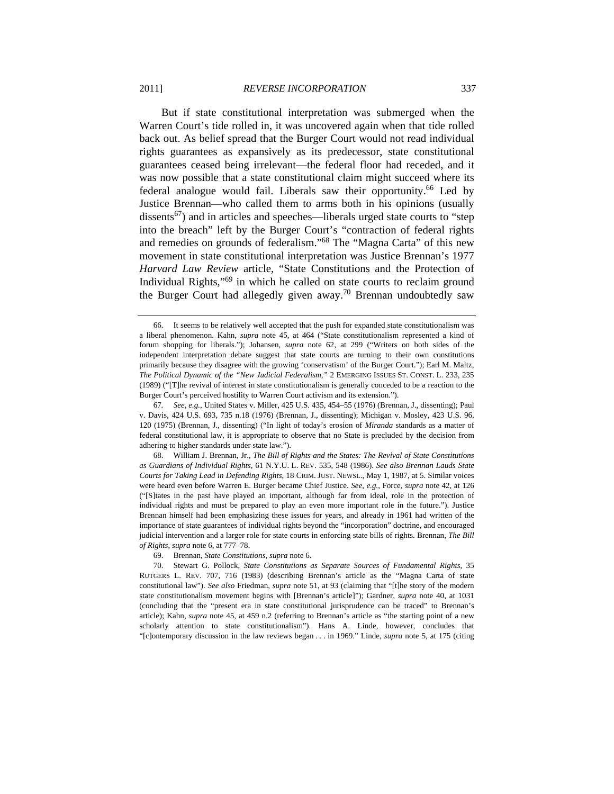But if state constitutional interpretation was submerged when the

Warren Court's tide rolled in, it was uncovered again when that tide rolled back out. As belief spread that the Burger Court would not read individual rights guarantees as expansively as its predecessor, state constitutional guarantees ceased being irrelevant—the federal floor had receded, and it was now possible that a state constitutional claim might succeed where its federal analogue would fail. Liberals saw their opportunity.<sup>66</sup> Led by Justice Brennan—who called them to arms both in his opinions (usually dissents<sup>67</sup>) and in articles and speeches—liberals urged state courts to "step into the breach" left by the Burger Court's "contraction of federal rights and remedies on grounds of federalism."68 The "Magna Carta" of this new movement in state constitutional interpretation was Justice Brennan's 1977 *Harvard Law Review* article, "State Constitutions and the Protection of Individual Rights,"<sup>69</sup> in which he called on state courts to reclaim ground the Burger Court had allegedly given away.<sup>70</sup> Brennan undoubtedly saw

69. Brennan, *State Constitutions*, *supra* note 6.

 <sup>66.</sup> It seems to be relatively well accepted that the push for expanded state constitutionalism was a liberal phenomenon. Kahn, *supra* note 45, at 464 ("State constitutionalism represented a kind of forum shopping for liberals."); Johansen, *supra* note 62, at 299 ("Writers on both sides of the independent interpretation debate suggest that state courts are turning to their own constitutions primarily because they disagree with the growing 'conservatism' of the Burger Court."); Earl M. Maltz, *The Political Dynamic of the "New Judicial Federalism*,*"* 2 EMERGING ISSUES ST. CONST. L. 233, 235 (1989) ("[T]he revival of interest in state constitutionalism is generally conceded to be a reaction to the Burger Court's perceived hostility to Warren Court activism and its extension.").

<sup>67</sup>*. See, e.g.*, United States v. Miller, 425 U.S. 435, 454–55 (1976) (Brennan, J., dissenting); Paul v. Davis, 424 U.S. 693, 735 n.18 (1976) (Brennan, J., dissenting); Michigan v. Mosley, 423 U.S. 96, 120 (1975) (Brennan, J., dissenting) ("In light of today's erosion of *Miranda* standards as a matter of federal constitutional law, it is appropriate to observe that no State is precluded by the decision from adhering to higher standards under state law.").

 <sup>68.</sup> William J. Brennan, Jr., *The Bill of Rights and the States: The Revival of State Constitutions as Guardians of Individual Rights*, 61 N.Y.U. L. REV. 535, 548 (1986). *See also Brennan Lauds State Courts for Taking Lead in Defending Rights*, 18 CRIM. JUST. NEWSL., May 1, 1987, at 5. Similar voices were heard even before Warren E. Burger became Chief Justice. *See, e.g.*, Force, *supra* note 42, at 126 ("[S]tates in the past have played an important, although far from ideal, role in the protection of individual rights and must be prepared to play an even more important role in the future."). Justice Brennan himself had been emphasizing these issues for years, and already in 1961 had written of the importance of state guarantees of individual rights beyond the "incorporation" doctrine, and encouraged judicial intervention and a larger role for state courts in enforcing state bills of rights. Brennan, *The Bill of Rights*, *supra* note 6, at 777–78.

 <sup>70.</sup> Stewart G. Pollock, *State Constitutions as Separate Sources of Fundamental Rights*, 35 RUTGERS L. REV. 707, 716 (1983) (describing Brennan's article as the "Magna Carta of state constitutional law"). *See also* Friedman, *supra* note 51, at 93 (claiming that "[t]he story of the modern state constitutionalism movement begins with [Brennan's article]"); Gardner, *supra* note 40, at 1031 (concluding that the "present era in state constitutional jurisprudence can be traced" to Brennan's article); Kahn, *supra* note 45, at 459 n.2 (referring to Brennan's article as "the starting point of a new scholarly attention to state constitutionalism"). Hans A. Linde, however, concludes that "[c]ontemporary discussion in the law reviews began . . . in 1969." Linde, *supra* note 5, at 175 (citing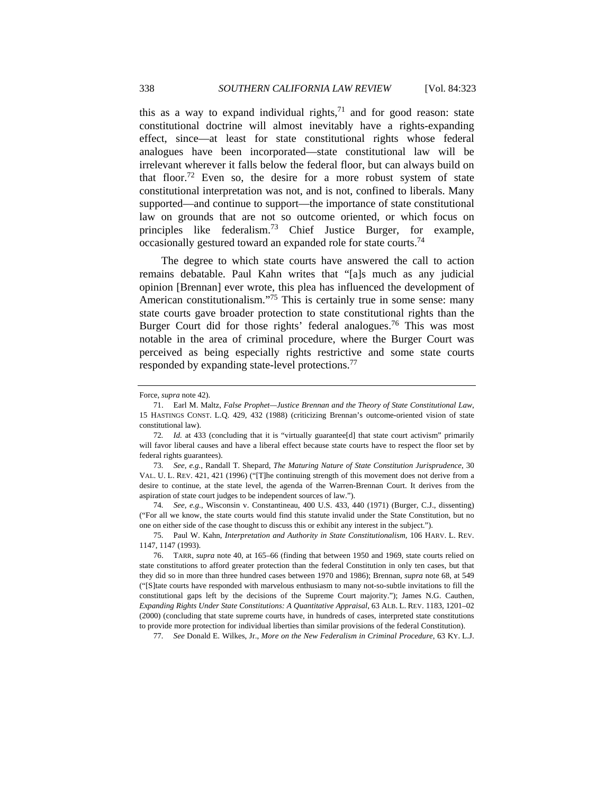this as a way to expand individual rights,  $71$  and for good reason: state constitutional doctrine will almost inevitably have a rights-expanding effect, since—at least for state constitutional rights whose federal analogues have been incorporated—state constitutional law will be irrelevant wherever it falls below the federal floor, but can always build on that floor.<sup>72</sup> Even so, the desire for a more robust system of state constitutional interpretation was not, and is not, confined to liberals. Many supported—and continue to support—the importance of state constitutional law on grounds that are not so outcome oriented, or which focus on principles like federalism.<sup>73</sup> Chief Justice Burger, for example, occasionally gestured toward an expanded role for state courts.74

The degree to which state courts have answered the call to action remains debatable. Paul Kahn writes that "[a]s much as any judicial opinion [Brennan] ever wrote, this plea has influenced the development of American constitutionalism."<sup>75</sup> This is certainly true in some sense: many state courts gave broader protection to state constitutional rights than the Burger Court did for those rights' federal analogues.<sup>76</sup> This was most notable in the area of criminal procedure, where the Burger Court was perceived as being especially rights restrictive and some state courts responded by expanding state-level protections.<sup>77</sup>

74*. See, e.g.*, Wisconsin v. Constantineau, 400 U.S. 433, 440 (1971) (Burger, C.J., dissenting) ("For all we know, the state courts would find this statute invalid under the State Constitution, but no one on either side of the case thought to discuss this or exhibit any interest in the subject.").

77*. See* Donald E. Wilkes, Jr., *More on the New Federalism in Criminal Procedure*, 63 KY. L.J.

Force, *supra* note 42).

 <sup>71.</sup> Earl M. Maltz, *False Prophet—Justice Brennan and the Theory of State Constitutional Law*, 15 HASTINGS CONST. L.Q. 429, 432 (1988) (criticizing Brennan's outcome-oriented vision of state constitutional law).

<sup>72.</sup> *Id.* at 433 (concluding that it is "virtually guarantee[d] that state court activism" primarily will favor liberal causes and have a liberal effect because state courts have to respect the floor set by federal rights guarantees).

<sup>73</sup>*. See, e.g.*, Randall T. Shepard, *The Maturing Nature of State Constitution Jurisprudence*, 30 VAL. U. L. REV. 421, 421 (1996) ("[T]he continuing strength of this movement does not derive from a desire to continue, at the state level, the agenda of the Warren-Brennan Court. It derives from the aspiration of state court judges to be independent sources of law.").

 <sup>75.</sup> Paul W. Kahn, *Interpretation and Authority in State Constitutionalism*, 106 HARV. L. REV. 1147, 1147 (1993).

 <sup>76.</sup> TARR, *supra* note 40, at 165–66 (finding that between 1950 and 1969, state courts relied on state constitutions to afford greater protection than the federal Constitution in only ten cases, but that they did so in more than three hundred cases between 1970 and 1986); Brennan, *supra* note 68, at 549 ("[S]tate courts have responded with marvelous enthusiasm to many not-so-subtle invitations to fill the constitutional gaps left by the decisions of the Supreme Court majority."); James N.G. Cauthen, *Expanding Rights Under State Constitutions: A Quantitative Appraisal*, 63 ALB. L. REV. 1183, 1201–02 (2000) (concluding that state supreme courts have, in hundreds of cases, interpreted state constitutions to provide more protection for individual liberties than similar provisions of the federal Constitution).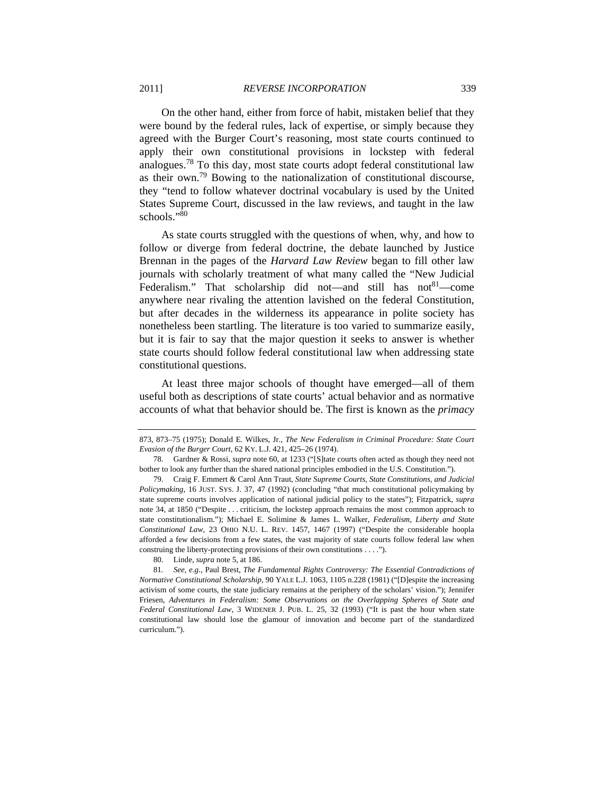On the other hand, either from force of habit, mistaken belief that they were bound by the federal rules, lack of expertise, or simply because they agreed with the Burger Court's reasoning, most state courts continued to apply their own constitutional provisions in lockstep with federal analogues.<sup>78</sup> To this day, most state courts adopt federal constitutional law as their own.79 Bowing to the nationalization of constitutional discourse, they "tend to follow whatever doctrinal vocabulary is used by the United States Supreme Court, discussed in the law reviews, and taught in the law schools."80

As state courts struggled with the questions of when, why, and how to follow or diverge from federal doctrine, the debate launched by Justice Brennan in the pages of the *Harvard Law Review* began to fill other law journals with scholarly treatment of what many called the "New Judicial Federalism." That scholarship did not—and still has  $not<sup>81</sup>$ —come anywhere near rivaling the attention lavished on the federal Constitution, but after decades in the wilderness its appearance in polite society has nonetheless been startling. The literature is too varied to summarize easily, but it is fair to say that the major question it seeks to answer is whether state courts should follow federal constitutional law when addressing state constitutional questions.

At least three major schools of thought have emerged—all of them useful both as descriptions of state courts' actual behavior and as normative accounts of what that behavior should be. The first is known as the *primacy*

80. Linde, *supra* note 5, at 186.

<sup>873, 873–75 (1975);</sup> Donald E. Wilkes, Jr., *The New Federalism in Criminal Procedure: State Court Evasion of the Burger Court*, 62 KY. L.J. 421, 425–26 (1974).

 <sup>78.</sup> Gardner & Rossi, *supra* note 60, at 1233 ("[S]tate courts often acted as though they need not bother to look any further than the shared national principles embodied in the U.S. Constitution.").

 <sup>79.</sup> Craig F. Emmert & Carol Ann Traut, *State Supreme Courts, State Constitutions, and Judicial Policymaking*, 16 JUST. SYS. J. 37, 47 (1992) (concluding "that much constitutional policymaking by state supreme courts involves application of national judicial policy to the states"); Fitzpatrick, *supra* note 34, at 1850 ("Despite . . . criticism, the lockstep approach remains the most common approach to state constitutionalism."); Michael E. Solimine & James L. Walker, *Federalism, Liberty and State Constitutional Law*, 23 OHIO N.U. L. REV. 1457, 1467 (1997) ("Despite the considerable hoopla afforded a few decisions from a few states, the vast majority of state courts follow federal law when construing the liberty-protecting provisions of their own constitutions . . . .").

<sup>81</sup>*. See, e.g.*, Paul Brest, *The Fundamental Rights Controversy: The Essential Contradictions of Normative Constitutional Scholarship*, 90 YALE L.J. 1063, 1105 n.228 (1981) ("[D]espite the increasing activism of some courts, the state judiciary remains at the periphery of the scholars' vision."); Jennifer Friesen, *Adventures in Federalism: Some Observations on the Overlapping Spheres of State and Federal Constitutional Law*, 3 WIDENER J. PUB. L. 25, 32 (1993) ("It is past the hour when state constitutional law should lose the glamour of innovation and become part of the standardized curriculum.").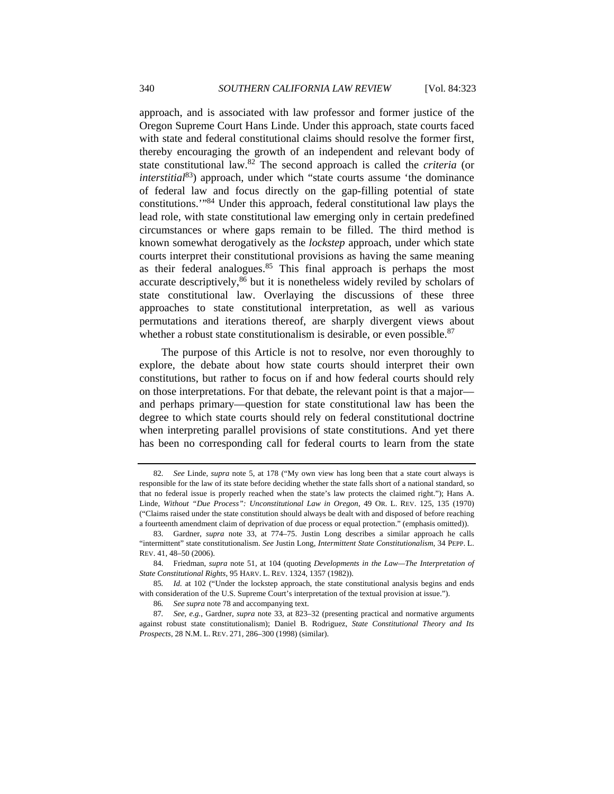approach, and is associated with law professor and former justice of the Oregon Supreme Court Hans Linde. Under this approach, state courts faced with state and federal constitutional claims should resolve the former first, thereby encouraging the growth of an independent and relevant body of state constitutional law.82 The second approach is called the *criteria* (or *interstitial*<sup>83</sup>) approach, under which "state courts assume 'the dominance of federal law and focus directly on the gap-filling potential of state constitutions.'"84 Under this approach, federal constitutional law plays the lead role, with state constitutional law emerging only in certain predefined circumstances or where gaps remain to be filled. The third method is known somewhat derogatively as the *lockstep* approach, under which state courts interpret their constitutional provisions as having the same meaning as their federal analogues.<sup>85</sup> This final approach is perhaps the most accurate descriptively,<sup>86</sup> but it is nonetheless widely reviled by scholars of state constitutional law. Overlaying the discussions of these three approaches to state constitutional interpretation, as well as various permutations and iterations thereof, are sharply divergent views about whether a robust state constitutionalism is desirable, or even possible.<sup>87</sup>

The purpose of this Article is not to resolve, nor even thoroughly to explore, the debate about how state courts should interpret their own constitutions, but rather to focus on if and how federal courts should rely on those interpretations. For that debate, the relevant point is that a major and perhaps primary—question for state constitutional law has been the degree to which state courts should rely on federal constitutional doctrine when interpreting parallel provisions of state constitutions. And yet there has been no corresponding call for federal courts to learn from the state

<sup>82</sup>*. See* Linde, *supra* note 5, at 178 ("My own view has long been that a state court always is responsible for the law of its state before deciding whether the state falls short of a national standard, so that no federal issue is properly reached when the state's law protects the claimed right."); Hans A. Linde, *Without "Due Process": Unconstitutional Law in Oregon*, 49 OR. L. REV. 125, 135 (1970) ("Claims raised under the state constitution should always be dealt with and disposed of before reaching a fourteenth amendment claim of deprivation of due process or equal protection." (emphasis omitted)).

 <sup>83.</sup> Gardner, *supra* note 33, at 774–75. Justin Long describes a similar approach he calls "intermittent" state constitutionalism. *See* Justin Long, *Intermittent State Constitutionalism*, 34 PEPP. L. REV. 41, 48–50 (2006).

 <sup>84.</sup> Friedman, *supra* note 51, at 104 (quoting *Developments in the Law—The Interpretation of State Constitutional Rights*, 95 HARV. L. REV. 1324, 1357 (1982)).

<sup>85</sup>*. Id.* at 102 ("Under the lockstep approach, the state constitutional analysis begins and ends with consideration of the U.S. Supreme Court's interpretation of the textual provision at issue.").

<sup>86</sup>*. See supra* note 78 and accompanying text.

<sup>87</sup>*. See, e.g.*, Gardner, *supra* note 33, at 823–32 (presenting practical and normative arguments against robust state constitutionalism); Daniel B. Rodriguez, *State Constitutional Theory and Its Prospects*, 28 N.M. L. REV. 271, 286–300 (1998) (similar).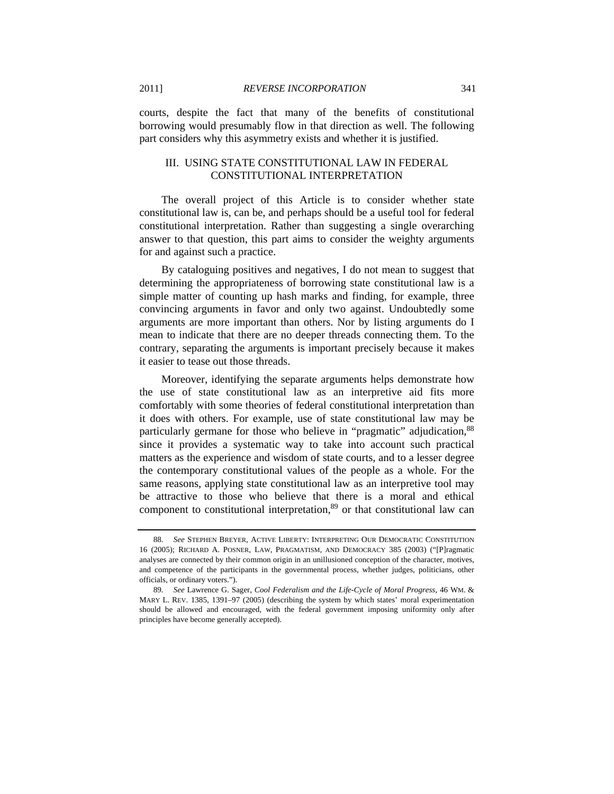courts, despite the fact that many of the benefits of constitutional borrowing would presumably flow in that direction as well. The following part considers why this asymmetry exists and whether it is justified.

# III. USING STATE CONSTITUTIONAL LAW IN FEDERAL CONSTITUTIONAL INTERPRETATION

The overall project of this Article is to consider whether state constitutional law is, can be, and perhaps should be a useful tool for federal constitutional interpretation. Rather than suggesting a single overarching answer to that question, this part aims to consider the weighty arguments for and against such a practice.

By cataloguing positives and negatives, I do not mean to suggest that determining the appropriateness of borrowing state constitutional law is a simple matter of counting up hash marks and finding, for example, three convincing arguments in favor and only two against. Undoubtedly some arguments are more important than others. Nor by listing arguments do I mean to indicate that there are no deeper threads connecting them. To the contrary, separating the arguments is important precisely because it makes it easier to tease out those threads.

Moreover, identifying the separate arguments helps demonstrate how the use of state constitutional law as an interpretive aid fits more comfortably with some theories of federal constitutional interpretation than it does with others. For example, use of state constitutional law may be particularly germane for those who believe in "pragmatic" adjudication, <sup>88</sup> since it provides a systematic way to take into account such practical matters as the experience and wisdom of state courts, and to a lesser degree the contemporary constitutional values of the people as a whole. For the same reasons, applying state constitutional law as an interpretive tool may be attractive to those who believe that there is a moral and ethical component to constitutional interpretation,<sup>89</sup> or that constitutional law can

<sup>88</sup>*. See* STEPHEN BREYER, ACTIVE LIBERTY: INTERPRETING OUR DEMOCRATIC CONSTITUTION 16 (2005); RICHARD A. POSNER, LAW, PRAGMATISM, AND DEMOCRACY 385 (2003) ("[P]ragmatic analyses are connected by their common origin in an unillusioned conception of the character, motives, and competence of the participants in the governmental process, whether judges, politicians, other officials, or ordinary voters.").

<sup>89</sup>*. See* Lawrence G. Sager, *Cool Federalism and the Life-Cycle of Moral Progress*, 46 WM. & MARY L. REV. 1385, 1391–97 (2005) (describing the system by which states' moral experimentation should be allowed and encouraged, with the federal government imposing uniformity only after principles have become generally accepted).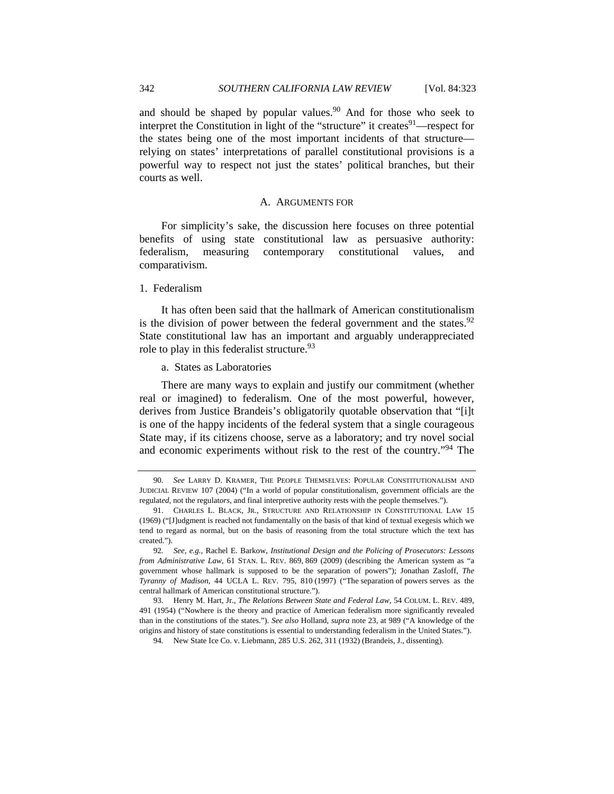and should be shaped by popular values. $90$  And for those who seek to interpret the Constitution in light of the "structure" it creates  $91$ —respect for the states being one of the most important incidents of that structure relying on states' interpretations of parallel constitutional provisions is a powerful way to respect not just the states' political branches, but their courts as well.

#### A. ARGUMENTS FOR

For simplicity's sake, the discussion here focuses on three potential benefits of using state constitutional law as persuasive authority: federalism, measuring contemporary constitutional values, and comparativism.

#### 1. Federalism

It has often been said that the hallmark of American constitutionalism is the division of power between the federal government and the states.  $92$ State constitutional law has an important and arguably underappreciated role to play in this federalist structure.<sup>93</sup>

#### a. States as Laboratories

There are many ways to explain and justify our commitment (whether real or imagined) to federalism. One of the most powerful, however, derives from Justice Brandeis's obligatorily quotable observation that "[i]t is one of the happy incidents of the federal system that a single courageous State may, if its citizens choose, serve as a laboratory; and try novel social and economic experiments without risk to the rest of the country."<sup>94</sup> The

<sup>90</sup>*. See* LARRY D. KRAMER, THE PEOPLE THEMSELVES: POPULAR CONSTITUTIONALISM AND JUDICIAL REVIEW 107 (2004) ("In a world of popular constitutionalism, government officials are the regulat*ed*, not the regulat*ors*, and final interpretive authority rests with the people themselves.").

 <sup>91.</sup> CHARLES L. BLACK, JR., STRUCTURE AND RELATIONSHIP IN CONSTITUTIONAL LAW 15 (1969) ("[J]udgment is reached not fundamentally on the basis of that kind of textual exegesis which we tend to regard as normal, but on the basis of reasoning from the total structure which the text has created.").

<sup>92</sup>*. See, e.g.*, Rachel E. Barkow, *Institutional Design and the Policing of Prosecutors: Lessons from Administrative Law*, 61 STAN. L. REV. 869, 869 (2009) (describing the American system as "a government whose hallmark is supposed to be the separation of powers"); Jonathan Zasloff, *The Tyranny of Madison*, 44 UCLA L. REV. 795, 810 (1997) ("The separation of powers serves as the central hallmark of American constitutional structure.").

 <sup>93.</sup> Henry M. Hart, Jr., *The Relations Between State and Federal Law*, 54 COLUM. L. REV. 489, 491 (1954) ("Nowhere is the theory and practice of American federalism more significantly revealed than in the constitutions of the states."). *See also* Holland, *supra* note 23, at 989 ("A knowledge of the origins and history of state constitutions is essential to understanding federalism in the United States.").

 <sup>94.</sup> New State Ice Co. v. Liebmann, 285 U.S. 262, 311 (1932) (Brandeis, J., dissenting).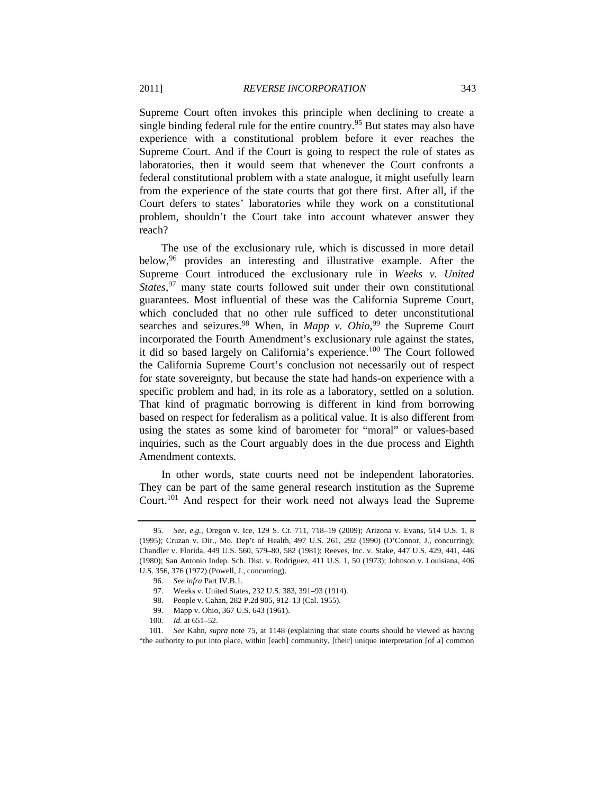Supreme Court often invokes this principle when declining to create a single binding federal rule for the entire country.<sup>95</sup> But states may also have experience with a constitutional problem before it ever reaches the Supreme Court. And if the Court is going to respect the role of states as laboratories, then it would seem that whenever the Court confronts a federal constitutional problem with a state analogue, it might usefully learn from the experience of the state courts that got there first. After all, if the Court defers to states' laboratories while they work on a constitutional problem, shouldn't the Court take into account whatever answer they

The use of the exclusionary rule, which is discussed in more detail below,<sup>96</sup> provides an interesting and illustrative example. After the Supreme Court introduced the exclusionary rule in *Weeks v. United*  States,<sup>97</sup> many state courts followed suit under their own constitutional guarantees. Most influential of these was the California Supreme Court, which concluded that no other rule sufficed to deter unconstitutional searches and seizures.<sup>98</sup> When, in *Mapp v. Ohio*,<sup>99</sup> the Supreme Court incorporated the Fourth Amendment's exclusionary rule against the states, it did so based largely on California's experience.<sup>100</sup> The Court followed the California Supreme Court's conclusion not necessarily out of respect for state sovereignty, but because the state had hands-on experience with a specific problem and had, in its role as a laboratory, settled on a solution. That kind of pragmatic borrowing is different in kind from borrowing based on respect for federalism as a political value. It is also different from using the states as some kind of barometer for "moral" or values-based inquiries, such as the Court arguably does in the due process and Eighth Amendment contexts.

In other words, state courts need not be independent laboratories. They can be part of the same general research institution as the Supreme Court.101 And respect for their work need not always lead the Supreme

reach?

<sup>95</sup>*. See, e.g.*, Oregon v. Ice, 129 S. Ct. 711, 718–19 (2009); Arizona v. Evans, 514 U.S. 1, 8 (1995); Cruzan v. Dir., Mo. Dep't of Health, 497 U.S. 261, 292 (1990) (O'Connor, J., concurring); Chandler v. Florida, 449 U.S. 560, 579–80, 582 (1981); Reeves, Inc. v. Stake, 447 U.S. 429, 441, 446 (1980); San Antonio Indep. Sch. Dist. v. Rodriguez, 411 U.S. 1, 50 (1973); Johnson v. Louisiana, 406 U.S. 356, 376 (1972) (Powell, J., concurring).

<sup>96</sup>*. See infra* Part IV.B.1.

 <sup>97.</sup> Weeks v. United States, 232 U.S. 383, 391–93 (1914).

 <sup>98.</sup> People v. Cahan, 282 P.2d 905, 912–13 (Cal. 1955).

 <sup>99.</sup> Mapp v. Ohio, 367 U.S. 643 (1961).

<sup>100</sup>*. Id.* at 651–52.

<sup>101</sup>*. See* Kahn, *supra* note 75, at 1148 (explaining that state courts should be viewed as having "the authority to put into place, within [each] community, [their] unique interpretation [of a] common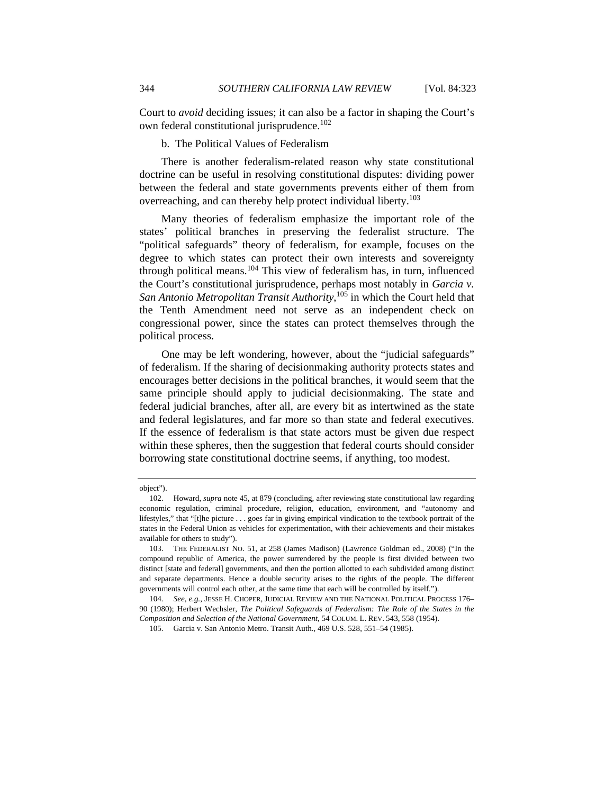Court to *avoid* deciding issues; it can also be a factor in shaping the Court's own federal constitutional jurisprudence.<sup>102</sup>

# b. The Political Values of Federalism

There is another federalism-related reason why state constitutional doctrine can be useful in resolving constitutional disputes: dividing power between the federal and state governments prevents either of them from overreaching, and can thereby help protect individual liberty.<sup>103</sup>

Many theories of federalism emphasize the important role of the states' political branches in preserving the federalist structure. The "political safeguards" theory of federalism, for example, focuses on the degree to which states can protect their own interests and sovereignty through political means.104 This view of federalism has, in turn, influenced the Court's constitutional jurisprudence, perhaps most notably in *Garcia v. San Antonio Metropolitan Transit Authority*, 105 in which the Court held that the Tenth Amendment need not serve as an independent check on congressional power, since the states can protect themselves through the political process.

One may be left wondering, however, about the "judicial safeguards" of federalism. If the sharing of decisionmaking authority protects states and encourages better decisions in the political branches, it would seem that the same principle should apply to judicial decisionmaking. The state and federal judicial branches, after all, are every bit as intertwined as the state and federal legislatures, and far more so than state and federal executives. If the essence of federalism is that state actors must be given due respect within these spheres, then the suggestion that federal courts should consider borrowing state constitutional doctrine seems, if anything, too modest.

object").

 <sup>102.</sup> Howard, *supra* note 45, at 879 (concluding, after reviewing state constitutional law regarding economic regulation, criminal procedure, religion, education, environment, and "autonomy and lifestyles," that "[t]he picture . . . goes far in giving empirical vindication to the textbook portrait of the states in the Federal Union as vehicles for experimentation, with their achievements and their mistakes available for others to study").

 <sup>103.</sup> THE FEDERALIST NO. 51, at 258 (James Madison) (Lawrence Goldman ed., 2008) ("In the compound republic of America, the power surrendered by the people is first divided between two distinct [state and federal] governments, and then the portion allotted to each subdivided among distinct and separate departments. Hence a double security arises to the rights of the people. The different governments will control each other, at the same time that each will be controlled by itself.").

<sup>104</sup>*. See, e.g.*, JESSE H. CHOPER, JUDICIAL REVIEW AND THE NATIONAL POLITICAL PROCESS 176– 90 (1980); Herbert Wechsler, *The Political Safeguards of Federalism: The Role of the States in the Composition and Selection of the National Government*, 54 COLUM. L. REV. 543, 558 (1954).

 <sup>105.</sup> Garcia v. San Antonio Metro. Transit Auth., 469 U.S. 528, 551–54 (1985).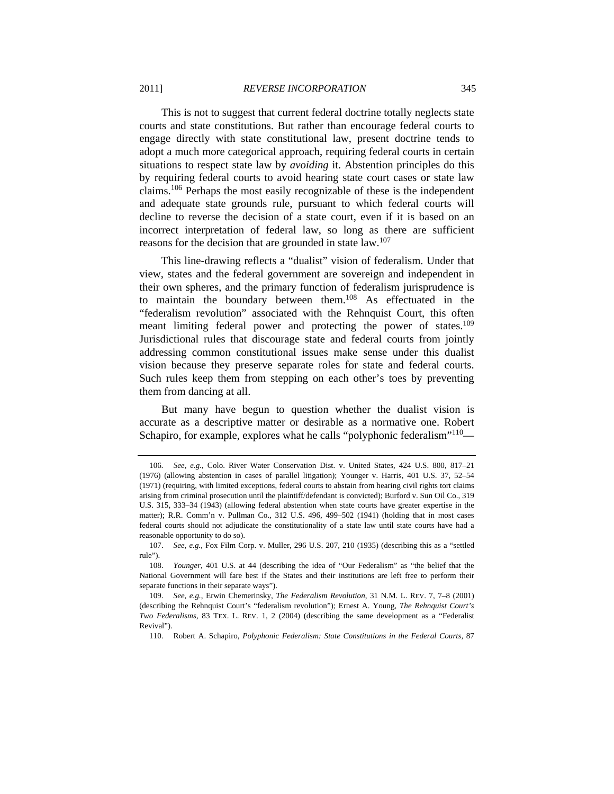This is not to suggest that current federal doctrine totally neglects state courts and state constitutions. But rather than encourage federal courts to engage directly with state constitutional law, present doctrine tends to adopt a much more categorical approach, requiring federal courts in certain situations to respect state law by *avoiding* it. Abstention principles do this by requiring federal courts to avoid hearing state court cases or state law claims.106 Perhaps the most easily recognizable of these is the independent and adequate state grounds rule, pursuant to which federal courts will decline to reverse the decision of a state court, even if it is based on an incorrect interpretation of federal law, so long as there are sufficient reasons for the decision that are grounded in state law.<sup>107</sup>

This line-drawing reflects a "dualist" vision of federalism. Under that view, states and the federal government are sovereign and independent in their own spheres, and the primary function of federalism jurisprudence is to maintain the boundary between them.108 As effectuated in the "federalism revolution" associated with the Rehnquist Court, this often meant limiting federal power and protecting the power of states.<sup>109</sup> Jurisdictional rules that discourage state and federal courts from jointly addressing common constitutional issues make sense under this dualist vision because they preserve separate roles for state and federal courts. Such rules keep them from stepping on each other's toes by preventing them from dancing at all.

But many have begun to question whether the dualist vision is accurate as a descriptive matter or desirable as a normative one. Robert Schapiro, for example, explores what he calls "polyphonic federalism"<sup>110</sup>—

<sup>106</sup>*. See, e.g.*, Colo. River Water Conservation Dist. v. United States, 424 U.S. 800, 817–21 (1976) (allowing abstention in cases of parallel litigation); Younger v. Harris, 401 U.S. 37, 52–54 (1971) (requiring, with limited exceptions, federal courts to abstain from hearing civil rights tort claims arising from criminal prosecution until the plaintiff/defendant is convicted); Burford v. Sun Oil Co., 319 U.S. 315, 333–34 (1943) (allowing federal abstention when state courts have greater expertise in the matter); R.R. Comm'n v. Pullman Co., 312 U.S. 496, 499–502 (1941) (holding that in most cases federal courts should not adjudicate the constitutionality of a state law until state courts have had a reasonable opportunity to do so).

 <sup>107.</sup> *See, e.g.*, Fox Film Corp. v. Muller, 296 U.S. 207, 210 (1935) (describing this as a "settled rule").

 <sup>108.</sup> *Younger*, 401 U.S. at 44 (describing the idea of "Our Federalism" as "the belief that the National Government will fare best if the States and their institutions are left free to perform their separate functions in their separate ways").

 <sup>109.</sup> *See, e.g.*, Erwin Chemerinsky, *The Federalism Revolution*, 31 N.M. L. REV. 7, 7–8 (2001) (describing the Rehnquist Court's "federalism revolution"); Ernest A. Young, *The Rehnquist Court's Two Federalisms*, 83 TEX. L. REV. 1, 2 (2004) (describing the same development as a "Federalist Revival").

 <sup>110.</sup> Robert A. Schapiro, *Polyphonic Federalism: State Constitutions in the Federal Courts*, 87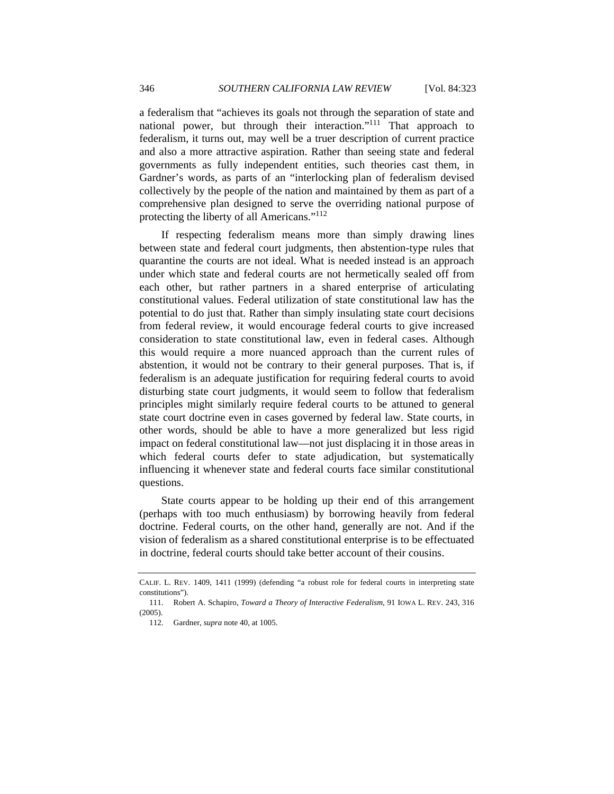a federalism that "achieves its goals not through the separation of state and national power, but through their interaction."<sup>111</sup> That approach to federalism, it turns out, may well be a truer description of current practice and also a more attractive aspiration. Rather than seeing state and federal governments as fully independent entities, such theories cast them, in Gardner's words, as parts of an "interlocking plan of federalism devised collectively by the people of the nation and maintained by them as part of a comprehensive plan designed to serve the overriding national purpose of protecting the liberty of all Americans."<sup>112</sup>

If respecting federalism means more than simply drawing lines between state and federal court judgments, then abstention-type rules that quarantine the courts are not ideal. What is needed instead is an approach under which state and federal courts are not hermetically sealed off from each other, but rather partners in a shared enterprise of articulating constitutional values. Federal utilization of state constitutional law has the potential to do just that. Rather than simply insulating state court decisions from federal review, it would encourage federal courts to give increased consideration to state constitutional law, even in federal cases. Although this would require a more nuanced approach than the current rules of abstention, it would not be contrary to their general purposes. That is, if federalism is an adequate justification for requiring federal courts to avoid disturbing state court judgments, it would seem to follow that federalism principles might similarly require federal courts to be attuned to general state court doctrine even in cases governed by federal law. State courts, in other words, should be able to have a more generalized but less rigid impact on federal constitutional law—not just displacing it in those areas in which federal courts defer to state adjudication, but systematically influencing it whenever state and federal courts face similar constitutional questions.

State courts appear to be holding up their end of this arrangement (perhaps with too much enthusiasm) by borrowing heavily from federal doctrine. Federal courts, on the other hand, generally are not. And if the vision of federalism as a shared constitutional enterprise is to be effectuated in doctrine, federal courts should take better account of their cousins.

CALIF. L. REV. 1409, 1411 (1999) (defending "a robust role for federal courts in interpreting state constitutions").

 <sup>111.</sup> Robert A. Schapiro, *Toward a Theory of Interactive Federalism*, 91 IOWA L. REV. 243, 316 (2005).

 <sup>112.</sup> Gardner, *supra* note 40, at 1005.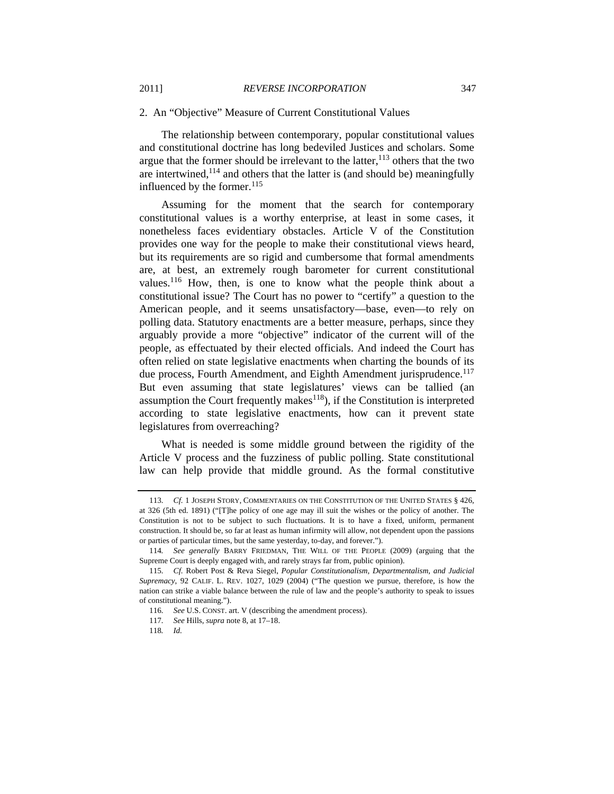#### 2. An "Objective" Measure of Current Constitutional Values

The relationship between contemporary, popular constitutional values and constitutional doctrine has long bedeviled Justices and scholars. Some argue that the former should be irrelevant to the latter,  $^{113}$  others that the two are intertwined,  $114$  and others that the latter is (and should be) meaningfully influenced by the former.<sup>115</sup>

Assuming for the moment that the search for contemporary constitutional values is a worthy enterprise, at least in some cases, it nonetheless faces evidentiary obstacles. Article V of the Constitution provides one way for the people to make their constitutional views heard, but its requirements are so rigid and cumbersome that formal amendments are, at best, an extremely rough barometer for current constitutional values.<sup>116</sup> How, then, is one to know what the people think about a constitutional issue? The Court has no power to "certify" a question to the American people, and it seems unsatisfactory—base, even—to rely on polling data. Statutory enactments are a better measure, perhaps, since they arguably provide a more "objective" indicator of the current will of the people, as effectuated by their elected officials. And indeed the Court has often relied on state legislative enactments when charting the bounds of its due process, Fourth Amendment, and Eighth Amendment jurisprudence.<sup>117</sup> But even assuming that state legislatures' views can be tallied (an assumption the Court frequently makes $118$ ), if the Constitution is interpreted according to state legislative enactments, how can it prevent state legislatures from overreaching?

What is needed is some middle ground between the rigidity of the Article V process and the fuzziness of public polling. State constitutional law can help provide that middle ground. As the formal constitutive

<sup>113</sup>*. Cf.* 1 JOSEPH STORY, COMMENTARIES ON THE CONSTITUTION OF THE UNITED STATES § 426, at 326 (5th ed. 1891) ("[T]he policy of one age may ill suit the wishes or the policy of another. The Constitution is not to be subject to such fluctuations. It is to have a fixed, uniform, permanent construction. It should be, so far at least as human infirmity will allow, not dependent upon the passions or parties of particular times, but the same yesterday, to-day, and forever.").

<sup>114</sup>*. See generally* BARRY FRIEDMAN, THE WILL OF THE PEOPLE (2009) (arguing that the Supreme Court is deeply engaged with, and rarely strays far from, public opinion).

<sup>115</sup>*. Cf.* Robert Post & Reva Siegel, *Popular Constitutionalism, Departmentalism, and Judicial Supremacy*, 92 CALIF. L. REV. 1027, 1029 (2004) ("The question we pursue, therefore, is how the nation can strike a viable balance between the rule of law and the people's authority to speak to issues of constitutional meaning.").

<sup>116</sup>*. See* U.S. CONST. art. V (describing the amendment process).

<sup>117</sup>*. See* Hills, *supra* note 8, at 17–18.

<sup>118</sup>*. Id.*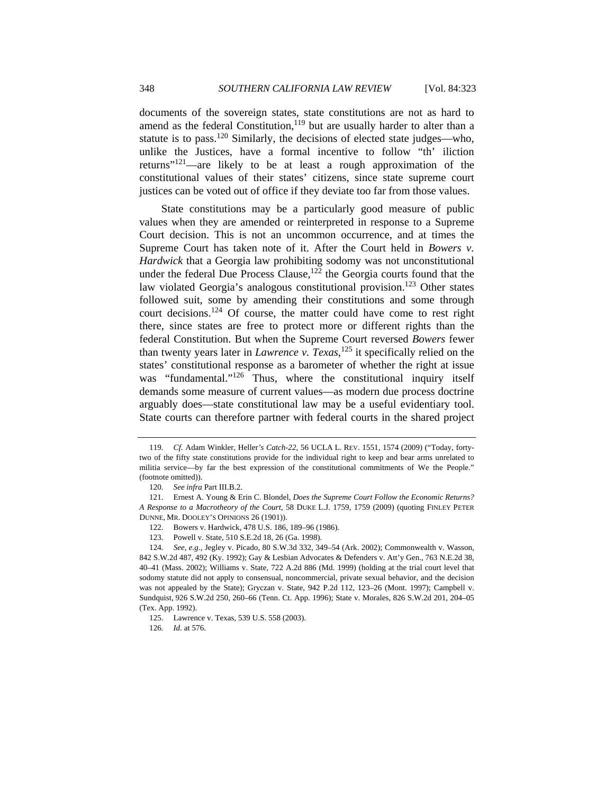documents of the sovereign states, state constitutions are not as hard to amend as the federal Constitution, $119$  but are usually harder to alter than a statute is to pass.<sup>120</sup> Similarly, the decisions of elected state judges—who, unlike the Justices, have a formal incentive to follow "th' iliction returns"<sup>121</sup>—are likely to be at least a rough approximation of the constitutional values of their states' citizens, since state supreme court justices can be voted out of office if they deviate too far from those values.

State constitutions may be a particularly good measure of public values when they are amended or reinterpreted in response to a Supreme Court decision. This is not an uncommon occurrence, and at times the Supreme Court has taken note of it. After the Court held in *Bowers v. Hardwick* that a Georgia law prohibiting sodomy was not unconstitutional under the federal Due Process Clause, $122$  the Georgia courts found that the law violated Georgia's analogous constitutional provision.<sup>123</sup> Other states followed suit, some by amending their constitutions and some through court decisions.124 Of course, the matter could have come to rest right there, since states are free to protect more or different rights than the federal Constitution. But when the Supreme Court reversed *Bowers* fewer than twenty years later in *Lawrence v. Texas*, 125 it specifically relied on the states' constitutional response as a barometer of whether the right at issue was "fundamental."<sup>126</sup> Thus, where the constitutional inquiry itself demands some measure of current values—as modern due process doctrine arguably does—state constitutional law may be a useful evidentiary tool. State courts can therefore partner with federal courts in the shared project

<sup>119</sup>*. Cf.* Adam Winkler, Heller*'s Catch-22*, 56 UCLA L. REV. 1551, 1574 (2009) ("Today, fortytwo of the fifty state constitutions provide for the individual right to keep and bear arms unrelated to militia service—by far the best expression of the constitutional commitments of We the People." (footnote omitted)).

<sup>120</sup>*. See infra* Part III.B.2.

 <sup>121.</sup> Ernest A. Young & Erin C. Blondel, *Does the Supreme Court Follow the Economic Returns? A Response to a Macrotheory of the Court*, 58 DUKE L.J. 1759, 1759 (2009) (quoting FINLEY PETER DUNNE, MR. DOOLEY'S OPINIONS 26 (1901)).

 <sup>122.</sup> Bowers v. Hardwick, 478 U.S. 186, 189–96 (1986).

 <sup>123.</sup> Powell v. State, 510 S.E.2d 18, 26 (Ga. 1998).

<sup>124</sup>*. See, e.g.*, Jegley v. Picado, 80 S.W.3d 332, 349–54 (Ark. 2002); Commonwealth v. Wasson, 842 S.W.2d 487, 492 (Ky. 1992); Gay & Lesbian Advocates & Defenders v. Att'y Gen., 763 N.E.2d 38, 40–41 (Mass. 2002); Williams v. State, 722 A.2d 886 (Md. 1999) (holding at the trial court level that sodomy statute did not apply to consensual, noncommercial, private sexual behavior, and the decision was not appealed by the State); Gryczan v. State, 942 P.2d 112, 123–26 (Mont. 1997); Campbell v. Sundquist, 926 S.W.2d 250, 260–66 (Tenn. Ct. App. 1996); State v. Morales, 826 S.W.2d 201, 204–05 (Tex. App. 1992).

 <sup>125.</sup> Lawrence v. Texas, 539 U.S. 558 (2003).

<sup>126</sup>*. Id.* at 576.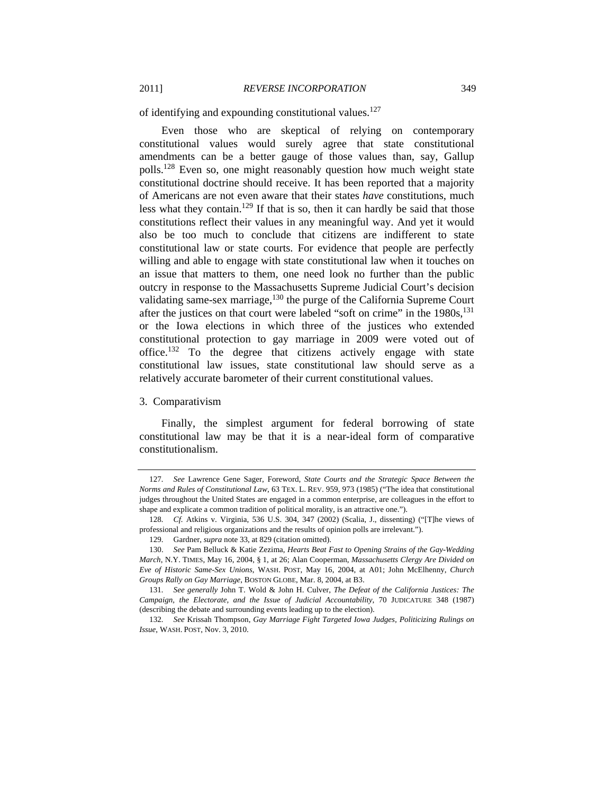of identifying and expounding constitutional values.<sup>127</sup>

Even those who are skeptical of relying on contemporary constitutional values would surely agree that state constitutional amendments can be a better gauge of those values than, say, Gallup polls.<sup>128</sup> Even so, one might reasonably question how much weight state constitutional doctrine should receive. It has been reported that a majority of Americans are not even aware that their states *have* constitutions, much less what they contain.<sup>129</sup> If that is so, then it can hardly be said that those constitutions reflect their values in any meaningful way. And yet it would also be too much to conclude that citizens are indifferent to state constitutional law or state courts. For evidence that people are perfectly willing and able to engage with state constitutional law when it touches on an issue that matters to them, one need look no further than the public outcry in response to the Massachusetts Supreme Judicial Court's decision validating same-sex marriage,  $^{130}$  the purge of the California Supreme Court after the justices on that court were labeled "soft on crime" in the  $1980s$ ,  $^{131}$ or the Iowa elections in which three of the justices who extended constitutional protection to gay marriage in 2009 were voted out of office.132 To the degree that citizens actively engage with state constitutional law issues, state constitutional law should serve as a relatively accurate barometer of their current constitutional values.

#### 3. Comparativism

Finally, the simplest argument for federal borrowing of state constitutional law may be that it is a near-ideal form of comparative constitutionalism.

<sup>127</sup>*. See* Lawrence Gene Sager, Foreword, *State Courts and the Strategic Space Between the Norms and Rules of Constitutional Law*, 63 TEX. L. REV. 959, 973 (1985) ("The idea that constitutional judges throughout the United States are engaged in a common enterprise, are colleagues in the effort to shape and explicate a common tradition of political morality, is an attractive one.").

<sup>128</sup>*. Cf.* Atkins v. Virginia, 536 U.S. 304, 347 (2002) (Scalia, J., dissenting) ("[T]he views of professional and religious organizations and the results of opinion polls are irrelevant.").

 <sup>129.</sup> Gardner, *supra* note 33, at 829 (citation omitted).

 <sup>130.</sup> *See* Pam Belluck & Katie Zezima, *Hearts Beat Fast to Opening Strains of the Gay-Wedding March*, N.Y. TIMES, May 16, 2004, § 1, at 26; Alan Cooperman, *Massachusetts Clergy Are Divided on Eve of Historic Same-Sex Unions*, WASH. POST, May 16, 2004, at A01; John McElhenny, *Church Groups Rally on Gay Marriage*, BOSTON GLOBE, Mar. 8, 2004, at B3.

<sup>131</sup>*. See generally* John T. Wold & John H. Culver, *The Defeat of the California Justices: The Campaign, the Electorate, and the Issue of Judicial Accountability*, 70 JUDICATURE 348 (1987) (describing the debate and surrounding events leading up to the election).

<sup>132</sup>*. See* Krissah Thompson, *Gay Marriage Fight Targeted Iowa Judges, Politicizing Rulings on Issue*, WASH. POST, Nov. 3, 2010.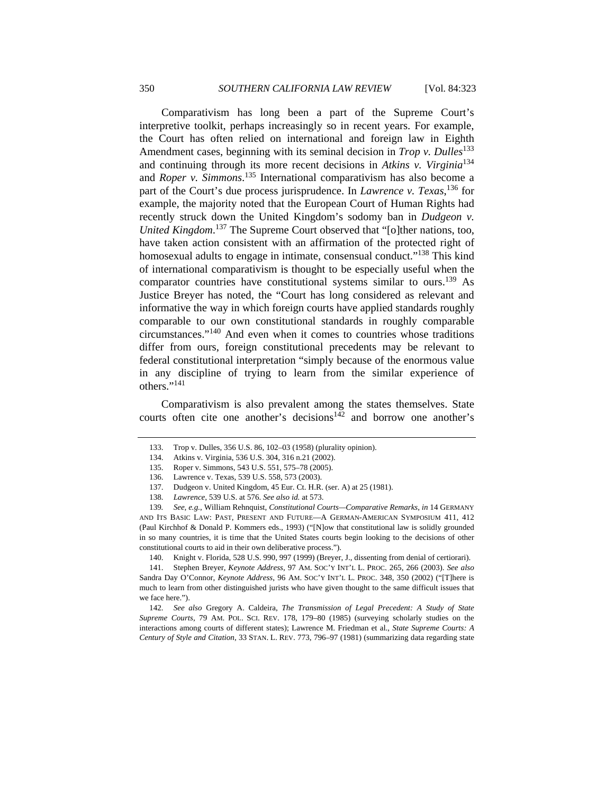Comparativism has long been a part of the Supreme Court's interpretive toolkit, perhaps increasingly so in recent years. For example, the Court has often relied on international and foreign law in Eighth Amendment cases, beginning with its seminal decision in *Trop v. Dulles*<sup>133</sup> and continuing through its more recent decisions in *Atkins v. Virginia*<sup>134</sup> and *Roper v. Simmons*. 135 International comparativism has also become a part of the Court's due process jurisprudence. In *Lawrence v. Texas*, 136 for example, the majority noted that the European Court of Human Rights had recently struck down the United Kingdom's sodomy ban in *Dudgeon v. United Kingdom*. 137 The Supreme Court observed that "[o]ther nations, too, have taken action consistent with an affirmation of the protected right of homosexual adults to engage in intimate, consensual conduct."<sup>138</sup> This kind of international comparativism is thought to be especially useful when the comparator countries have constitutional systems similar to ours.<sup>139</sup> As Justice Breyer has noted, the "Court has long considered as relevant and informative the way in which foreign courts have applied standards roughly comparable to our own constitutional standards in roughly comparable circumstances."140 And even when it comes to countries whose traditions differ from ours, foreign constitutional precedents may be relevant to federal constitutional interpretation "simply because of the enormous value in any discipline of trying to learn from the similar experience of others."141

Comparativism is also prevalent among the states themselves. State courts often cite one another's decisions<sup>142</sup> and borrow one another's

139*. See, e.g.*, William Rehnquist, *Constitutional Courts—Comparative Remarks*, *in* 14 GERMANY AND ITS BASIC LAW: PAST, PRESENT AND FUTURE—A GERMAN-AMERICAN SYMPOSIUM 411, 412 (Paul Kirchhof & Donald P. Kommers eds., 1993) ("[N]ow that constitutional law is solidly grounded in so many countries, it is time that the United States courts begin looking to the decisions of other constitutional courts to aid in their own deliberative process.").

140. Knight v. Florida, 528 U.S. 990, 997 (1999) (Breyer, J., dissenting from denial of certiorari).

 141. Stephen Breyer, *Keynote Address*, 97 AM. SOC'Y INT'L L. PROC. 265, 266 (2003). *See also* Sandra Day O'Connor, *Keynote Address*, 96 AM. SOC'Y INT'L L. PROC. 348, 350 (2002) ("[T]here is much to learn from other distinguished jurists who have given thought to the same difficult issues that we face here.").

142*. See also* Gregory A. Caldeira, *The Transmission of Legal Precedent: A Study of State Supreme Courts*, 79 AM. POL. SCI. REV. 178, 179–80 (1985) (surveying scholarly studies on the interactions among courts of different states); Lawrence M. Friedman et al., *State Supreme Courts: A Century of Style and Citation*, 33 STAN. L. REV. 773, 796–97 (1981) (summarizing data regarding state

 <sup>133.</sup> Trop v. Dulles, 356 U.S. 86, 102–03 (1958) (plurality opinion).

 <sup>134.</sup> Atkins v. Virginia, 536 U.S. 304, 316 n.21 (2002).

 <sup>135.</sup> Roper v. Simmons, 543 U.S. 551, 575–78 (2005).

 <sup>136.</sup> Lawrence v. Texas, 539 U.S. 558, 573 (2003).

 <sup>137.</sup> Dudgeon v. United Kingdom, 45 Eur. Ct. H.R. (ser. A) at 25 (1981).

<sup>138</sup>*. Lawrence*, 539 U.S. at 576. *See also id.* at 573.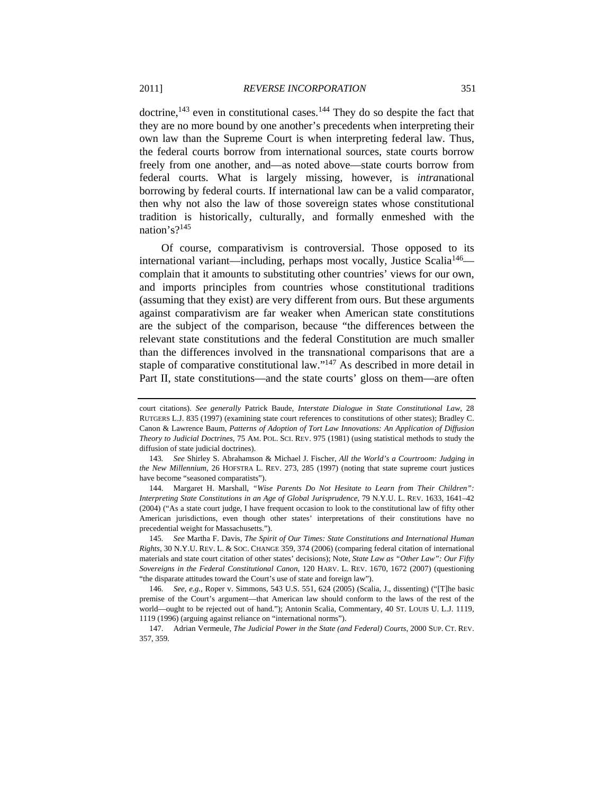doctrine,<sup>143</sup> even in constitutional cases.<sup>144</sup> They do so despite the fact that they are no more bound by one another's precedents when interpreting their own law than the Supreme Court is when interpreting federal law. Thus, the federal courts borrow from international sources, state courts borrow freely from one another, and—as noted above—state courts borrow from federal courts. What is largely missing, however, is *intra*national borrowing by federal courts. If international law can be a valid comparator, then why not also the law of those sovereign states whose constitutional tradition is historically, culturally, and formally enmeshed with the nation's?<sup>145</sup>

Of course, comparativism is controversial. Those opposed to its international variant—including, perhaps most vocally, Justice Scalia<sup>146</sup> complain that it amounts to substituting other countries' views for our own, and imports principles from countries whose constitutional traditions (assuming that they exist) are very different from ours. But these arguments against comparativism are far weaker when American state constitutions are the subject of the comparison, because "the differences between the relevant state constitutions and the federal Constitution are much smaller than the differences involved in the transnational comparisons that are a staple of comparative constitutional law."147 As described in more detail in Part II, state constitutions—and the state courts' gloss on them—are often

 144. Margaret H. Marshall, *"Wise Parents Do Not Hesitate to Learn from Their Children": Interpreting State Constitutions in an Age of Global Jurisprudence*, 79 N.Y.U. L. REV. 1633, 1641–42 (2004) ("As a state court judge, I have frequent occasion to look to the constitutional law of fifty other American jurisdictions, even though other states' interpretations of their constitutions have no precedential weight for Massachusetts.").

145*. See* Martha F. Davis, *The Spirit of Our Times: State Constitutions and International Human Rights*, 30 N.Y.U. REV. L. & SOC. CHANGE 359, 374 (2006) (comparing federal citation of international materials and state court citation of other states' decisions); Note, *State Law as "Other Law": Our Fifty Sovereigns in the Federal Constitutional Canon*, 120 HARV. L. REV. 1670, 1672 (2007) (questioning "the disparate attitudes toward the Court's use of state and foreign law").

146*. See, e.g.*, Roper v. Simmons, 543 U.S. 551, 624 (2005) (Scalia, J., dissenting) ("[T]he basic premise of the Court's argument—that American law should conform to the laws of the rest of the world—ought to be rejected out of hand."); Antonin Scalia, Commentary, 40 ST. LOUIS U. L.J. 1119, 1119 (1996) (arguing against reliance on "international norms").

 147. Adrian Vermeule, *The Judicial Power in the State (and Federal) Courts*, 2000 SUP. CT. REV. 357, 359.

court citations). *See generally* Patrick Baude, *Interstate Dialogue in State Constitutional Law*, 28 RUTGERS L.J. 835 (1997) (examining state court references to constitutions of other states); Bradley C. Canon & Lawrence Baum, *Patterns of Adoption of Tort Law Innovations: An Application of Diffusion Theory to Judicial Doctrines*, 75 AM. POL. SCI. REV. 975 (1981) (using statistical methods to study the diffusion of state judicial doctrines).

<sup>143</sup>*. See* Shirley S. Abrahamson & Michael J. Fischer, *All the World's a Courtroom: Judging in the New Millennium*, 26 HOFSTRA L. REV. 273, 285 (1997) (noting that state supreme court justices have become "seasoned comparatists").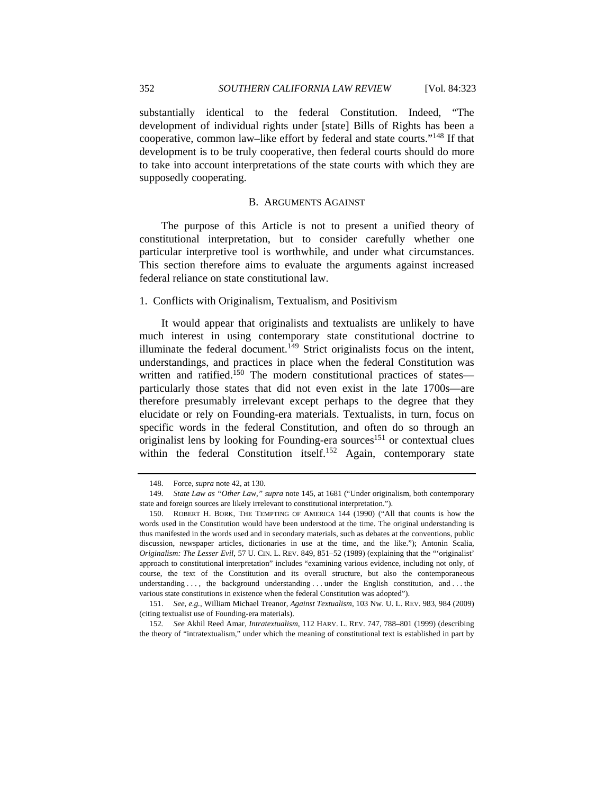substantially identical to the federal Constitution. Indeed, "The development of individual rights under [state] Bills of Rights has been a cooperative, common law–like effort by federal and state courts."148 If that development is to be truly cooperative, then federal courts should do more to take into account interpretations of the state courts with which they are supposedly cooperating.

#### B. ARGUMENTS AGAINST

The purpose of this Article is not to present a unified theory of constitutional interpretation, but to consider carefully whether one particular interpretive tool is worthwhile, and under what circumstances. This section therefore aims to evaluate the arguments against increased federal reliance on state constitutional law.

#### 1. Conflicts with Originalism, Textualism, and Positivism

It would appear that originalists and textualists are unlikely to have much interest in using contemporary state constitutional doctrine to illuminate the federal document.<sup>149</sup> Strict originalists focus on the intent, understandings, and practices in place when the federal Constitution was written and ratified.<sup>150</sup> The modern constitutional practices of states particularly those states that did not even exist in the late 1700s—are therefore presumably irrelevant except perhaps to the degree that they elucidate or rely on Founding-era materials. Textualists, in turn, focus on specific words in the federal Constitution, and often do so through an originalist lens by looking for Founding-era sources<sup>151</sup> or contextual clues within the federal Constitution itself.<sup>152</sup> Again, contemporary state

152*. See* Akhil Reed Amar, *Intratextualism*, 112 HARV. L. REV. 747, 788–801 (1999) (describing the theory of "intratextualism," under which the meaning of constitutional text is established in part by

 <sup>148.</sup> Force, *supra* note 42, at 130.

<sup>149</sup>*. State Law as "Other Law*,*" supra* note 145, at 1681 ("Under originalism, both contemporary state and foreign sources are likely irrelevant to constitutional interpretation.").

 <sup>150.</sup> ROBERT H. BORK, THE TEMPTING OF AMERICA 144 (1990) ("All that counts is how the words used in the Constitution would have been understood at the time. The original understanding is thus manifested in the words used and in secondary materials, such as debates at the conventions, public discussion, newspaper articles, dictionaries in use at the time, and the like."); Antonin Scalia, *Originalism: The Lesser Evil*, 57 U. CIN. L. REV. 849, 851–52 (1989) (explaining that the "'originalist' approach to constitutional interpretation" includes "examining various evidence, including not only, of course, the text of the Constitution and its overall structure, but also the contemporaneous understanding . . . , the background understanding . . . under the English constitution, and . . . the various state constitutions in existence when the federal Constitution was adopted").

 <sup>151.</sup> *See, e.g.*, William Michael Treanor, *Against Textualism*, 103 Nw. U. L. REV. 983, 984 (2009) (citing textualist use of Founding-era materials).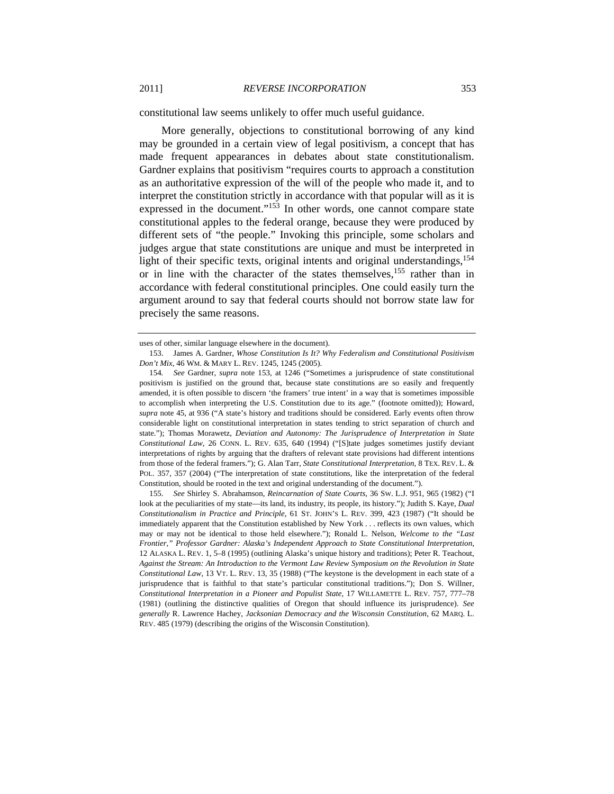constitutional law seems unlikely to offer much useful guidance.

More generally, objections to constitutional borrowing of any kind may be grounded in a certain view of legal positivism, a concept that has made frequent appearances in debates about state constitutionalism. Gardner explains that positivism "requires courts to approach a constitution as an authoritative expression of the will of the people who made it, and to interpret the constitution strictly in accordance with that popular will as it is expressed in the document."<sup>153</sup> In other words, one cannot compare state constitutional apples to the federal orange, because they were produced by different sets of "the people." Invoking this principle, some scholars and judges argue that state constitutions are unique and must be interpreted in light of their specific texts, original intents and original understandings,  $154$ or in line with the character of the states themselves,<sup>155</sup> rather than in accordance with federal constitutional principles. One could easily turn the argument around to say that federal courts should not borrow state law for precisely the same reasons.

uses of other, similar language elsewhere in the document).

 <sup>153.</sup> James A. Gardner, *Whose Constitution Is It? Why Federalism and Constitutional Positivism Don't Mix*, 46 WM. & MARY L. REV. 1245, 1245 (2005).

<sup>154</sup>*. See* Gardner, *supra* note 153, at 1246 ("Sometimes a jurisprudence of state constitutional positivism is justified on the ground that, because state constitutions are so easily and frequently amended, it is often possible to discern 'the framers' true intent' in a way that is sometimes impossible to accomplish when interpreting the U.S. Constitution due to its age." (footnote omitted)); Howard, *supra* note 45, at 936 ("A state's history and traditions should be considered. Early events often throw considerable light on constitutional interpretation in states tending to strict separation of church and state."); Thomas Morawetz, *Deviation and Autonomy: The Jurisprudence of Interpretation in State Constitutional Law*, 26 CONN. L. REV. 635, 640 (1994) ("[S]tate judges sometimes justify deviant interpretations of rights by arguing that the drafters of relevant state provisions had different intentions from those of the federal framers."); G. Alan Tarr, *State Constitutional Interpretation*, 8 TEX. REV. L. & POL. 357, 357 (2004) ("The interpretation of state constitutions, like the interpretation of the federal Constitution, should be rooted in the text and original understanding of the document.").

 <sup>155.</sup> *See* Shirley S. Abrahamson, *Reincarnation of State Courts*, 36 SW. L.J. 951, 965 (1982) ("I look at the peculiarities of my state—its land, its industry, its people, its history."); Judith S. Kaye, *Dual Constitutionalism in Practice and Principle*, 61 ST. JOHN'S L. REV. 399, 423 (1987) ("It should be immediately apparent that the Constitution established by New York . . . reflects its own values, which may or may not be identical to those held elsewhere."); Ronald L. Nelson, *Welcome to the "Last Frontier," Professor Gardner: Alaska's Independent Approach to State Constitutional Interpretation*, 12 ALASKA L. REV. 1, 5–8 (1995) (outlining Alaska's unique history and traditions); Peter R. Teachout, *Against the Stream: An Introduction to the Vermont Law Review Symposium on the Revolution in State Constitutional Law*, 13 VT. L. REV. 13, 35 (1988) ("The keystone is the development in each state of a jurisprudence that is faithful to that state's particular constitutional traditions."); Don S. Willner, *Constitutional Interpretation in a Pioneer and Populist State*, 17 WILLAMETTE L. REV. 757, 777–78 (1981) (outlining the distinctive qualities of Oregon that should influence its jurisprudence). *See generally* R. Lawrence Hachey, *Jacksonian Democracy and the Wisconsin Constitution*, 62 MARQ. L. REV. 485 (1979) (describing the origins of the Wisconsin Constitution).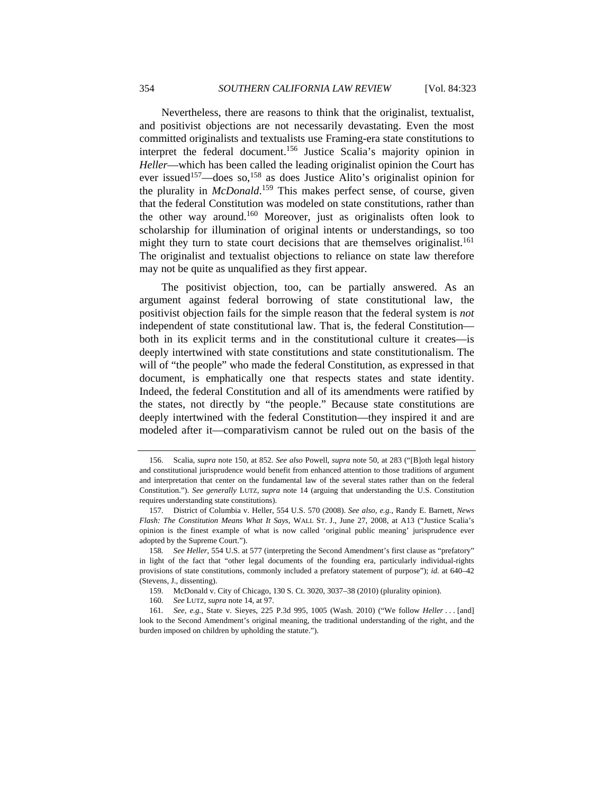Nevertheless, there are reasons to think that the originalist, textualist, and positivist objections are not necessarily devastating. Even the most committed originalists and textualists use Framing-era state constitutions to interpret the federal document.156 Justice Scalia's majority opinion in *Heller*—which has been called the leading originalist opinion the Court has ever issued<sup>157</sup>—does so,<sup>158</sup> as does Justice Alito's originalist opinion for the plurality in *McDonald*. 159 This makes perfect sense, of course, given that the federal Constitution was modeled on state constitutions, rather than the other way around.160 Moreover, just as originalists often look to scholarship for illumination of original intents or understandings, so too might they turn to state court decisions that are themselves originalist.<sup>161</sup> The originalist and textualist objections to reliance on state law therefore may not be quite as unqualified as they first appear.

The positivist objection, too, can be partially answered. As an argument against federal borrowing of state constitutional law, the positivist objection fails for the simple reason that the federal system is *not* independent of state constitutional law. That is, the federal Constitution both in its explicit terms and in the constitutional culture it creates—is deeply intertwined with state constitutions and state constitutionalism. The will of "the people" who made the federal Constitution, as expressed in that document, is emphatically one that respects states and state identity. Indeed, the federal Constitution and all of its amendments were ratified by the states, not directly by "the people." Because state constitutions are deeply intertwined with the federal Constitution—they inspired it and are modeled after it—comparativism cannot be ruled out on the basis of the

 <sup>156.</sup> Scalia, *supra* note 150, at 852. *See also* Powell, *supra* note 50, at 283 ("[B]oth legal history and constitutional jurisprudence would benefit from enhanced attention to those traditions of argument and interpretation that center on the fundamental law of the several states rather than on the federal Constitution."). *See generally* LUTZ, *supra* note 14 (arguing that understanding the U.S. Constitution requires understanding state constitutions).

 <sup>157.</sup> District of Columbia v. Heller, 554 U.S. 570 (2008). *See also, e.g.*, Randy E. Barnett, *News Flash: The Constitution Means What It Says*, WALL ST. J., June 27, 2008, at A13 ("Justice Scalia's opinion is the finest example of what is now called 'original public meaning' jurisprudence ever adopted by the Supreme Court.").

<sup>158</sup>*. See Heller*, 554 U.S. at 577 (interpreting the Second Amendment's first clause as "prefatory" in light of the fact that "other legal documents of the founding era, particularly individual-rights provisions of state constitutions, commonly included a prefatory statement of purpose"); *id.* at 640–42 (Stevens, J., dissenting).

<sup>159</sup>*.* McDonald v. City of Chicago, 130 S. Ct. 3020, 3037–38 (2010) (plurality opinion).

<sup>160</sup>*. See* LUTZ, *supra* note 14, at 97.

<sup>161</sup>*. See, e.g.*, State v. Sieyes, 225 P.3d 995, 1005 (Wash. 2010) ("We follow *Heller* . . . [and] look to the Second Amendment's original meaning, the traditional understanding of the right, and the burden imposed on children by upholding the statute.").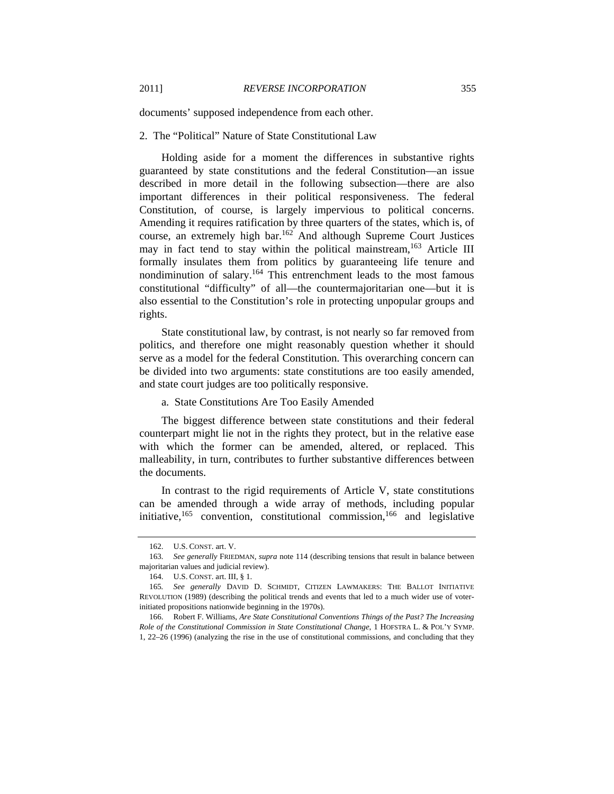documents' supposed independence from each other.

#### 2. The "Political" Nature of State Constitutional Law

Holding aside for a moment the differences in substantive rights guaranteed by state constitutions and the federal Constitution—an issue described in more detail in the following subsection—there are also important differences in their political responsiveness. The federal Constitution, of course, is largely impervious to political concerns. Amending it requires ratification by three quarters of the states, which is, of course, an extremely high bar.162 And although Supreme Court Justices may in fact tend to stay within the political mainstream,<sup>163</sup> Article III formally insulates them from politics by guaranteeing life tenure and nondiminution of salary.164 This entrenchment leads to the most famous constitutional "difficulty" of all—the countermajoritarian one—but it is also essential to the Constitution's role in protecting unpopular groups and rights.

State constitutional law, by contrast, is not nearly so far removed from politics, and therefore one might reasonably question whether it should serve as a model for the federal Constitution. This overarching concern can be divided into two arguments: state constitutions are too easily amended, and state court judges are too politically responsive.

#### a. State Constitutions Are Too Easily Amended

The biggest difference between state constitutions and their federal counterpart might lie not in the rights they protect, but in the relative ease with which the former can be amended, altered, or replaced. This malleability, in turn, contributes to further substantive differences between the documents.

In contrast to the rigid requirements of Article V, state constitutions can be amended through a wide array of methods, including popular initiative, $165$  convention, constitutional commission, $166$  and legislative

 <sup>162.</sup> U.S. CONST. art. V.

<sup>163</sup>*. See generally* FRIEDMAN, *supra* note 114 (describing tensions that result in balance between majoritarian values and judicial review).

 <sup>164.</sup> U.S. CONST. art. III, § 1.

<sup>165</sup>*. See generally* DAVID D. SCHMIDT, CITIZEN LAWMAKERS: THE BALLOT INITIATIVE REVOLUTION (1989) (describing the political trends and events that led to a much wider use of voterinitiated propositions nationwide beginning in the 1970s).

 <sup>166.</sup> Robert F. Williams, *Are State Constitutional Conventions Things of the Past? The Increasing Role of the Constitutional Commission in State Constitutional Change*, 1 HOFSTRA L. & POL'Y SYMP. 1, 22–26 (1996) (analyzing the rise in the use of constitutional commissions, and concluding that they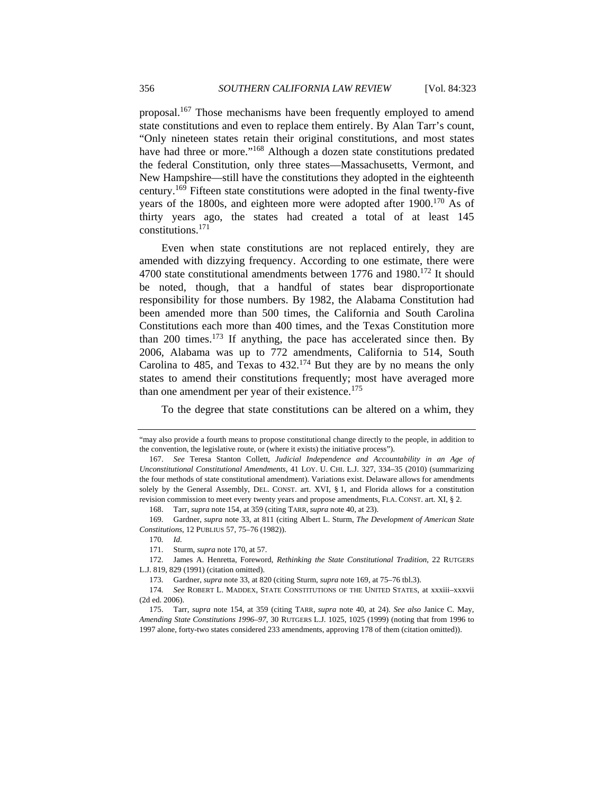proposal.<sup>167</sup> Those mechanisms have been frequently employed to amend state constitutions and even to replace them entirely. By Alan Tarr's count, "Only nineteen states retain their original constitutions, and most states have had three or more."<sup>168</sup> Although a dozen state constitutions predated the federal Constitution, only three states—Massachusetts, Vermont, and New Hampshire—still have the constitutions they adopted in the eighteenth century.169 Fifteen state constitutions were adopted in the final twenty-five years of the 1800s, and eighteen more were adopted after  $1900$ .<sup>170</sup> As of thirty years ago, the states had created a total of at least 145 constitutions.171

Even when state constitutions are not replaced entirely, they are amended with dizzying frequency. According to one estimate, there were 4700 state constitutional amendments between 1776 and 1980.<sup>172</sup> It should be noted, though, that a handful of states bear disproportionate responsibility for those numbers. By 1982, the Alabama Constitution had been amended more than 500 times, the California and South Carolina Constitutions each more than 400 times, and the Texas Constitution more than 200 times.<sup>173</sup> If anything, the pace has accelerated since then. By 2006, Alabama was up to 772 amendments, California to 514, South Carolina to 485, and Texas to  $432.<sup>174</sup>$  But they are by no means the only states to amend their constitutions frequently; most have averaged more than one amendment per year of their existence.<sup>175</sup>

To the degree that state constitutions can be altered on a whim, they

168. Tarr, *supra* note 154, at 359 (citing TARR, *supra* note 40, at 23).

 169. Gardner, *supra* note 33, at 811 (citing Albert L. Sturm, *The Development of American State Constitutions*, 12 PUBLIUS 57, 75–76 (1982)).

170*. Id.*

 172. James A. Henretta, Foreword, *Rethinking the State Constitutional Tradition*, 22 RUTGERS L.J. 819, 829 (1991) (citation omitted).

<sup>&</sup>quot;may also provide a fourth means to propose constitutional change directly to the people, in addition to the convention, the legislative route, or (where it exists) the initiative process").

 <sup>167.</sup> *See* Teresa Stanton Collett, *Judicial Independence and Accountability in an Age of Unconstitutional Constitutional Amendments*, 41 LOY. U. CHI. L.J. 327, 334–35 (2010) (summarizing the four methods of state constitutional amendment). Variations exist. Delaware allows for amendments solely by the General Assembly, DEL. CONST. art. XVI, § 1, and Florida allows for a constitution revision commission to meet every twenty years and propose amendments, FLA. CONST. art. XI, § 2.

 <sup>171.</sup> Sturm, *supra* note 170, at 57.

 <sup>173.</sup> Gardner, *supra* note 33, at 820 (citing Sturm, *supra* note 169, at 75–76 tbl.3).

<sup>174</sup>*. See* ROBERT L. MADDEX, STATE CONSTITUTIONS OF THE UNITED STATES, at xxxiii–xxxvii (2d ed. 2006).

 <sup>175.</sup> Tarr, *supra* note 154, at 359 (citing TARR, *supra* note 40, at 24). *See also* Janice C. May, *Amending State Constitutions 1996–97*, 30 RUTGERS L.J. 1025, 1025 (1999) (noting that from 1996 to 1997 alone, forty-two states considered 233 amendments, approving 178 of them (citation omitted)).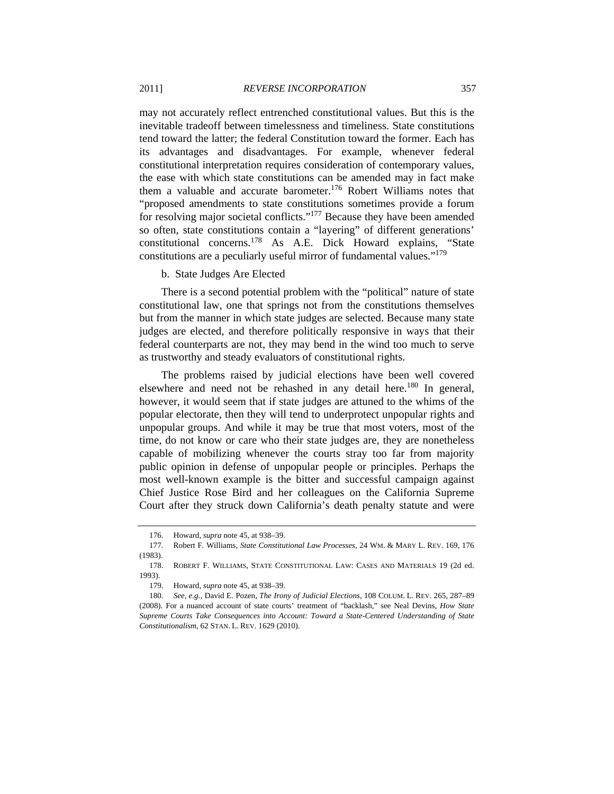may not accurately reflect entrenched constitutional values. But this is the inevitable tradeoff between timelessness and timeliness. State constitutions tend toward the latter; the federal Constitution toward the former. Each has its advantages and disadvantages. For example, whenever federal constitutional interpretation requires consideration of contemporary values, the ease with which state constitutions can be amended may in fact make them a valuable and accurate barometer.<sup>176</sup> Robert Williams notes that "proposed amendments to state constitutions sometimes provide a forum for resolving major societal conflicts."177 Because they have been amended so often, state constitutions contain a "layering" of different generations' constitutional concerns.178 As A.E. Dick Howard explains, "State constitutions are a peculiarly useful mirror of fundamental values."<sup>179</sup>

b. State Judges Are Elected

There is a second potential problem with the "political" nature of state constitutional law, one that springs not from the constitutions themselves but from the manner in which state judges are selected. Because many state judges are elected, and therefore politically responsive in ways that their federal counterparts are not, they may bend in the wind too much to serve as trustworthy and steady evaluators of constitutional rights.

The problems raised by judicial elections have been well covered elsewhere and need not be rehashed in any detail here.<sup>180</sup> In general, however, it would seem that if state judges are attuned to the whims of the popular electorate, then they will tend to underprotect unpopular rights and unpopular groups. And while it may be true that most voters, most of the time, do not know or care who their state judges are, they are nonetheless capable of mobilizing whenever the courts stray too far from majority public opinion in defense of unpopular people or principles. Perhaps the most well-known example is the bitter and successful campaign against Chief Justice Rose Bird and her colleagues on the California Supreme Court after they struck down California's death penalty statute and were

 <sup>176.</sup> Howard, *supra* note 45, at 938–39.

 <sup>177.</sup> Robert F. Williams, *State Constitutional Law Processes*, 24 WM. & MARY L. REV. 169, 176 (1983).

 <sup>178.</sup> ROBERT F. WILLIAMS, STATE CONSTITUTIONAL LAW: CASES AND MATERIALS 19 (2d ed. 1993).

 <sup>179.</sup> Howard, *supra* note 45, at 938–39.

<sup>180</sup>*. See, e.g.*, David E. Pozen, *The Irony of Judicial Elections*, 108 COLUM. L. REV. 265, 287–89 (2008). For a nuanced account of state courts' treatment of "backlash," see Neal Devins, *How State Supreme Courts Take Consequences into Account: Toward a State-Centered Understanding of State Constitutionalism*, 62 STAN. L. REV. 1629 (2010).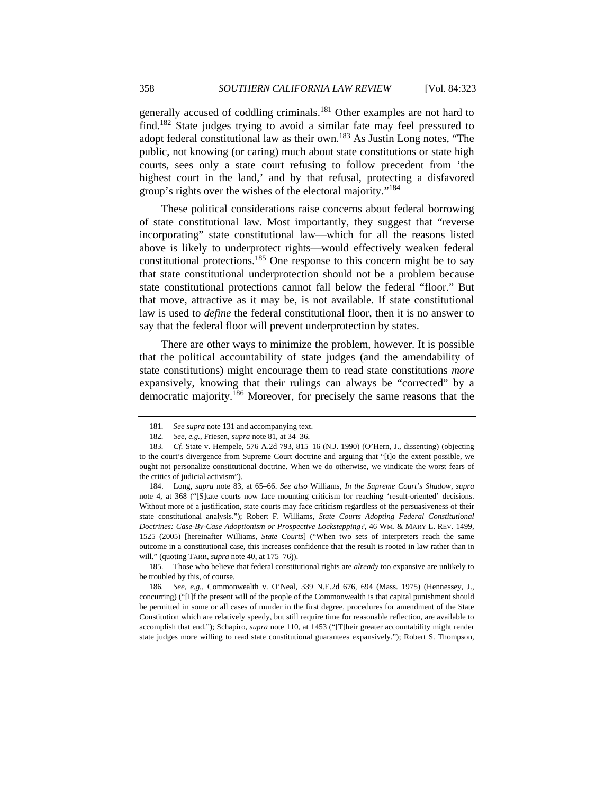generally accused of coddling criminals.<sup>181</sup> Other examples are not hard to find.182 State judges trying to avoid a similar fate may feel pressured to adopt federal constitutional law as their own.183 As Justin Long notes, "The public, not knowing (or caring) much about state constitutions or state high courts, sees only a state court refusing to follow precedent from 'the highest court in the land,' and by that refusal, protecting a disfavored group's rights over the wishes of the electoral majority."184

These political considerations raise concerns about federal borrowing of state constitutional law. Most importantly, they suggest that "reverse incorporating" state constitutional law—which for all the reasons listed above is likely to underprotect rights—would effectively weaken federal constitutional protections.185 One response to this concern might be to say that state constitutional underprotection should not be a problem because state constitutional protections cannot fall below the federal "floor." But that move, attractive as it may be, is not available. If state constitutional law is used to *define* the federal constitutional floor, then it is no answer to say that the federal floor will prevent underprotection by states.

There are other ways to minimize the problem, however. It is possible that the political accountability of state judges (and the amendability of state constitutions) might encourage them to read state constitutions *more* expansively, knowing that their rulings can always be "corrected" by a democratic majority.186 Moreover, for precisely the same reasons that the

<sup>181</sup>*. See supra* note 131 and accompanying text.

<sup>182</sup>*. See, e.g.*, Friesen, *supra* note 81, at 34–36.

<sup>183</sup>*. Cf.* State v. Hempele, 576 A.2d 793, 815–16 (N.J. 1990) (O'Hern, J., dissenting) (objecting to the court's divergence from Supreme Court doctrine and arguing that "[t]o the extent possible, we ought not personalize constitutional doctrine. When we do otherwise, we vindicate the worst fears of the critics of judicial activism").

 <sup>184.</sup> Long, *supra* note 83, at 65–66. *See also* Williams, *In the Supreme Court's Shadow*, *supra* note 4, at 368 ("[S]tate courts now face mounting criticism for reaching 'result-oriented' decisions. Without more of a justification, state courts may face criticism regardless of the persuasiveness of their state constitutional analysis."); Robert F. Williams, *State Courts Adopting Federal Constitutional Doctrines: Case-By-Case Adoptionism or Prospective Lockstepping?*, 46 WM. & MARY L. REV. 1499, 1525 (2005) [hereinafter Williams, *State Courts*] ("When two sets of interpreters reach the same outcome in a constitutional case, this increases confidence that the result is rooted in law rather than in will." (quoting TARR, *supra* note 40, at 175–76)).

 <sup>185.</sup> Those who believe that federal constitutional rights are *already* too expansive are unlikely to be troubled by this, of course.

<sup>186</sup>*. See, e.g.*, Commonwealth v. O'Neal, 339 N.E.2d 676, 694 (Mass. 1975) (Hennessey, J., concurring) ("[I]f the present will of the people of the Commonwealth is that capital punishment should be permitted in some or all cases of murder in the first degree, procedures for amendment of the State Constitution which are relatively speedy, but still require time for reasonable reflection, are available to accomplish that end."); Schapiro, *supra* note 110, at 1453 ("[T]heir greater accountability might render state judges more willing to read state constitutional guarantees expansively."); Robert S. Thompson,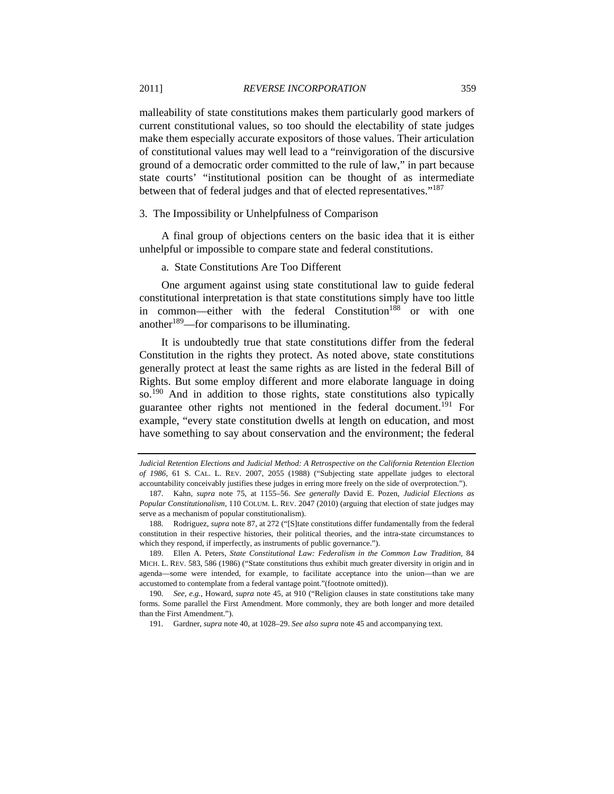malleability of state constitutions makes them particularly good markers of current constitutional values, so too should the electability of state judges make them especially accurate expositors of those values. Their articulation of constitutional values may well lead to a "reinvigoration of the discursive ground of a democratic order committed to the rule of law," in part because state courts' "institutional position can be thought of as intermediate between that of federal judges and that of elected representatives."<sup>187</sup>

#### 3. The Impossibility or Unhelpfulness of Comparison

A final group of objections centers on the basic idea that it is either unhelpful or impossible to compare state and federal constitutions.

## a. State Constitutions Are Too Different

One argument against using state constitutional law to guide federal constitutional interpretation is that state constitutions simply have too little in common—either with the federal Constitution<sup>188</sup> or with one another<sup>189</sup>—for comparisons to be illuminating.

It is undoubtedly true that state constitutions differ from the federal Constitution in the rights they protect. As noted above, state constitutions generally protect at least the same rights as are listed in the federal Bill of Rights. But some employ different and more elaborate language in doing so.<sup>190</sup> And in addition to those rights, state constitutions also typically guarantee other rights not mentioned in the federal document.<sup>191</sup> For example, "every state constitution dwells at length on education, and most have something to say about conservation and the environment; the federal

*Judicial Retention Elections and Judicial Method: A Retrospective on the California Retention Election of 1986*, 61 S. CAL. L. REV. 2007, 2055 (1988) ("Subjecting state appellate judges to electoral accountability conceivably justifies these judges in erring more freely on the side of overprotection.").

 <sup>187.</sup> Kahn, *supra* note 75, at 1155–56. *See generally* David E. Pozen, *Judicial Elections as Popular Constitutionalism*, 110 COLUM. L. REV. 2047 (2010) (arguing that election of state judges may serve as a mechanism of popular constitutionalism).

<sup>188.</sup> Rodriguez, *supra* note 87, at 272 ("[S]tate constitutions differ fundamentally from the federal constitution in their respective histories, their political theories, and the intra-state circumstances to which they respond, if imperfectly, as instruments of public governance.").

 <sup>189.</sup> Ellen A. Peters, *State Constitutional Law: Federalism in the Common Law Tradition*, 84 MICH. L. REV. 583, 586 (1986) ("State constitutions thus exhibit much greater diversity in origin and in agenda—some were intended, for example, to facilitate acceptance into the union—than we are accustomed to contemplate from a federal vantage point."(footnote omitted)).

<sup>190</sup>*. See, e.g.*, Howard, *supra* note 45, at 910 ("Religion clauses in state constitutions take many forms. Some parallel the First Amendment. More commonly, they are both longer and more detailed than the First Amendment.").

 <sup>191.</sup> Gardner, *supra* note 40, at 1028–29. *See also supra* note 45 and accompanying text.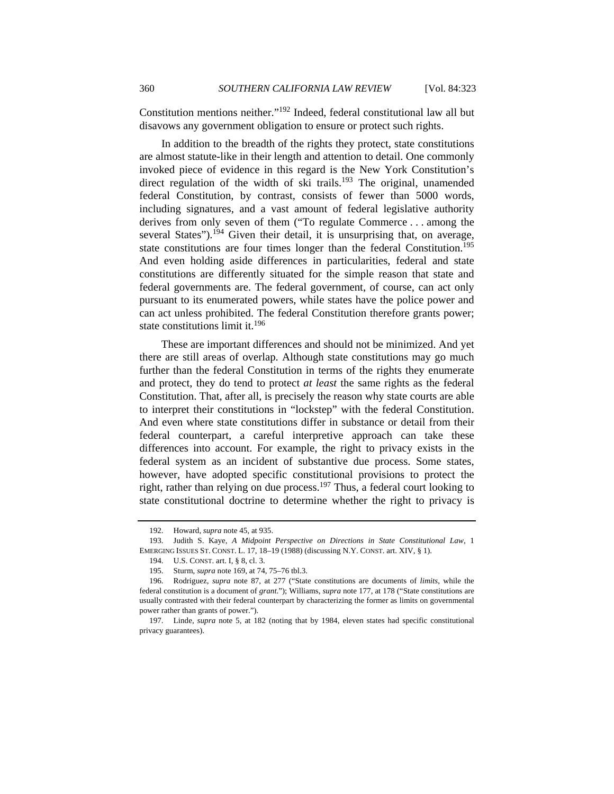Constitution mentions neither."192 Indeed, federal constitutional law all but disavows any government obligation to ensure or protect such rights.

In addition to the breadth of the rights they protect, state constitutions are almost statute-like in their length and attention to detail. One commonly invoked piece of evidence in this regard is the New York Constitution's direct regulation of the width of ski trails.<sup>193</sup> The original, unamended federal Constitution, by contrast, consists of fewer than 5000 words, including signatures, and a vast amount of federal legislative authority derives from only seven of them ("To regulate Commerce . . . among the several States").<sup>194</sup> Given their detail, it is unsurprising that, on average, state constitutions are four times longer than the federal Constitution.<sup>195</sup> And even holding aside differences in particularities, federal and state constitutions are differently situated for the simple reason that state and federal governments are. The federal government, of course, can act only pursuant to its enumerated powers, while states have the police power and can act unless prohibited. The federal Constitution therefore grants power; state constitutions limit it.<sup>196</sup>

These are important differences and should not be minimized. And yet there are still areas of overlap. Although state constitutions may go much further than the federal Constitution in terms of the rights they enumerate and protect, they do tend to protect *at least* the same rights as the federal Constitution. That, after all, is precisely the reason why state courts are able to interpret their constitutions in "lockstep" with the federal Constitution. And even where state constitutions differ in substance or detail from their federal counterpart, a careful interpretive approach can take these differences into account. For example, the right to privacy exists in the federal system as an incident of substantive due process. Some states, however, have adopted specific constitutional provisions to protect the right, rather than relying on due process.197 Thus, a federal court looking to state constitutional doctrine to determine whether the right to privacy is

 <sup>192.</sup> Howard, *supra* note 45, at 935.

 <sup>193.</sup> Judith S. Kaye, *A Midpoint Perspective on Directions in State Constitutional Law*, 1 EMERGING ISSUES ST. CONST. L. 17, 18–19 (1988) (discussing N.Y. CONST. art. XIV, § 1).

 <sup>194.</sup> U.S. CONST. art. I, § 8, cl. 3.

 <sup>195.</sup> Sturm, *supra* note 169, at 74, 75–76 tbl.3.

 <sup>196.</sup> Rodriguez, *supra* note 87, at 277 ("State constitutions are documents of *limits*, while the federal constitution is a document of *grant*."); Williams, *supra* note 177, at 178 ("State constitutions are usually contrasted with their federal counterpart by characterizing the former as limits on governmental power rather than grants of power.").

 <sup>197.</sup> Linde, *supra* note 5, at 182 (noting that by 1984, eleven states had specific constitutional privacy guarantees).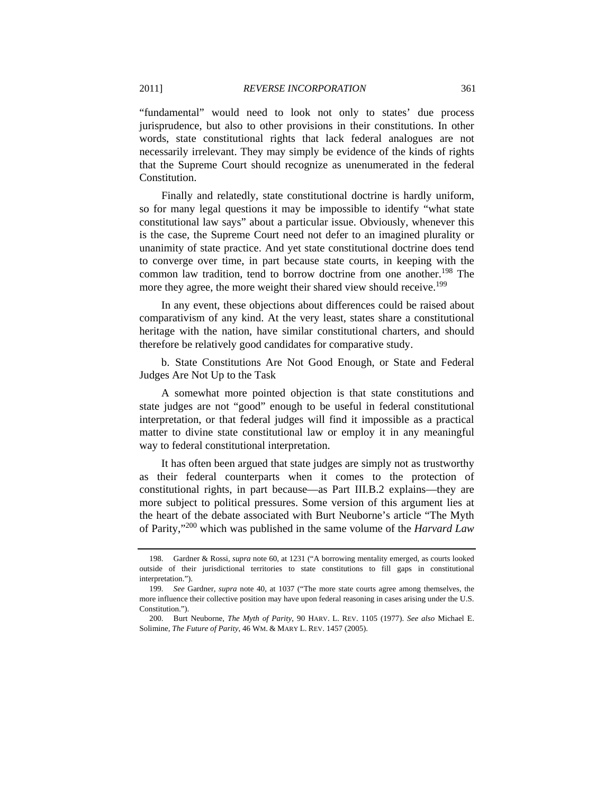"fundamental" would need to look not only to states' due process jurisprudence, but also to other provisions in their constitutions. In other words, state constitutional rights that lack federal analogues are not necessarily irrelevant. They may simply be evidence of the kinds of rights that the Supreme Court should recognize as unenumerated in the federal Constitution.

Finally and relatedly, state constitutional doctrine is hardly uniform, so for many legal questions it may be impossible to identify "what state constitutional law says" about a particular issue. Obviously, whenever this is the case, the Supreme Court need not defer to an imagined plurality or unanimity of state practice. And yet state constitutional doctrine does tend to converge over time, in part because state courts, in keeping with the common law tradition, tend to borrow doctrine from one another.<sup>198</sup> The more they agree, the more weight their shared view should receive.<sup>199</sup>

In any event, these objections about differences could be raised about comparativism of any kind. At the very least, states share a constitutional heritage with the nation, have similar constitutional charters, and should therefore be relatively good candidates for comparative study.

b. State Constitutions Are Not Good Enough, or State and Federal Judges Are Not Up to the Task

A somewhat more pointed objection is that state constitutions and state judges are not "good" enough to be useful in federal constitutional interpretation, or that federal judges will find it impossible as a practical matter to divine state constitutional law or employ it in any meaningful way to federal constitutional interpretation.

It has often been argued that state judges are simply not as trustworthy as their federal counterparts when it comes to the protection of constitutional rights, in part because—as Part III.B.2 explains—they are more subject to political pressures. Some version of this argument lies at the heart of the debate associated with Burt Neuborne's article "The Myth of Parity,"200 which was published in the same volume of the *Harvard Law* 

 <sup>198.</sup> Gardner & Rossi, *supra* note 60, at 1231 ("A borrowing mentality emerged, as courts looked outside of their jurisdictional territories to state constitutions to fill gaps in constitutional interpretation.").

<sup>199</sup>*. See* Gardner, *supra* note 40, at 1037 ("The more state courts agree among themselves, the more influence their collective position may have upon federal reasoning in cases arising under the U.S. Constitution.").

 <sup>200.</sup> Burt Neuborne, *The Myth of Parity*, 90 HARV. L. REV. 1105 (1977). *See also* Michael E. Solimine, *The Future of Parity*, 46 WM. & MARY L. REV. 1457 (2005).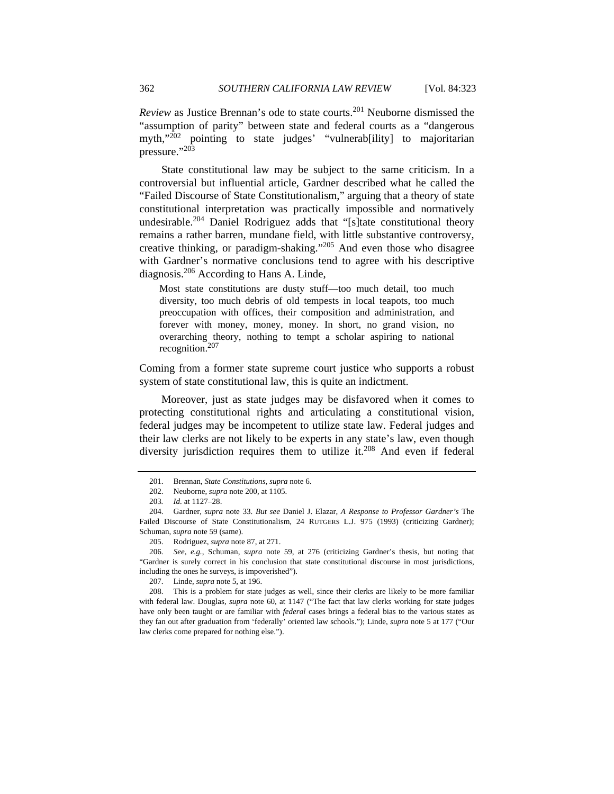*Review* as Justice Brennan's ode to state courts.<sup>201</sup> Neuborne dismissed the "assumption of parity" between state and federal courts as a "dangerous myth,"<sup>202</sup> pointing to state judges' "vulnerab[ility] to majoritarian pressure."203

State constitutional law may be subject to the same criticism. In a controversial but influential article, Gardner described what he called the "Failed Discourse of State Constitutionalism," arguing that a theory of state constitutional interpretation was practically impossible and normatively undesirable.<sup>204</sup> Daniel Rodriguez adds that "[s]tate constitutional theory remains a rather barren, mundane field, with little substantive controversy, creative thinking, or paradigm-shaking."<sup>205</sup> And even those who disagree with Gardner's normative conclusions tend to agree with his descriptive diagnosis.206 According to Hans A. Linde,

Most state constitutions are dusty stuff—too much detail, too much diversity, too much debris of old tempests in local teapots, too much preoccupation with offices, their composition and administration, and forever with money, money, money. In short, no grand vision, no overarching theory, nothing to tempt a scholar aspiring to national recognition.<sup>207</sup>

Coming from a former state supreme court justice who supports a robust system of state constitutional law, this is quite an indictment.

Moreover, just as state judges may be disfavored when it comes to protecting constitutional rights and articulating a constitutional vision, federal judges may be incompetent to utilize state law. Federal judges and their law clerks are not likely to be experts in any state's law, even though diversity jurisdiction requires them to utilize it. $208$  And even if federal

 <sup>201.</sup> Brennan, *State Constitutions*, *supra* note 6.

 <sup>202.</sup> Neuborne, *supra* note 200, at 1105.

<sup>203</sup>*. Id.* at 1127–28.

 <sup>204.</sup> Gardner, *supra* note 33. *But see* Daniel J. Elazar, *A Response to Professor Gardner's* The Failed Discourse of State Constitutionalism, 24 RUTGERS L.J. 975 (1993) (criticizing Gardner); Schuman, *supra* note 59 (same).

 <sup>205.</sup> Rodriguez, *supra* note 87, at 271.

<sup>206</sup>*. See, e.g.*, Schuman, *supra* note 59, at 276 (criticizing Gardner's thesis, but noting that "Gardner is surely correct in his conclusion that state constitutional discourse in most jurisdictions, including the ones he surveys, is impoverished").

 <sup>207.</sup> Linde, *supra* note 5, at 196.

 <sup>208.</sup> This is a problem for state judges as well, since their clerks are likely to be more familiar with federal law. Douglas, *supra* note 60, at 1147 ("The fact that law clerks working for state judges have only been taught or are familiar with *federal* cases brings a federal bias to the various states as they fan out after graduation from 'federally' oriented law schools."); Linde, *supra* note 5 at 177 ("Our law clerks come prepared for nothing else.").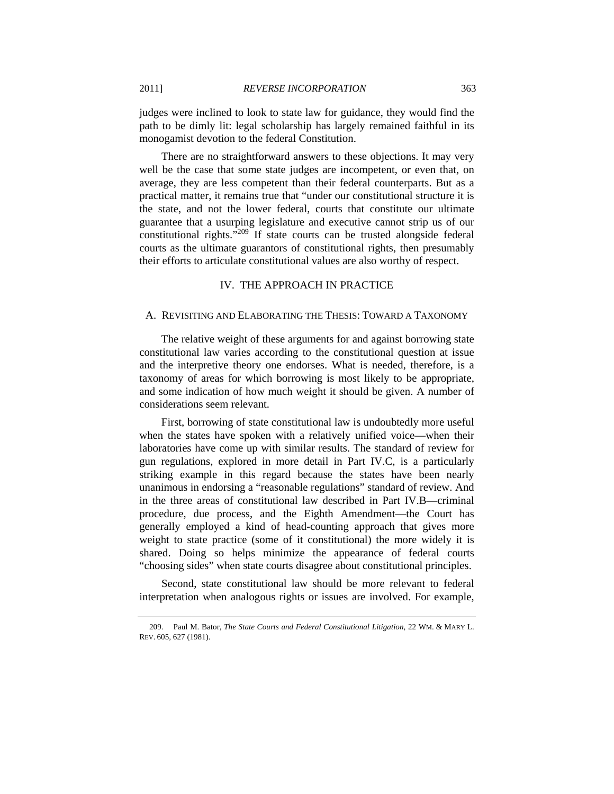judges were inclined to look to state law for guidance, they would find the path to be dimly lit: legal scholarship has largely remained faithful in its monogamist devotion to the federal Constitution.

There are no straightforward answers to these objections. It may very well be the case that some state judges are incompetent, or even that, on average, they are less competent than their federal counterparts. But as a practical matter, it remains true that "under our constitutional structure it is the state, and not the lower federal, courts that constitute our ultimate guarantee that a usurping legislature and executive cannot strip us of our constitutional rights. $1209$  If state courts can be trusted alongside federal courts as the ultimate guarantors of constitutional rights, then presumably their efforts to articulate constitutional values are also worthy of respect.

#### IV. THE APPROACH IN PRACTICE

#### A. REVISITING AND ELABORATING THE THESIS: TOWARD A TAXONOMY

The relative weight of these arguments for and against borrowing state constitutional law varies according to the constitutional question at issue and the interpretive theory one endorses. What is needed, therefore, is a taxonomy of areas for which borrowing is most likely to be appropriate, and some indication of how much weight it should be given. A number of considerations seem relevant.

First, borrowing of state constitutional law is undoubtedly more useful when the states have spoken with a relatively unified voice—when their laboratories have come up with similar results. The standard of review for gun regulations, explored in more detail in Part IV.C, is a particularly striking example in this regard because the states have been nearly unanimous in endorsing a "reasonable regulations" standard of review. And in the three areas of constitutional law described in Part IV.B—criminal procedure, due process, and the Eighth Amendment—the Court has generally employed a kind of head-counting approach that gives more weight to state practice (some of it constitutional) the more widely it is shared. Doing so helps minimize the appearance of federal courts "choosing sides" when state courts disagree about constitutional principles.

Second, state constitutional law should be more relevant to federal interpretation when analogous rights or issues are involved. For example,

 <sup>209.</sup> Paul M. Bator, *The State Courts and Federal Constitutional Litigation*, 22 WM. & MARY L. REV. 605, 627 (1981).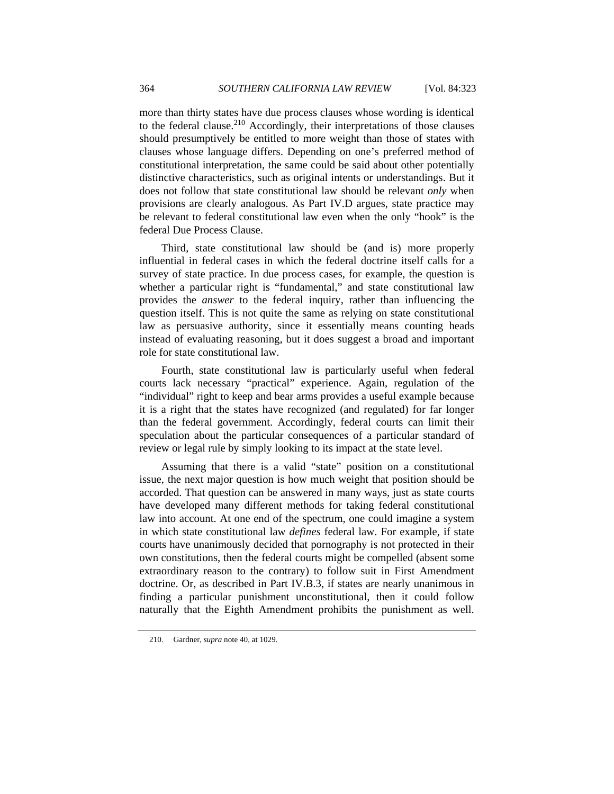more than thirty states have due process clauses whose wording is identical to the federal clause.<sup>210</sup> Accordingly, their interpretations of those clauses should presumptively be entitled to more weight than those of states with clauses whose language differs. Depending on one's preferred method of constitutional interpretation, the same could be said about other potentially distinctive characteristics, such as original intents or understandings. But it does not follow that state constitutional law should be relevant *only* when provisions are clearly analogous. As Part IV.D argues, state practice may be relevant to federal constitutional law even when the only "hook" is the federal Due Process Clause.

Third, state constitutional law should be (and is) more properly influential in federal cases in which the federal doctrine itself calls for a survey of state practice. In due process cases, for example, the question is whether a particular right is "fundamental," and state constitutional law provides the *answer* to the federal inquiry, rather than influencing the question itself. This is not quite the same as relying on state constitutional law as persuasive authority, since it essentially means counting heads instead of evaluating reasoning, but it does suggest a broad and important role for state constitutional law.

Fourth, state constitutional law is particularly useful when federal courts lack necessary "practical" experience. Again, regulation of the "individual" right to keep and bear arms provides a useful example because it is a right that the states have recognized (and regulated) for far longer than the federal government. Accordingly, federal courts can limit their speculation about the particular consequences of a particular standard of review or legal rule by simply looking to its impact at the state level.

Assuming that there is a valid "state" position on a constitutional issue, the next major question is how much weight that position should be accorded. That question can be answered in many ways, just as state courts have developed many different methods for taking federal constitutional law into account. At one end of the spectrum, one could imagine a system in which state constitutional law *defines* federal law. For example, if state courts have unanimously decided that pornography is not protected in their own constitutions, then the federal courts might be compelled (absent some extraordinary reason to the contrary) to follow suit in First Amendment doctrine. Or, as described in Part IV.B.3, if states are nearly unanimous in finding a particular punishment unconstitutional, then it could follow naturally that the Eighth Amendment prohibits the punishment as well.

 <sup>210.</sup> Gardner, *supra* note 40, at 1029.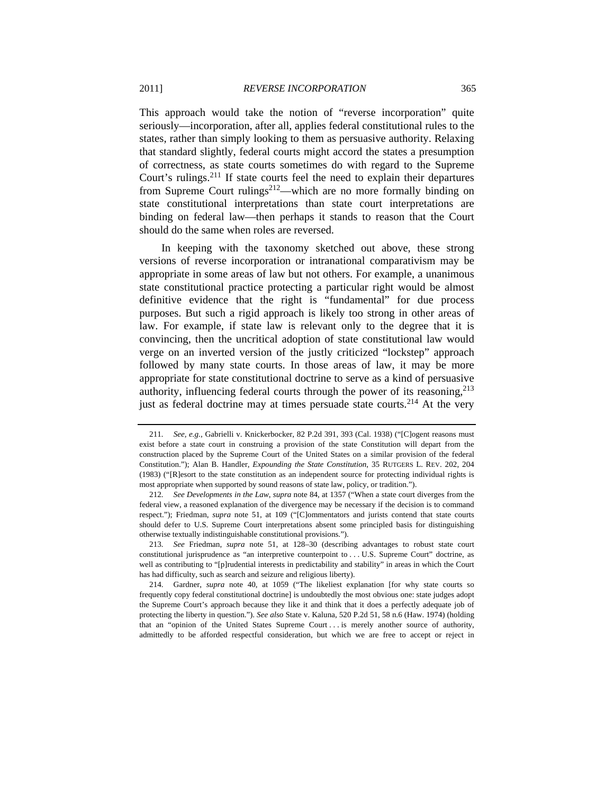This approach would take the notion of "reverse incorporation" quite seriously—incorporation, after all, applies federal constitutional rules to the states, rather than simply looking to them as persuasive authority. Relaxing that standard slightly, federal courts might accord the states a presumption of correctness, as state courts sometimes do with regard to the Supreme Court's rulings.<sup>211</sup> If state courts feel the need to explain their departures from Supreme Court rulings<sup>212</sup>—which are no more formally binding on state constitutional interpretations than state court interpretations are binding on federal law—then perhaps it stands to reason that the Court should do the same when roles are reversed.

In keeping with the taxonomy sketched out above, these strong versions of reverse incorporation or intranational comparativism may be appropriate in some areas of law but not others. For example, a unanimous state constitutional practice protecting a particular right would be almost definitive evidence that the right is "fundamental" for due process purposes. But such a rigid approach is likely too strong in other areas of law. For example, if state law is relevant only to the degree that it is convincing, then the uncritical adoption of state constitutional law would verge on an inverted version of the justly criticized "lockstep" approach followed by many state courts. In those areas of law, it may be more appropriate for state constitutional doctrine to serve as a kind of persuasive authority, influencing federal courts through the power of its reasoning,<sup>213</sup> just as federal doctrine may at times persuade state courts.<sup>214</sup> At the very

<sup>211</sup>*. See, e.g.*, Gabrielli v. Knickerbocker, 82 P.2d 391, 393 (Cal. 1938) ("[C]ogent reasons must exist before a state court in construing a provision of the state Constitution will depart from the construction placed by the Supreme Court of the United States on a similar provision of the federal Constitution."); Alan B. Handler, *Expounding the State Constitution*, 35 RUTGERS L. REV. 202, 204 (1983) ("[R]esort to the state constitution as an independent source for protecting individual rights is most appropriate when supported by sound reasons of state law, policy, or tradition.").

<sup>212</sup>*. See Developments in the Law*, *supra* note 84, at 1357 ("When a state court diverges from the federal view, a reasoned explanation of the divergence may be necessary if the decision is to command respect."); Friedman, *supra* note 51, at 109 ("[C]ommentators and jurists contend that state courts should defer to U.S. Supreme Court interpretations absent some principled basis for distinguishing otherwise textually indistinguishable constitutional provisions.").

<sup>213</sup>*. See* Friedman, *supra* note 51, at 128–30 (describing advantages to robust state court constitutional jurisprudence as "an interpretive counterpoint to . . . U.S. Supreme Court" doctrine, as well as contributing to "[p]rudential interests in predictability and stability" in areas in which the Court has had difficulty, such as search and seizure and religious liberty).

 <sup>214.</sup> Gardner, *supra* note 40, at 1059 ("The likeliest explanation [for why state courts so frequently copy federal constitutional doctrine] is undoubtedly the most obvious one: state judges adopt the Supreme Court's approach because they like it and think that it does a perfectly adequate job of protecting the liberty in question."). *See also* State v. Kaluna, 520 P.2d 51, 58 n.6 (Haw. 1974) (holding that an "opinion of the United States Supreme Court . . . is merely another source of authority, admittedly to be afforded respectful consideration, but which we are free to accept or reject in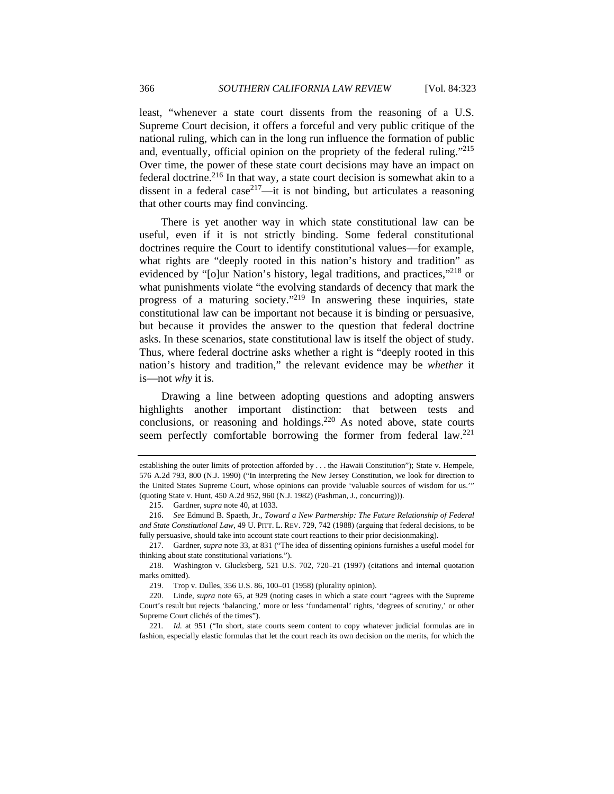least, "whenever a state court dissents from the reasoning of a U.S. Supreme Court decision, it offers a forceful and very public critique of the national ruling, which can in the long run influence the formation of public and, eventually, official opinion on the propriety of the federal ruling."<sup>215</sup> Over time, the power of these state court decisions may have an impact on federal doctrine.<sup>216</sup> In that way, a state court decision is somewhat akin to a dissent in a federal case<sup>217</sup>—it is not binding, but articulates a reasoning that other courts may find convincing.

There is yet another way in which state constitutional law can be useful, even if it is not strictly binding. Some federal constitutional doctrines require the Court to identify constitutional values—for example, what rights are "deeply rooted in this nation's history and tradition" as evidenced by "[o]ur Nation's history, legal traditions, and practices,"<sup>218</sup> or what punishments violate "the evolving standards of decency that mark the progress of a maturing society."219 In answering these inquiries, state constitutional law can be important not because it is binding or persuasive, but because it provides the answer to the question that federal doctrine asks. In these scenarios, state constitutional law is itself the object of study. Thus, where federal doctrine asks whether a right is "deeply rooted in this nation's history and tradition," the relevant evidence may be *whether* it is—not *why* it is.

Drawing a line between adopting questions and adopting answers highlights another important distinction: that between tests and conclusions, or reasoning and holdings. $220$  As noted above, state courts seem perfectly comfortable borrowing the former from federal law.<sup>221</sup>

establishing the outer limits of protection afforded by . . . the Hawaii Constitution"); State v. Hempele, 576 A.2d 793, 800 (N.J. 1990) ("In interpreting the New Jersey Constitution, we look for direction to the United States Supreme Court, whose opinions can provide 'valuable sources of wisdom for us.'" (quoting State v. Hunt, 450 A.2d 952, 960 (N.J. 1982) (Pashman, J., concurring))).

 <sup>215.</sup> Gardner, *supra* note 40, at 1033.

 <sup>216.</sup> *See* Edmund B. Spaeth, Jr., *Toward a New Partnership: The Future Relationship of Federal and State Constitutional Law*, 49 U. PITT. L. REV. 729, 742 (1988) (arguing that federal decisions, to be fully persuasive, should take into account state court reactions to their prior decisionmaking).

 <sup>217.</sup> Gardner, *supra* note 33, at 831 ("The idea of dissenting opinions furnishes a useful model for thinking about state constitutional variations.").

 <sup>218.</sup> Washington v. Glucksberg, 521 U.S. 702, 720–21 (1997) (citations and internal quotation marks omitted).

 <sup>219.</sup> Trop v. Dulles, 356 U.S. 86, 100–01 (1958) (plurality opinion).

 <sup>220.</sup> Linde, *supra* note 65, at 929 (noting cases in which a state court "agrees with the Supreme Court's result but rejects 'balancing,' more or less 'fundamental' rights, 'degrees of scrutiny,' or other Supreme Court clichés of the times").

<sup>221</sup>*. Id.* at 951 ("In short, state courts seem content to copy whatever judicial formulas are in fashion, especially elastic formulas that let the court reach its own decision on the merits, for which the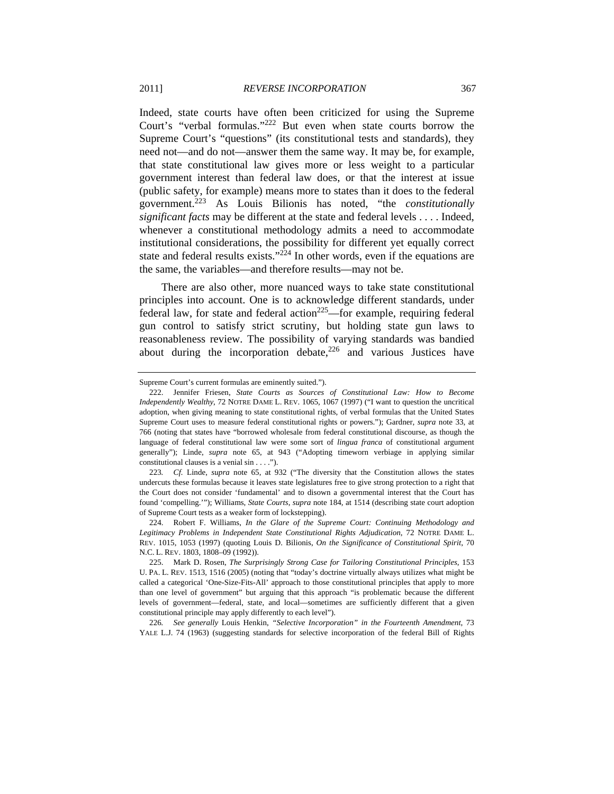Indeed, state courts have often been criticized for using the Supreme Court's "verbal formulas."222 But even when state courts borrow the Supreme Court's "questions" (its constitutional tests and standards), they need not—and do not—answer them the same way. It may be, for example, that state constitutional law gives more or less weight to a particular government interest than federal law does, or that the interest at issue (public safety, for example) means more to states than it does to the federal government.223 As Louis Bilionis has noted, "the *constitutionally significant facts* may be different at the state and federal levels . . . . Indeed, whenever a constitutional methodology admits a need to accommodate institutional considerations, the possibility for different yet equally correct state and federal results exists." $2^{24}$  In other words, even if the equations are the same, the variables—and therefore results—may not be.

There are also other, more nuanced ways to take state constitutional principles into account. One is to acknowledge different standards, under federal law, for state and federal action<sup>225</sup>—for example, requiring federal gun control to satisfy strict scrutiny, but holding state gun laws to reasonableness review. The possibility of varying standards was bandied about during the incorporation debate, $226$  and various Justices have

226*. See generally* Louis Henkin, *"Selective Incorporation" in the Fourteenth Amendment*, 73 YALE L.J. 74 (1963) (suggesting standards for selective incorporation of the federal Bill of Rights

Supreme Court's current formulas are eminently suited.").

 <sup>222.</sup> Jennifer Friesen, *State Courts as Sources of Constitutional Law: How to Become Independently Wealthy*, 72 NOTRE DAME L. REV. 1065, 1067 (1997) ("I want to question the uncritical adoption, when giving meaning to state constitutional rights, of verbal formulas that the United States Supreme Court uses to measure federal constitutional rights or powers."); Gardner, *supra* note 33, at 766 (noting that states have "borrowed wholesale from federal constitutional discourse, as though the language of federal constitutional law were some sort of *lingua franca* of constitutional argument generally"); Linde, *supra* note 65, at 943 ("Adopting timeworn verbiage in applying similar constitutional clauses is a venial sin . . . .").

<sup>223</sup>*. Cf.* Linde, *supra* note 65, at 932 ("The diversity that the Constitution allows the states undercuts these formulas because it leaves state legislatures free to give strong protection to a right that the Court does not consider 'fundamental' and to disown a governmental interest that the Court has found 'compelling.'"); Williams, *State Courts*, *supra* note 184, at 1514 (describing state court adoption of Supreme Court tests as a weaker form of lockstepping).

 <sup>224.</sup> Robert F. Williams, *In the Glare of the Supreme Court: Continuing Methodology and Legitimacy Problems in Independent State Constitutional Rights Adjudication*, 72 NOTRE DAME L. REV. 1015, 1053 (1997) (quoting Louis D. Bilionis, *On the Significance of Constitutional Spirit*, 70 N.C. L. REV. 1803, 1808–09 (1992)).

 <sup>225.</sup> Mark D. Rosen, *The Surprisingly Strong Case for Tailoring Constitutional Principles*, 153 U. PA. L. REV. 1513, 1516 (2005) (noting that "today's doctrine virtually always utilizes what might be called a categorical 'One-Size-Fits-All' approach to those constitutional principles that apply to more than one level of government" but arguing that this approach "is problematic because the different levels of government—federal, state, and local—sometimes are sufficiently different that a given constitutional principle may apply differently to each level").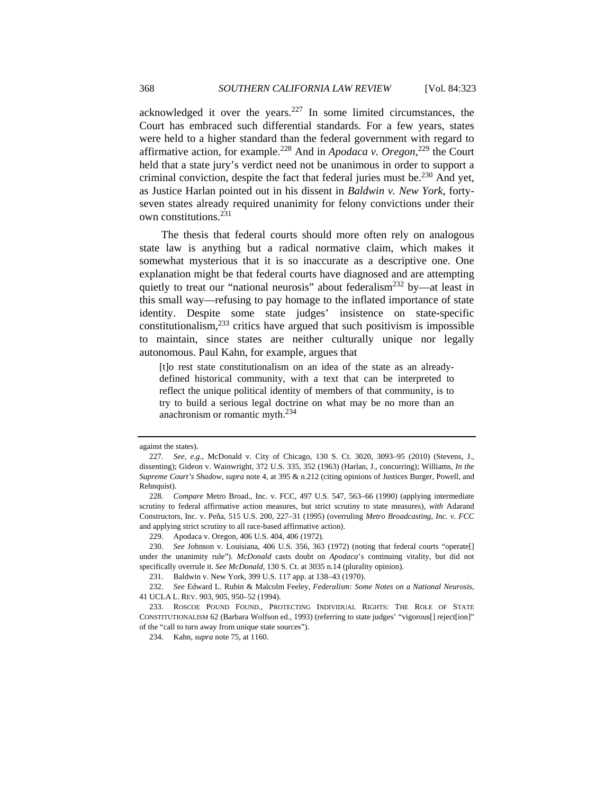acknowledged it over the years. $227$  In some limited circumstances, the Court has embraced such differential standards. For a few years, states were held to a higher standard than the federal government with regard to affirmative action, for example.228 And in *Apodaca v. Oregon*, 229 the Court held that a state jury's verdict need not be unanimous in order to support a criminal conviction, despite the fact that federal juries must be.<sup>230</sup> And yet, as Justice Harlan pointed out in his dissent in *Baldwin v. New York*, fortyseven states already required unanimity for felony convictions under their own constitutions.231

The thesis that federal courts should more often rely on analogous state law is anything but a radical normative claim, which makes it somewhat mysterious that it is so inaccurate as a descriptive one. One explanation might be that federal courts have diagnosed and are attempting quietly to treat our "national neurosis" about federalism<sup>232</sup> by—at least in this small way—refusing to pay homage to the inflated importance of state identity. Despite some state judges' insistence on state-specific constitutionalism, $233$  critics have argued that such positivism is impossible to maintain, since states are neither culturally unique nor legally autonomous. Paul Kahn, for example, argues that

[t]o rest state constitutionalism on an idea of the state as an alreadydefined historical community, with a text that can be interpreted to reflect the unique political identity of members of that community, is to try to build a serious legal doctrine on what may be no more than an anachronism or romantic myth.234

against the states).

<sup>227</sup>*. See, e.g.*, McDonald v. City of Chicago, 130 S. Ct. 3020, 3093–95 (2010) (Stevens, J., dissenting); Gideon v. Wainwright, 372 U.S. 335, 352 (1963) (Harlan, J., concurring); Williams, *In the Supreme Court's Shadow*, *supra* note 4, at 395 & n.212 (citing opinions of Justices Burger, Powell, and Rehnquist).

<sup>228</sup>*. Compare* Metro Broad., Inc. v. FCC, 497 U.S. 547, 563–66 (1990) (applying intermediate scrutiny to federal affirmative action measures, but strict scrutiny to state measures), *with* Adarand Constructors, Inc. v. Peña, 515 U.S. 200, 227–31 (1995) (overruling *Metro Broadcasting, Inc. v. FCC* and applying strict scrutiny to all race-based affirmative action).

 <sup>229.</sup> Apodaca v. Oregon, 406 U.S. 404, 406 (1972).

 <sup>230.</sup> *See* Johnson v. Louisiana, 406 U.S. 356, 363 (1972) (noting that federal courts "operate[] under the unanimity rule"). *McDonald* casts doubt on *Apodaca*'s continuing vitality, but did not specifically overrule it. *See McDonald*, 130 S. Ct. at 3035 n.14 (plurality opinion).

 <sup>231.</sup> Baldwin v. New York, 399 U.S. 117 app. at 138–43 (1970).

 <sup>232.</sup> *See* Edward L. Rubin & Malcolm Feeley, *Federalism: Some Notes on a National Neurosis*, 41 UCLA L. REV. 903, 905, 950–52 (1994).

 <sup>233.</sup> ROSCOE POUND FOUND., PROTECTING INDIVIDUAL RIGHTS: THE ROLE OF STATE CONSTITUTIONALISM 62 (Barbara Wolfson ed., 1993) (referring to state judges' "vigorous[] reject[ion]" of the "call to turn away from unique state sources").

 <sup>234.</sup> Kahn, *supra* note 75, at 1160.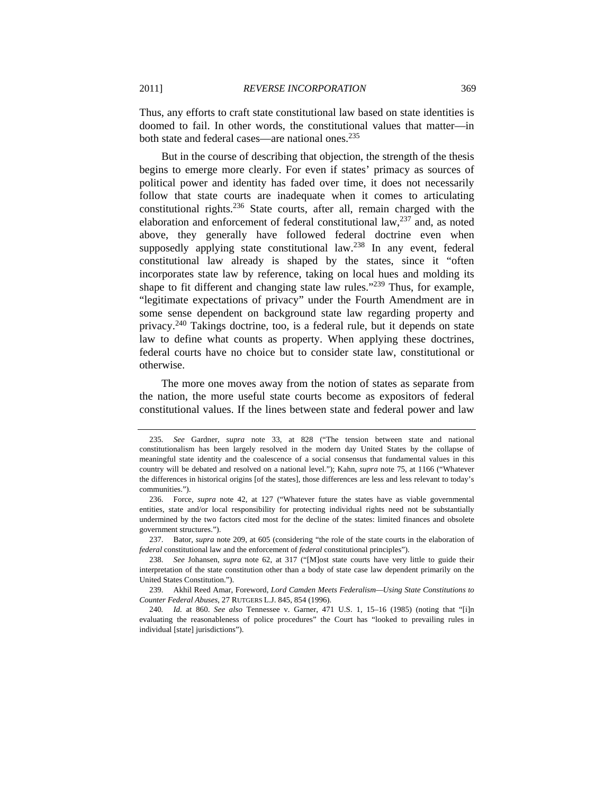Thus, any efforts to craft state constitutional law based on state identities is doomed to fail. In other words, the constitutional values that matter—in both state and federal cases—are national ones.<sup>235</sup>

But in the course of describing that objection, the strength of the thesis begins to emerge more clearly. For even if states' primacy as sources of political power and identity has faded over time, it does not necessarily follow that state courts are inadequate when it comes to articulating constitutional rights.<sup>236</sup> State courts, after all, remain charged with the elaboration and enforcement of federal constitutional law,  $237$  and, as noted above, they generally have followed federal doctrine even when supposedly applying state constitutional law.<sup>238</sup> In any event, federal constitutional law already is shaped by the states, since it "often incorporates state law by reference, taking on local hues and molding its shape to fit different and changing state law rules."239 Thus, for example, "legitimate expectations of privacy" under the Fourth Amendment are in some sense dependent on background state law regarding property and privacy.240 Takings doctrine, too, is a federal rule, but it depends on state law to define what counts as property. When applying these doctrines, federal courts have no choice but to consider state law, constitutional or otherwise.

The more one moves away from the notion of states as separate from the nation, the more useful state courts become as expositors of federal constitutional values. If the lines between state and federal power and law

<sup>235</sup>*. See* Gardner, *supra* note 33, at 828 ("The tension between state and national constitutionalism has been largely resolved in the modern day United States by the collapse of meaningful state identity and the coalescence of a social consensus that fundamental values in this country will be debated and resolved on a national level."); Kahn, *supra* note 75, at 1166 ("Whatever the differences in historical origins [of the states], those differences are less and less relevant to today's communities.").

 <sup>236.</sup> Force, *supra* note 42, at 127 ("Whatever future the states have as viable governmental entities, state and/or local responsibility for protecting individual rights need not be substantially undermined by the two factors cited most for the decline of the states: limited finances and obsolete government structures.").

 <sup>237.</sup> Bator, *supra* note 209, at 605 (considering "the role of the state courts in the elaboration of *federal* constitutional law and the enforcement of *federal* constitutional principles").

 <sup>238.</sup> *See* Johansen, *supra* note 62, at 317 ("[M]ost state courts have very little to guide their interpretation of the state constitution other than a body of state case law dependent primarily on the United States Constitution.").

 <sup>239.</sup> Akhil Reed Amar, Foreword, *Lord Camden Meets Federalism—Using State Constitutions to Counter Federal Abuses*, 27 RUTGERS L.J. 845, 854 (1996).

<sup>240</sup>*. Id.* at 860. *See also* Tennessee v. Garner, 471 U.S. 1, 15–16 (1985) (noting that "[i]n evaluating the reasonableness of police procedures" the Court has "looked to prevailing rules in individual [state] jurisdictions").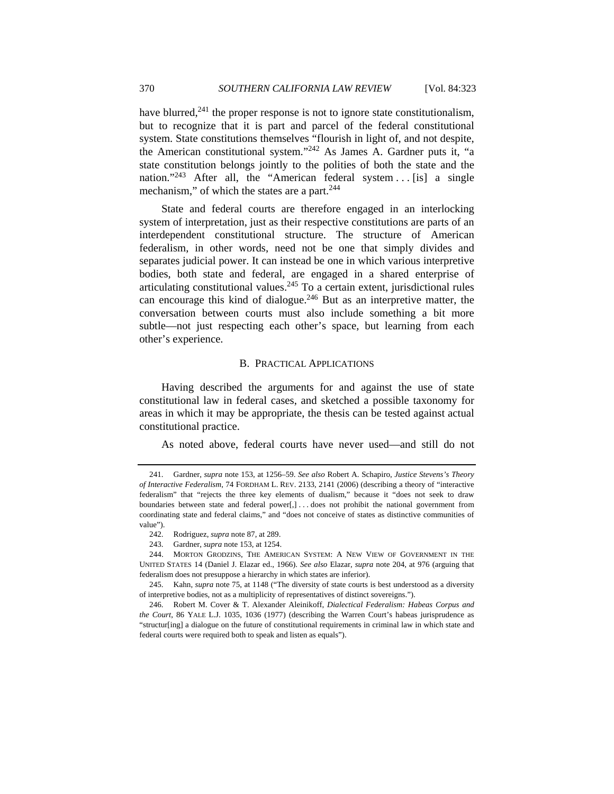have blurred, $241$  the proper response is not to ignore state constitutionalism, but to recognize that it is part and parcel of the federal constitutional system. State constitutions themselves "flourish in light of, and not despite, the American constitutional system."242 As James A. Gardner puts it, "a state constitution belongs jointly to the polities of both the state and the nation."<sup>243</sup> After all, the "American federal system ... [is] a single mechanism," of which the states are a part.<sup>244</sup>

State and federal courts are therefore engaged in an interlocking system of interpretation, just as their respective constitutions are parts of an interdependent constitutional structure. The structure of American federalism, in other words, need not be one that simply divides and separates judicial power. It can instead be one in which various interpretive bodies, both state and federal, are engaged in a shared enterprise of articulating constitutional values.<sup>245</sup> To a certain extent, jurisdictional rules can encourage this kind of dialogue.<sup>246</sup> But as an interpretive matter, the conversation between courts must also include something a bit more subtle—not just respecting each other's space, but learning from each other's experience.

#### B. PRACTICAL APPLICATIONS

Having described the arguments for and against the use of state constitutional law in federal cases, and sketched a possible taxonomy for areas in which it may be appropriate, the thesis can be tested against actual constitutional practice.

As noted above, federal courts have never used—and still do not

 <sup>241.</sup> Gardner, *supra* note 153, at 1256–59. *See also* Robert A. Schapiro, *Justice Stevens's Theory of Interactive Federalism*, 74 FORDHAM L. REV. 2133, 2141 (2006) (describing a theory of "interactive federalism" that "rejects the three key elements of dualism," because it "does not seek to draw boundaries between state and federal power[,] . . . does not prohibit the national government from coordinating state and federal claims," and "does not conceive of states as distinctive communities of value").

 <sup>242.</sup> Rodriguez, *supra* note 87, at 289.

 <sup>243.</sup> Gardner, *supra* note 153, at 1254.

 <sup>244.</sup> MORTON GRODZINS, THE AMERICAN SYSTEM: A NEW VIEW OF GOVERNMENT IN THE UNITED STATES 14 (Daniel J. Elazar ed., 1966). *See also* Elazar, *supra* note 204, at 976 (arguing that federalism does not presuppose a hierarchy in which states are inferior).

 <sup>245.</sup> Kahn, *supra* note 75, at 1148 ("The diversity of state courts is best understood as a diversity of interpretive bodies, not as a multiplicity of representatives of distinct sovereigns.").

 <sup>246.</sup> Robert M. Cover & T. Alexander Aleinikoff, *Dialectical Federalism: Habeas Corpus and the Court*, 86 YALE L.J. 1035, 1036 (1977) (describing the Warren Court's habeas jurisprudence as "structur[ing] a dialogue on the future of constitutional requirements in criminal law in which state and federal courts were required both to speak and listen as equals").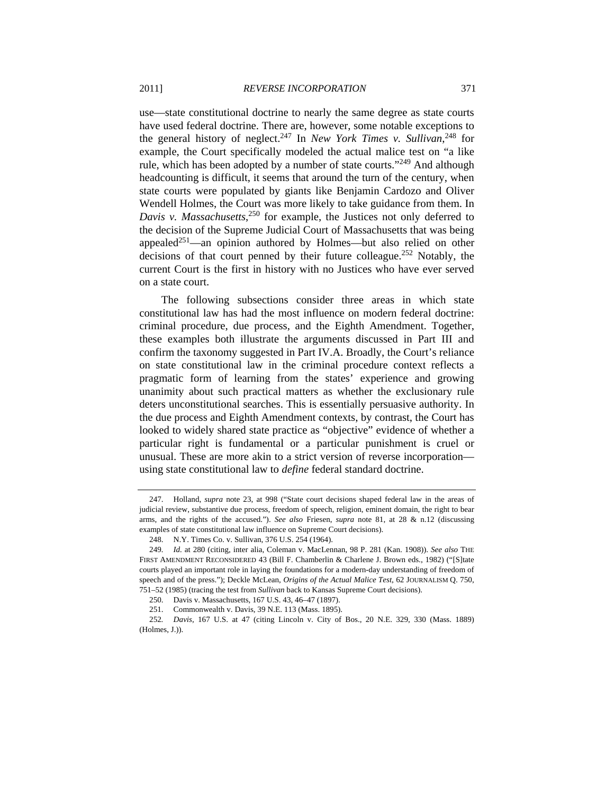use—state constitutional doctrine to nearly the same degree as state courts have used federal doctrine. There are, however, some notable exceptions to the general history of neglect.247 In *New York Times v. Sullivan*, 248 for example, the Court specifically modeled the actual malice test on "a like rule, which has been adopted by a number of state courts."<sup>249</sup> And although headcounting is difficult, it seems that around the turn of the century, when state courts were populated by giants like Benjamin Cardozo and Oliver Wendell Holmes, the Court was more likely to take guidance from them. In *Davis v. Massachusetts*, 250 for example, the Justices not only deferred to the decision of the Supreme Judicial Court of Massachusetts that was being appealed<sup>251</sup>—an opinion authored by Holmes—but also relied on other decisions of that court penned by their future colleague.252 Notably, the current Court is the first in history with no Justices who have ever served on a state court.

The following subsections consider three areas in which state constitutional law has had the most influence on modern federal doctrine: criminal procedure, due process, and the Eighth Amendment. Together, these examples both illustrate the arguments discussed in Part III and confirm the taxonomy suggested in Part IV.A. Broadly, the Court's reliance on state constitutional law in the criminal procedure context reflects a pragmatic form of learning from the states' experience and growing unanimity about such practical matters as whether the exclusionary rule deters unconstitutional searches. This is essentially persuasive authority. In the due process and Eighth Amendment contexts, by contrast, the Court has looked to widely shared state practice as "objective" evidence of whether a particular right is fundamental or a particular punishment is cruel or unusual. These are more akin to a strict version of reverse incorporation using state constitutional law to *define* federal standard doctrine.

 <sup>247.</sup> Holland, *supra* note 23, at 998 ("State court decisions shaped federal law in the areas of judicial review, substantive due process, freedom of speech, religion, eminent domain, the right to bear arms, and the rights of the accused."). *See also* Friesen, *supra* note 81, at 28 & n.12 (discussing examples of state constitutional law influence on Supreme Court decisions).

 <sup>248.</sup> N.Y. Times Co. v. Sullivan, 376 U.S. 254 (1964).

<sup>249</sup>*. Id.* at 280 (citing, inter alia, Coleman v. MacLennan, 98 P. 281 (Kan. 1908)). *See also* THE FIRST AMENDMENT RECONSIDERED 43 (Bill F. Chamberlin & Charlene J. Brown eds., 1982) ("[S]tate courts played an important role in laying the foundations for a modern-day understanding of freedom of speech and of the press."); Deckle McLean, *Origins of the Actual Malice Test*, 62 JOURNALISM Q. 750, 751–52 (1985) (tracing the test from *Sullivan* back to Kansas Supreme Court decisions).

 <sup>250.</sup> Davis v. Massachusetts, 167 U.S. 43, 46–47 (1897).

 <sup>251.</sup> Commonwealth v. Davis, 39 N.E. 113 (Mass. 1895).

<sup>252</sup>*. Davis*, 167 U.S. at 47 (citing Lincoln v. City of Bos., 20 N.E. 329, 330 (Mass. 1889) (Holmes, J.)).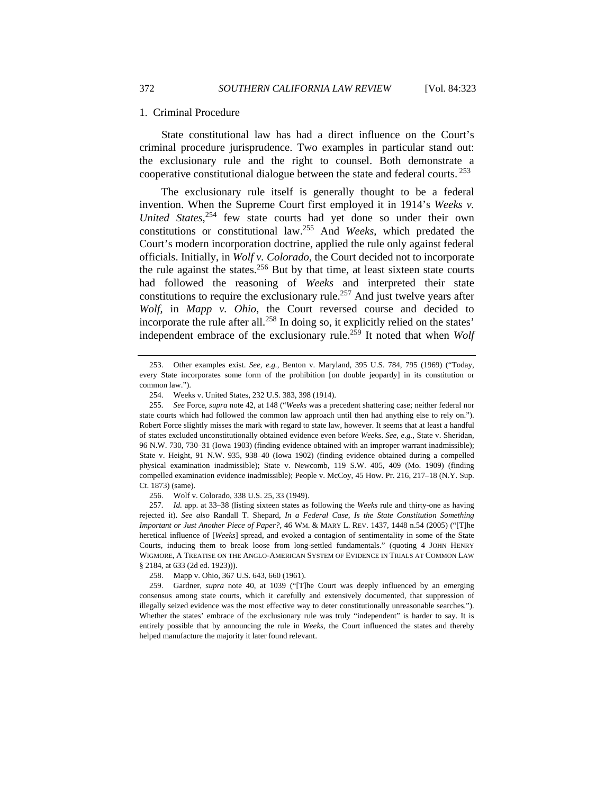#### 1. Criminal Procedure

State constitutional law has had a direct influence on the Court's criminal procedure jurisprudence. Two examples in particular stand out: the exclusionary rule and the right to counsel. Both demonstrate a cooperative constitutional dialogue between the state and federal courts. 253

The exclusionary rule itself is generally thought to be a federal invention. When the Supreme Court first employed it in 1914's *Weeks v. United States*, 254 few state courts had yet done so under their own constitutions or constitutional law.255 And *Weeks*, which predated the Court's modern incorporation doctrine, applied the rule only against federal officials. Initially, in *Wolf v. Colorado*, the Court decided not to incorporate the rule against the states.<sup>256</sup> But by that time, at least sixteen state courts had followed the reasoning of *Weeks* and interpreted their state constitutions to require the exclusionary rule.<sup>257</sup> And just twelve years after *Wolf*, in *Mapp v. Ohio*, the Court reversed course and decided to incorporate the rule after all.<sup>258</sup> In doing so, it explicitly relied on the states' independent embrace of the exclusionary rule.259 It noted that when *Wolf*

256. Wolf v. Colorado, 338 U.S. 25, 33 (1949).

257*. Id.* app. at 33–38 (listing sixteen states as following the *Weeks* rule and thirty-one as having rejected it). *See also* Randall T. Shepard, *In a Federal Case, Is the State Constitution Something Important or Just Another Piece of Paper?*, 46 WM. & MARY L. REV. 1437, 1448 n.54 (2005) ("[T]he heretical influence of [*Weeks*] spread, and evoked a contagion of sentimentality in some of the State Courts, inducing them to break loose from long-settled fundamentals." (quoting 4 JOHN HENRY WIGMORE, A TREATISE ON THE ANGLO-AMERICAN SYSTEM OF EVIDENCE IN TRIALS AT COMMON LAW § 2184, at 633 (2d ed. 1923))).

258. Mapp v. Ohio, 367 U.S. 643, 660 (1961).

 259. Gardner, *supra* note 40, at 1039 ("[T]he Court was deeply influenced by an emerging consensus among state courts, which it carefully and extensively documented, that suppression of illegally seized evidence was the most effective way to deter constitutionally unreasonable searches."). Whether the states' embrace of the exclusionary rule was truly "independent" is harder to say. It is entirely possible that by announcing the rule in *Weeks*, the Court influenced the states and thereby helped manufacture the majority it later found relevant.

 <sup>253.</sup> Other examples exist. *See, e.g.*, Benton v. Maryland, 395 U.S. 784, 795 (1969) ("Today, every State incorporates some form of the prohibition [on double jeopardy] in its constitution or common law.").

 <sup>254.</sup> Weeks v. United States, 232 U.S. 383, 398 (1914).

<sup>255</sup>*. See* Force, *supra* note 42, at 148 ("*Weeks* was a precedent shattering case; neither federal nor state courts which had followed the common law approach until then had anything else to rely on."). Robert Force slightly misses the mark with regard to state law, however. It seems that at least a handful of states excluded unconstitutionally obtained evidence even before *Weeks*. *See, e.g.*, State v. Sheridan, 96 N.W. 730, 730–31 (Iowa 1903) (finding evidence obtained with an improper warrant inadmissible); State v. Height, 91 N.W. 935, 938–40 (Iowa 1902) (finding evidence obtained during a compelled physical examination inadmissible); State v. Newcomb, 119 S.W. 405, 409 (Mo. 1909) (finding compelled examination evidence inadmissible); People v. McCoy, 45 How. Pr. 216, 217–18 (N.Y. Sup. Ct. 1873) (same).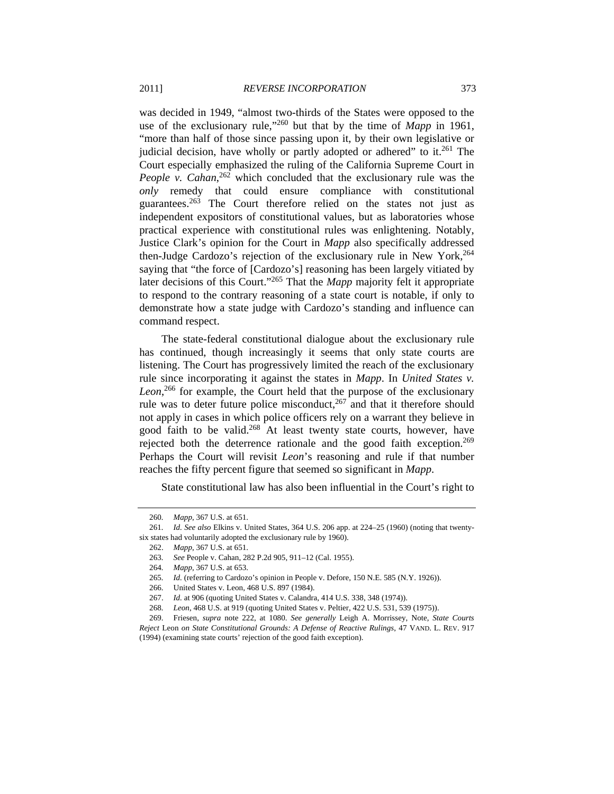was decided in 1949, "almost two-thirds of the States were opposed to the use of the exclusionary rule,<sup> $260$ </sup> but that by the time of *Mapp* in 1961, "more than half of those since passing upon it, by their own legislative or judicial decision, have wholly or partly adopted or adhered" to it.<sup>261</sup> The Court especially emphasized the ruling of the California Supreme Court in People v. Cahan,<sup>262</sup> which concluded that the exclusionary rule was the *only* remedy that could ensure compliance with constitutional guarantees.263 The Court therefore relied on the states not just as independent expositors of constitutional values, but as laboratories whose practical experience with constitutional rules was enlightening. Notably, Justice Clark's opinion for the Court in *Mapp* also specifically addressed then-Judge Cardozo's rejection of the exclusionary rule in New York,<sup>264</sup> saying that "the force of [Cardozo's] reasoning has been largely vitiated by later decisions of this Court."265 That the *Mapp* majority felt it appropriate to respond to the contrary reasoning of a state court is notable, if only to demonstrate how a state judge with Cardozo's standing and influence can command respect.

The state-federal constitutional dialogue about the exclusionary rule has continued, though increasingly it seems that only state courts are listening. The Court has progressively limited the reach of the exclusionary rule since incorporating it against the states in *Mapp*. In *United States v.*  Leon,<sup>266</sup> for example, the Court held that the purpose of the exclusionary rule was to deter future police misconduct,  $267$  and that it therefore should not apply in cases in which police officers rely on a warrant they believe in good faith to be valid.268 At least twenty state courts, however, have rejected both the deterrence rationale and the good faith exception.<sup>269</sup> Perhaps the Court will revisit *Leon*'s reasoning and rule if that number reaches the fifty percent figure that seemed so significant in *Mapp*.

State constitutional law has also been influential in the Court's right to

<sup>260</sup>*. Mapp*, 367 U.S. at 651.

<sup>261</sup>*. Id. See also* Elkins v. United States, 364 U.S. 206 app. at 224–25 (1960) (noting that twentysix states had voluntarily adopted the exclusionary rule by 1960).

 <sup>262.</sup> *Mapp*, 367 U.S. at 651.

<sup>263</sup>*. See* People v. Cahan, 282 P.2d 905, 911–12 (Cal. 1955).

<sup>264</sup>*. Mapp*, 367 U.S. at 653.

<sup>265</sup>*. Id.* (referring to Cardozo's opinion in People v. Defore, 150 N.E. 585 (N.Y. 1926)).

 <sup>266.</sup> United States v. Leon, 468 U.S. 897 (1984).

 <sup>267.</sup> *Id.* at 906 (quoting United States v. Calandra, 414 U.S. 338, 348 (1974)).

<sup>268</sup>*. Leon*, 468 U.S. at 919 (quoting United States v. Peltier, 422 U.S. 531, 539 (1975)).

 <sup>269.</sup> Friesen, *supra* note 222, at 1080. *See generally* Leigh A. Morrissey, Note, *State Courts Reject* Leon *on State Constitutional Grounds: A Defense of Reactive Rulings*, 47 VAND. L. REV. 917 (1994) (examining state courts' rejection of the good faith exception).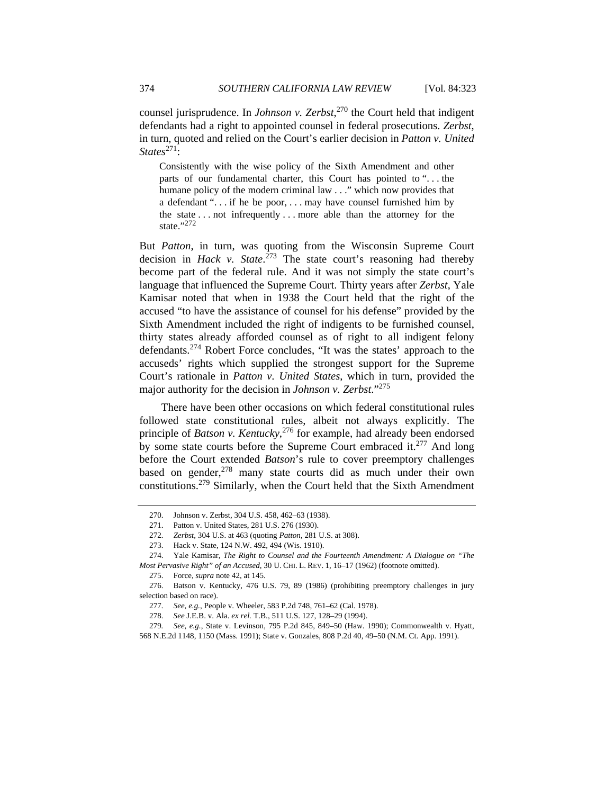counsel jurisprudence. In *Johnson v. Zerbst*, 270 the Court held that indigent defendants had a right to appointed counsel in federal prosecutions. *Zerbst*, in turn, quoted and relied on the Court's earlier decision in *Patton v. United States*271:

Consistently with the wise policy of the Sixth Amendment and other parts of our fundamental charter, this Court has pointed to ". . . the humane policy of the modern criminal law . . ." which now provides that a defendant ". . . if he be poor, . . . may have counsel furnished him by the state . . . not infrequently . . . more able than the attorney for the state."272

But *Patton*, in turn, was quoting from the Wisconsin Supreme Court decision in *Hack v. State*. 273 The state court's reasoning had thereby become part of the federal rule. And it was not simply the state court's language that influenced the Supreme Court. Thirty years after *Zerbst*, Yale Kamisar noted that when in 1938 the Court held that the right of the accused "to have the assistance of counsel for his defense" provided by the Sixth Amendment included the right of indigents to be furnished counsel, thirty states already afforded counsel as of right to all indigent felony defendants.274 Robert Force concludes, "It was the states' approach to the accuseds' rights which supplied the strongest support for the Supreme Court's rationale in *Patton v. United States*, which in turn, provided the major authority for the decision in *Johnson v. Zerbst*."275

There have been other occasions on which federal constitutional rules followed state constitutional rules, albeit not always explicitly. The principle of *Batson v. Kentucky*, 276 for example, had already been endorsed by some state courts before the Supreme Court embraced it.<sup>277</sup> And long before the Court extended *Batson*'s rule to cover preemptory challenges based on gender, $278$  many state courts did as much under their own constitutions.279 Similarly, when the Court held that the Sixth Amendment

 <sup>270.</sup> Johnson v. Zerbst, 304 U.S. 458, 462–63 (1938).

 <sup>271.</sup> Patton v. United States, 281 U.S. 276 (1930).

<sup>272</sup>*. Zerbst*, 304 U.S. at 463 (quoting *Patton*, 281 U.S. at 308).

 <sup>273.</sup> Hack v. State, 124 N.W. 492, 494 (Wis. 1910).

 <sup>274.</sup> Yale Kamisar, *The Right to Counsel and the Fourteenth Amendment: A Dialogue on "The Most Pervasive Right" of an Accused*, 30 U. CHI. L. REV. 1, 16–17 (1962) (footnote omitted).

 <sup>275.</sup> Force, *supra* note 42, at 145.

 <sup>276.</sup> Batson v. Kentucky, 476 U.S. 79, 89 (1986) (prohibiting preemptory challenges in jury selection based on race).

<sup>277</sup>*. See, e.g.*, People v. Wheeler, 583 P.2d 748, 761–62 (Cal. 1978).

<sup>278</sup>*. See* J.E.B. v. Ala. *ex rel.* T.B., 511 U.S. 127, 128–29 (1994).

<sup>279</sup>*. See, e.g.*, State v. Levinson, 795 P.2d 845, 849–50 (Haw. 1990); Commonwealth v. Hyatt, 568 N.E.2d 1148, 1150 (Mass. 1991); State v. Gonzales, 808 P.2d 40, 49–50 (N.M. Ct. App. 1991).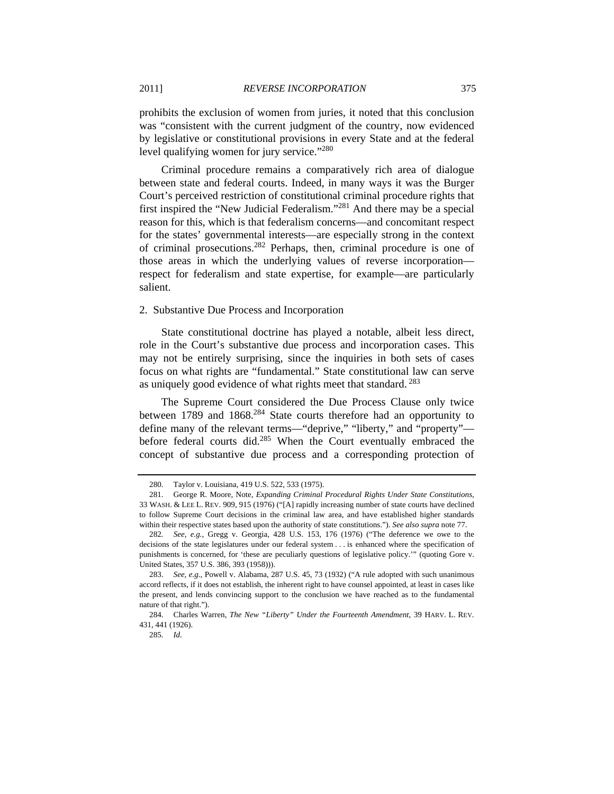prohibits the exclusion of women from juries, it noted that this conclusion was "consistent with the current judgment of the country, now evidenced by legislative or constitutional provisions in every State and at the federal level qualifying women for jury service."<sup>280</sup>

Criminal procedure remains a comparatively rich area of dialogue between state and federal courts. Indeed, in many ways it was the Burger Court's perceived restriction of constitutional criminal procedure rights that first inspired the "New Judicial Federalism."281 And there may be a special reason for this, which is that federalism concerns—and concomitant respect for the states' governmental interests—are especially strong in the context of criminal prosecutions.282 Perhaps, then, criminal procedure is one of those areas in which the underlying values of reverse incorporation respect for federalism and state expertise, for example—are particularly salient.

#### 2. Substantive Due Process and Incorporation

State constitutional doctrine has played a notable, albeit less direct, role in the Court's substantive due process and incorporation cases. This may not be entirely surprising, since the inquiries in both sets of cases focus on what rights are "fundamental." State constitutional law can serve as uniquely good evidence of what rights meet that standard. 283

The Supreme Court considered the Due Process Clause only twice between 1789 and 1868.<sup>284</sup> State courts therefore had an opportunity to define many of the relevant terms—"deprive," "liberty," and "property" before federal courts did.<sup>285</sup> When the Court eventually embraced the concept of substantive due process and a corresponding protection of

 <sup>280.</sup> Taylor v. Louisiana, 419 U.S. 522, 533 (1975).

 <sup>281.</sup> George R. Moore, Note, *Expanding Criminal Procedural Rights Under State Constitutions*, 33 WASH. & LEE L. REV. 909, 915 (1976) ("[A] rapidly increasing number of state courts have declined to follow Supreme Court decisions in the criminal law area, and have established higher standards within their respective states based upon the authority of state constitutions."). *See also supra* note 77.

<sup>282</sup>*. See, e.g.*, Gregg v. Georgia, 428 U.S. 153, 176 (1976) ("The deference we owe to the decisions of the state legislatures under our federal system . . . is enhanced where the specification of punishments is concerned, for 'these are peculiarly questions of legislative policy.'" (quoting Gore v. United States, 357 U.S. 386, 393 (1958))).

 <sup>283.</sup> *See, e.g.*, Powell v. Alabama, 287 U.S. 45, 73 (1932) ("A rule adopted with such unanimous accord reflects, if it does not establish, the inherent right to have counsel appointed, at least in cases like the present, and lends convincing support to the conclusion we have reached as to the fundamental nature of that right.").

 <sup>284.</sup> Charles Warren, *The New "Liberty" Under the Fourteenth Amendment*, 39 HARV. L. REV. 431, 441 (1926).

<sup>285</sup>*. Id.*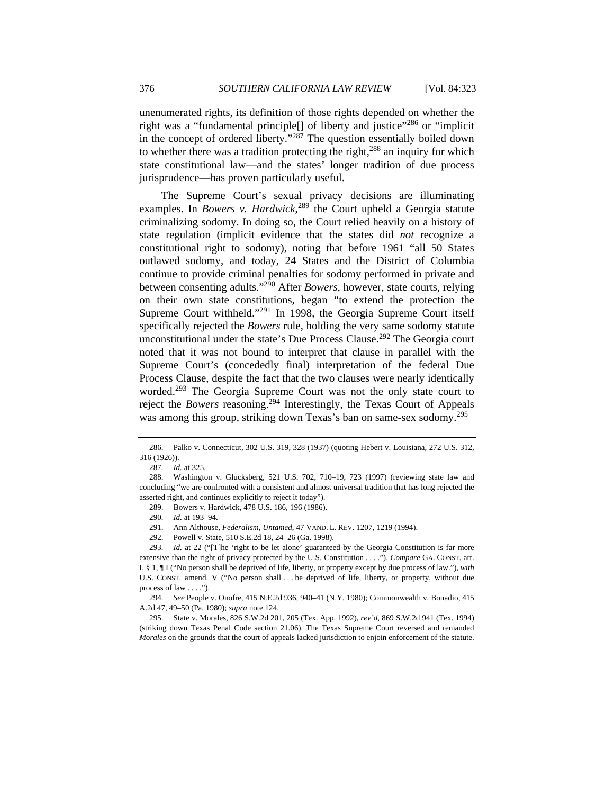unenumerated rights, its definition of those rights depended on whether the right was a "fundamental principle<sup>[]</sup> of liberty and justice"<sup>286</sup> or "implicit in the concept of ordered liberty."287 The question essentially boiled down to whether there was a tradition protecting the right, $288$  an inquiry for which state constitutional law—and the states' longer tradition of due process jurisprudence—has proven particularly useful.

The Supreme Court's sexual privacy decisions are illuminating examples. In *Bowers v. Hardwick*, 289 the Court upheld a Georgia statute criminalizing sodomy. In doing so, the Court relied heavily on a history of state regulation (implicit evidence that the states did *not* recognize a constitutional right to sodomy), noting that before 1961 "all 50 States outlawed sodomy, and today, 24 States and the District of Columbia continue to provide criminal penalties for sodomy performed in private and between consenting adults."<sup>290</sup> After *Bowers*, however, state courts, relying on their own state constitutions, began "to extend the protection the Supreme Court withheld."291 In 1998, the Georgia Supreme Court itself specifically rejected the *Bowers* rule, holding the very same sodomy statute unconstitutional under the state's Due Process Clause.<sup>292</sup> The Georgia court noted that it was not bound to interpret that clause in parallel with the Supreme Court's (concededly final) interpretation of the federal Due Process Clause, despite the fact that the two clauses were nearly identically worded.293 The Georgia Supreme Court was not the only state court to reject the *Bowers* reasoning.294 Interestingly, the Texas Court of Appeals was among this group, striking down Texas's ban on same-sex sodomy.<sup>295</sup>

289. Bowers v. Hardwick, 478 U.S. 186, 196 (1986).

292. Powell v. State, 510 S.E.2d 18, 24–26 (Ga. 1998).

293. *Id.* at 22 ("The 'right to be let alone' guaranteed by the Georgia Constitution is far more extensive than the right of privacy protected by the U.S. Constitution . . . ."). *Compare* GA. CONST. art. I, § 1, ¶ I ("No person shall be deprived of life, liberty, or property except by due process of law."), *with* U.S. CONST. amend. V ("No person shall . . . be deprived of life, liberty, or property, without due process of law . . . .").

294*. See* People v. Onofre, 415 N.E.2d 936, 940–41 (N.Y. 1980); Commonwealth v. Bonadio, 415 A.2d 47, 49–50 (Pa. 1980); *supra* note 124.

 295. State v. Morales, 826 S.W.2d 201, 205 (Tex. App. 1992), *rev'd*, 869 S.W.2d 941 (Tex. 1994) (striking down Texas Penal Code section 21.06). The Texas Supreme Court reversed and remanded *Morales* on the grounds that the court of appeals lacked jurisdiction to enjoin enforcement of the statute.

 <sup>286.</sup> Palko v. Connecticut, 302 U.S. 319, 328 (1937) (quoting Hebert v. Louisiana, 272 U.S. 312, 316 (1926)).

<sup>287</sup>*. Id.* at 325.

 <sup>288.</sup> Washington v. Glucksberg, 521 U.S. 702, 710–19, 723 (1997) (reviewing state law and concluding "we are confronted with a consistent and almost universal tradition that has long rejected the asserted right, and continues explicitly to reject it today").

<sup>290</sup>*. Id.* at 193–94.

 <sup>291.</sup> Ann Althouse, *Federalism, Untamed*, 47 VAND. L. REV. 1207, 1219 (1994).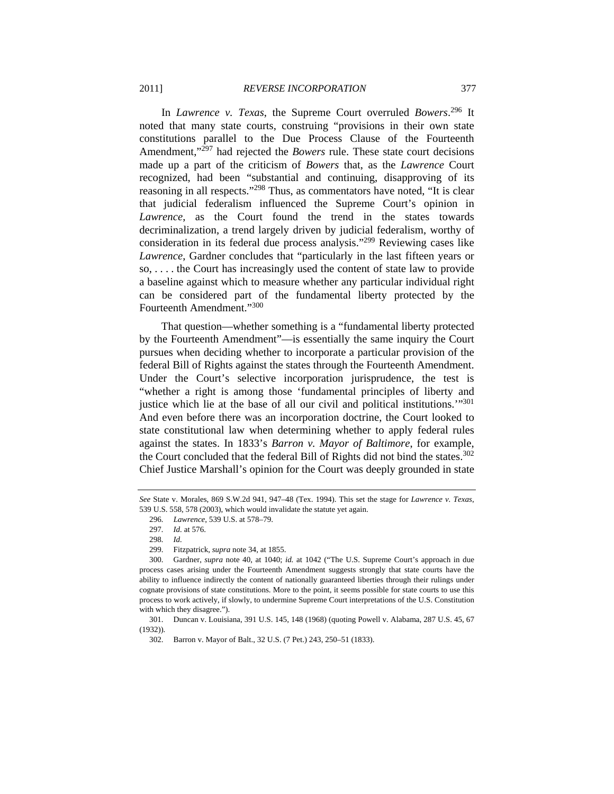In *Lawrence v. Texas*, the Supreme Court overruled *Bowers*. 296 It noted that many state courts, construing "provisions in their own state constitutions parallel to the Due Process Clause of the Fourteenth Amendment,"297 had rejected the *Bowers* rule. These state court decisions made up a part of the criticism of *Bowers* that, as the *Lawrence* Court recognized, had been "substantial and continuing, disapproving of its reasoning in all respects."<sup>298</sup> Thus, as commentators have noted, "It is clear that judicial federalism influenced the Supreme Court's opinion in *Lawrence*, as the Court found the trend in the states towards decriminalization, a trend largely driven by judicial federalism, worthy of consideration in its federal due process analysis."299 Reviewing cases like *Lawrence*, Gardner concludes that "particularly in the last fifteen years or so, . . . . the Court has increasingly used the content of state law to provide a baseline against which to measure whether any particular individual right can be considered part of the fundamental liberty protected by the Fourteenth Amendment."<sup>300</sup>

That question—whether something is a "fundamental liberty protected by the Fourteenth Amendment"—is essentially the same inquiry the Court pursues when deciding whether to incorporate a particular provision of the federal Bill of Rights against the states through the Fourteenth Amendment. Under the Court's selective incorporation jurisprudence, the test is "whether a right is among those 'fundamental principles of liberty and justice which lie at the base of all our civil and political institutions.'"301 And even before there was an incorporation doctrine, the Court looked to state constitutional law when determining whether to apply federal rules against the states. In 1833's *Barron v. Mayor of Baltimore*, for example, the Court concluded that the federal Bill of Rights did not bind the states.<sup>302</sup> Chief Justice Marshall's opinion for the Court was deeply grounded in state

*See* State v. Morales, 869 S.W.2d 941, 947–48 (Tex. 1994). This set the stage for *Lawrence v. Texas*, 539 U.S. 558, 578 (2003), which would invalidate the statute yet again.

<sup>296</sup>*. Lawrence*, 539 U.S. at 578–79.

<sup>297</sup>*. Id.* at 576.

<sup>298</sup>*. Id.*

 <sup>299.</sup> Fitzpatrick, *supra* note 34, at 1855.

 <sup>300.</sup> Gardner, *supra* note 40, at 1040; *id.* at 1042 ("The U.S. Supreme Court's approach in due process cases arising under the Fourteenth Amendment suggests strongly that state courts have the ability to influence indirectly the content of nationally guaranteed liberties through their rulings under cognate provisions of state constitutions. More to the point, it seems possible for state courts to use this process to work actively, if slowly, to undermine Supreme Court interpretations of the U.S. Constitution with which they disagree.").

 <sup>301.</sup> Duncan v. Louisiana, 391 U.S. 145, 148 (1968) (quoting Powell v. Alabama, 287 U.S. 45, 67 (1932)).

 <sup>302.</sup> Barron v. Mayor of Balt., 32 U.S. (7 Pet.) 243, 250–51 (1833).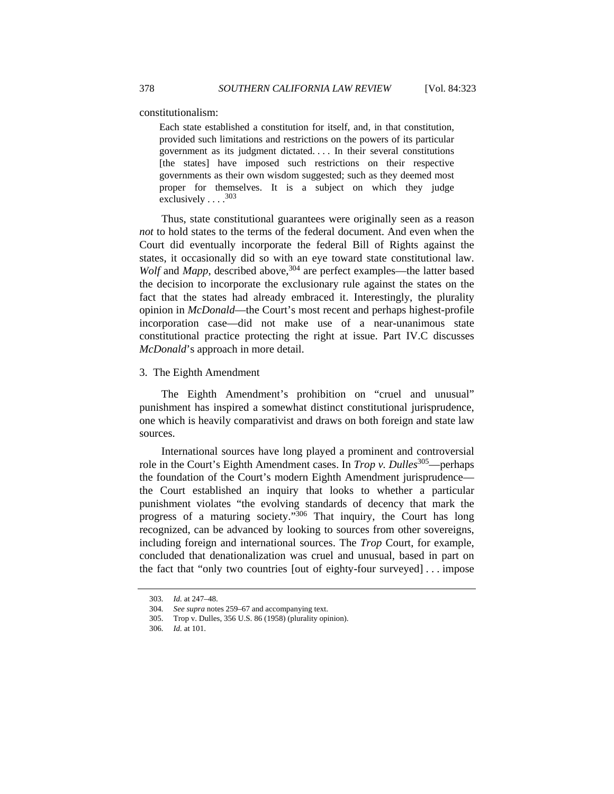constitutionalism:

Each state established a constitution for itself, and, in that constitution, provided such limitations and restrictions on the powers of its particular government as its judgment dictated. . . . In their several constitutions [the states] have imposed such restrictions on their respective governments as their own wisdom suggested; such as they deemed most proper for themselves. It is a subject on which they judge exclusively  $\ldots$ <sup>303</sup>

Thus, state constitutional guarantees were originally seen as a reason *not* to hold states to the terms of the federal document. And even when the Court did eventually incorporate the federal Bill of Rights against the states, it occasionally did so with an eye toward state constitutional law. *Wolf* and *Mapp*, described above,<sup>304</sup> are perfect examples—the latter based the decision to incorporate the exclusionary rule against the states on the fact that the states had already embraced it. Interestingly, the plurality opinion in *McDonald*—the Court's most recent and perhaps highest-profile incorporation case—did not make use of a near-unanimous state constitutional practice protecting the right at issue. Part IV.C discusses *McDonald*'s approach in more detail.

#### 3. The Eighth Amendment

The Eighth Amendment's prohibition on "cruel and unusual" punishment has inspired a somewhat distinct constitutional jurisprudence, one which is heavily comparativist and draws on both foreign and state law sources.

International sources have long played a prominent and controversial role in the Court's Eighth Amendment cases. In *Trop v. Dulles*<sup>305</sup>—perhaps the foundation of the Court's modern Eighth Amendment jurisprudence the Court established an inquiry that looks to whether a particular punishment violates "the evolving standards of decency that mark the progress of a maturing society."306 That inquiry, the Court has long recognized, can be advanced by looking to sources from other sovereigns, including foreign and international sources. The *Trop* Court, for example, concluded that denationalization was cruel and unusual, based in part on the fact that "only two countries [out of eighty-four surveyed] . . . impose

<sup>303</sup>*. Id.* at 247–48.

<sup>304</sup>*. See supra* notes 259–67 and accompanying text.

 <sup>305.</sup> Trop v. Dulles, 356 U.S. 86 (1958) (plurality opinion).

<sup>306</sup>*. Id.* at 101.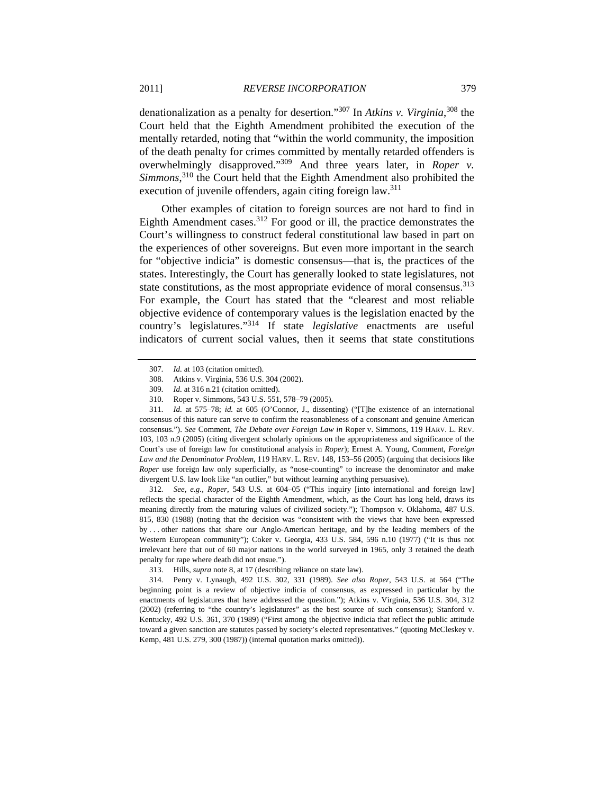denationalization as a penalty for desertion."307 In *Atkins v. Virginia*, 308 the Court held that the Eighth Amendment prohibited the execution of the mentally retarded, noting that "within the world community, the imposition of the death penalty for crimes committed by mentally retarded offenders is overwhelmingly disapproved."309 And three years later, in *Roper v. Simmons*, 310 the Court held that the Eighth Amendment also prohibited the execution of juvenile offenders, again citing foreign law.<sup>311</sup>

Other examples of citation to foreign sources are not hard to find in Eighth Amendment cases.<sup>312</sup> For good or ill, the practice demonstrates the Court's willingness to construct federal constitutional law based in part on the experiences of other sovereigns. But even more important in the search for "objective indicia" is domestic consensus—that is, the practices of the states. Interestingly, the Court has generally looked to state legislatures, not state constitutions, as the most appropriate evidence of moral consensus.<sup>313</sup> For example, the Court has stated that the "clearest and most reliable objective evidence of contemporary values is the legislation enacted by the country's legislatures."314 If state *legislative* enactments are useful indicators of current social values, then it seems that state constitutions

311*. Id.* at 575–78; *id.* at 605 (O'Connor, J., dissenting) ("[T]he existence of an international consensus of this nature can serve to confirm the reasonableness of a consonant and genuine American consensus."). *See* Comment, *The Debate over Foreign Law in* Roper v. Simmons, 119 HARV. L. REV. 103, 103 n.9 (2005) (citing divergent scholarly opinions on the appropriateness and significance of the Court's use of foreign law for constitutional analysis in *Roper*); Ernest A. Young, Comment, *Foreign Law and the Denominator Problem*, 119 HARV. L. REV. 148, 153–56 (2005) (arguing that decisions like *Roper* use foreign law only superficially, as "nose-counting" to increase the denominator and make divergent U.S. law look like "an outlier," but without learning anything persuasive).

312*. See, e.g.*, *Roper*, 543 U.S. at 604–05 ("This inquiry [into international and foreign law] reflects the special character of the Eighth Amendment, which, as the Court has long held, draws its meaning directly from the maturing values of civilized society."); Thompson v. Oklahoma, 487 U.S. 815, 830 (1988) (noting that the decision was "consistent with the views that have been expressed by . . . other nations that share our Anglo-American heritage, and by the leading members of the Western European community"); Coker v. Georgia, 433 U.S. 584, 596 n.10 (1977) ("It is thus not irrelevant here that out of 60 major nations in the world surveyed in 1965, only 3 retained the death penalty for rape where death did not ensue.").

<sup>307</sup>*. Id.* at 103 (citation omitted).

 <sup>308.</sup> Atkins v. Virginia, 536 U.S. 304 (2002).

<sup>309</sup>*. Id.* at 316 n.21 (citation omitted).

 <sup>310.</sup> Roper v. Simmons, 543 U.S. 551, 578–79 (2005).

 <sup>313.</sup> Hills, *supra* note 8, at 17 (describing reliance on state law).

<sup>314</sup>*.* Penry v. Lynaugh, 492 U.S. 302, 331 (1989). *See also Roper*, 543 U.S. at 564 ("The beginning point is a review of objective indicia of consensus, as expressed in particular by the enactments of legislatures that have addressed the question."); Atkins v. Virginia, 536 U.S. 304, 312 (2002) (referring to "the country's legislatures" as the best source of such consensus); Stanford v. Kentucky, 492 U.S. 361, 370 (1989) ("First among the objective indicia that reflect the public attitude toward a given sanction are statutes passed by society's elected representatives." (quoting McCleskey v. Kemp, 481 U.S. 279, 300 (1987)) (internal quotation marks omitted)).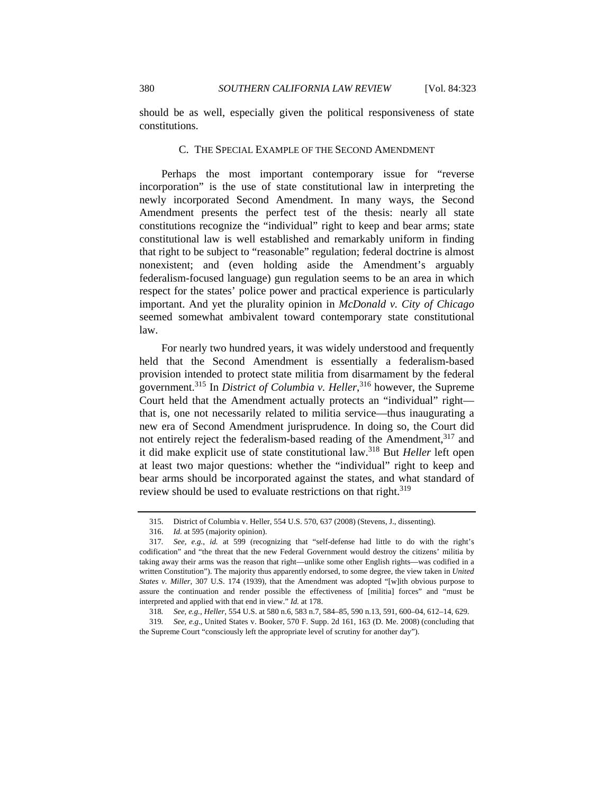should be as well, especially given the political responsiveness of state constitutions.

#### C. THE SPECIAL EXAMPLE OF THE SECOND AMENDMENT

Perhaps the most important contemporary issue for "reverse incorporation" is the use of state constitutional law in interpreting the newly incorporated Second Amendment. In many ways, the Second Amendment presents the perfect test of the thesis: nearly all state constitutions recognize the "individual" right to keep and bear arms; state constitutional law is well established and remarkably uniform in finding that right to be subject to "reasonable" regulation; federal doctrine is almost nonexistent; and (even holding aside the Amendment's arguably federalism-focused language) gun regulation seems to be an area in which respect for the states' police power and practical experience is particularly important. And yet the plurality opinion in *McDonald v. City of Chicago* seemed somewhat ambivalent toward contemporary state constitutional law.

For nearly two hundred years, it was widely understood and frequently held that the Second Amendment is essentially a federalism-based provision intended to protect state militia from disarmament by the federal government.315 In *District of Columbia v. Heller*, 316 however, the Supreme Court held that the Amendment actually protects an "individual" right that is, one not necessarily related to militia service—thus inaugurating a new era of Second Amendment jurisprudence. In doing so, the Court did not entirely reject the federalism-based reading of the Amendment,<sup>317</sup> and it did make explicit use of state constitutional law.318 But *Heller* left open at least two major questions: whether the "individual" right to keep and bear arms should be incorporated against the states, and what standard of review should be used to evaluate restrictions on that right.<sup>319</sup>

 <sup>315.</sup> District of Columbia v. Heller, 554 U.S. 570, 637 (2008) (Stevens, J., dissenting).

 <sup>316.</sup> *Id.* at 595 (majority opinion).

<sup>317</sup>*. See, e.g.*, *id.* at 599 (recognizing that "self-defense had little to do with the right's codification" and "the threat that the new Federal Government would destroy the citizens' militia by taking away their arms was the reason that right—unlike some other English rights—was codified in a written Constitution"). The majority thus apparently endorsed, to some degree, the view taken in *United States v. Miller*, 307 U.S. 174 (1939), that the Amendment was adopted "[w]ith obvious purpose to assure the continuation and render possible the effectiveness of [militia] forces" and "must be interpreted and applied with that end in view." *Id.* at 178.

<sup>318</sup>*. See, e.g.*, *Heller*, 554 U.S. at 580 n.6, 583 n.7, 584–85, 590 n.13, 591, 600–04, 612–14, 629.

<sup>319</sup>*. See, e.g.*, United States v. Booker, 570 F. Supp. 2d 161, 163 (D. Me. 2008) (concluding that the Supreme Court "consciously left the appropriate level of scrutiny for another day").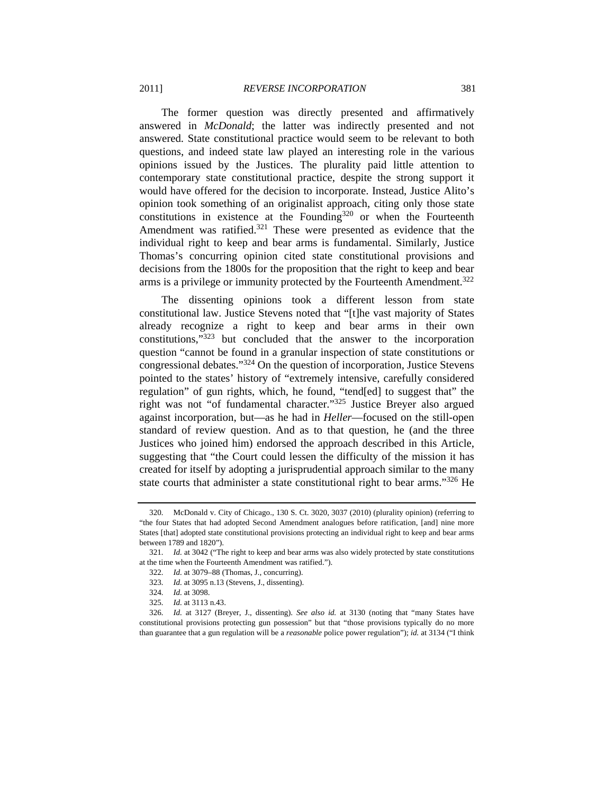The former question was directly presented and affirmatively answered in *McDonald*; the latter was indirectly presented and not answered. State constitutional practice would seem to be relevant to both questions, and indeed state law played an interesting role in the various opinions issued by the Justices. The plurality paid little attention to contemporary state constitutional practice, despite the strong support it would have offered for the decision to incorporate. Instead, Justice Alito's opinion took something of an originalist approach, citing only those state constitutions in existence at the Founding $320$  or when the Fourteenth Amendment was ratified.<sup>321</sup> These were presented as evidence that the individual right to keep and bear arms is fundamental. Similarly, Justice Thomas's concurring opinion cited state constitutional provisions and decisions from the 1800s for the proposition that the right to keep and bear arms is a privilege or immunity protected by the Fourteenth Amendment.<sup>322</sup>

The dissenting opinions took a different lesson from state constitutional law. Justice Stevens noted that "[t]he vast majority of States already recognize a right to keep and bear arms in their own constitutions,"323 but concluded that the answer to the incorporation question "cannot be found in a granular inspection of state constitutions or congressional debates."324 On the question of incorporation, Justice Stevens pointed to the states' history of "extremely intensive, carefully considered regulation" of gun rights, which, he found, "tend[ed] to suggest that" the right was not "of fundamental character."325 Justice Breyer also argued against incorporation, but—as he had in *Heller*—focused on the still-open standard of review question. And as to that question, he (and the three Justices who joined him) endorsed the approach described in this Article, suggesting that "the Court could lessen the difficulty of the mission it has created for itself by adopting a jurisprudential approach similar to the many state courts that administer a state constitutional right to bear arms."<sup>326</sup> He

<sup>320</sup>*.* McDonald v. City of Chicago., 130 S. Ct. 3020, 3037 (2010) (plurality opinion) (referring to "the four States that had adopted Second Amendment analogues before ratification, [and] nine more States [that] adopted state constitutional provisions protecting an individual right to keep and bear arms between 1789 and 1820").

<sup>321</sup>*. Id.* at 3042 ("The right to keep and bear arms was also widely protected by state constitutions at the time when the Fourteenth Amendment was ratified.").

<sup>322</sup>*. Id.* at 3079–88 (Thomas, J., concurring).

<sup>323</sup>*. Id.* at 3095 n.13 (Stevens, J., dissenting).

<sup>324</sup>*. Id.* at 3098.

<sup>325</sup>*. Id.* at 3113 n.43.

<sup>326</sup>*. Id.* at 3127 (Breyer, J., dissenting). *See also id.* at 3130 (noting that "many States have constitutional provisions protecting gun possession" but that "those provisions typically do no more than guarantee that a gun regulation will be a *reasonable* police power regulation"); *id.* at 3134 ("I think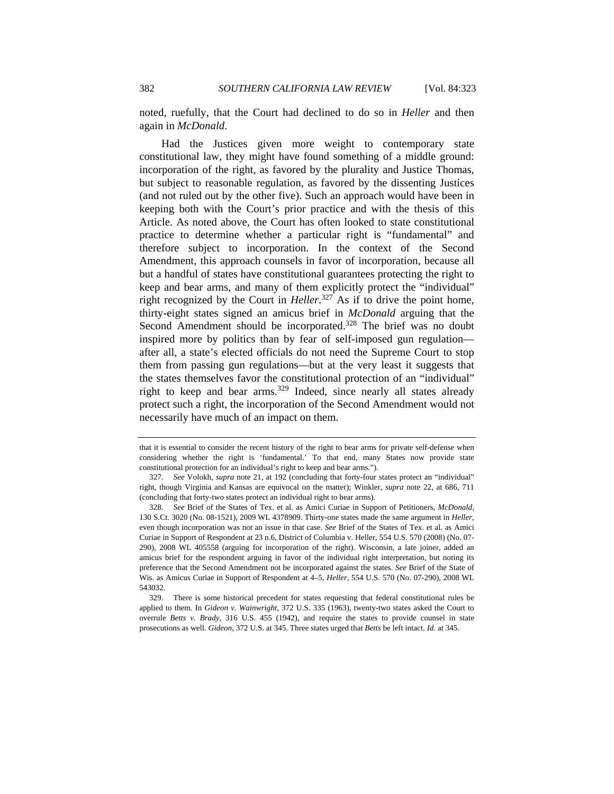noted, ruefully, that the Court had declined to do so in *Heller* and then again in *McDonald*.

Had the Justices given more weight to contemporary state constitutional law, they might have found something of a middle ground: incorporation of the right, as favored by the plurality and Justice Thomas, but subject to reasonable regulation, as favored by the dissenting Justices (and not ruled out by the other five). Such an approach would have been in keeping both with the Court's prior practice and with the thesis of this Article. As noted above, the Court has often looked to state constitutional practice to determine whether a particular right is "fundamental" and therefore subject to incorporation. In the context of the Second Amendment, this approach counsels in favor of incorporation, because all but a handful of states have constitutional guarantees protecting the right to keep and bear arms, and many of them explicitly protect the "individual" right recognized by the Court in *Heller*. 327 As if to drive the point home, thirty-eight states signed an amicus brief in *McDonald* arguing that the Second Amendment should be incorporated.<sup>328</sup> The brief was no doubt inspired more by politics than by fear of self-imposed gun regulation after all, a state's elected officials do not need the Supreme Court to stop them from passing gun regulations—but at the very least it suggests that the states themselves favor the constitutional protection of an "individual" right to keep and bear arms.<sup>329</sup> Indeed, since nearly all states already protect such a right, the incorporation of the Second Amendment would not necessarily have much of an impact on them.

that it is essential to consider the recent history of the right to bear arms for private self-defense when considering whether the right is 'fundamental.' To that end, many States now provide state constitutional protection for an individual's right to keep and bear arms.").

<sup>327</sup>*. See* Volokh, *supra* note 21, at 192 (concluding that forty-four states protect an "individual" right, though Virginia and Kansas are equivocal on the matter); Winkler, *supra* note 22, at 686, 711 (concluding that forty-two states protect an individual right to bear arms).

 <sup>328.</sup> *See* Brief of the States of Tex. et al. as Amici Curiae in Support of Petitioners, *McDonald*, 130 S.Ct. 3020 (No. 08-1521), 2009 WL 4378909. Thirty-one states made the same argument in *Heller*, even though incorporation was not an issue in that case. *See* Brief of the States of Tex. et al. as Amici Curiae in Support of Respondent at 23 n.6, District of Columbia v. Heller, 554 U.S. 570 (2008) (No. 07- 290), 2008 WL 405558 (arguing for incorporation of the right). Wisconsin, a late joiner, added an amicus brief for the respondent arguing in favor of the individual right interpretation, but noting its preference that the Second Amendment not be incorporated against the states. *See* Brief of the State of Wis. as Amicus Curiae in Support of Respondent at 4–5, *Heller*, 554 U.S. 570 (No. 07-290), 2008 WL 543032.

 <sup>329.</sup> There is some historical precedent for states requesting that federal constitutional rules be applied to them. In *Gideon v. Wainwright*, 372 U.S. 335 (1963), twenty-two states asked the Court to overrule *Betts v. Brady*, 316 U.S. 455 (1942), and require the states to provide counsel in state prosecutions as well. *Gideon*, 372 U.S. at 345. Three states urged that *Betts* be left intact. *Id.* at 345.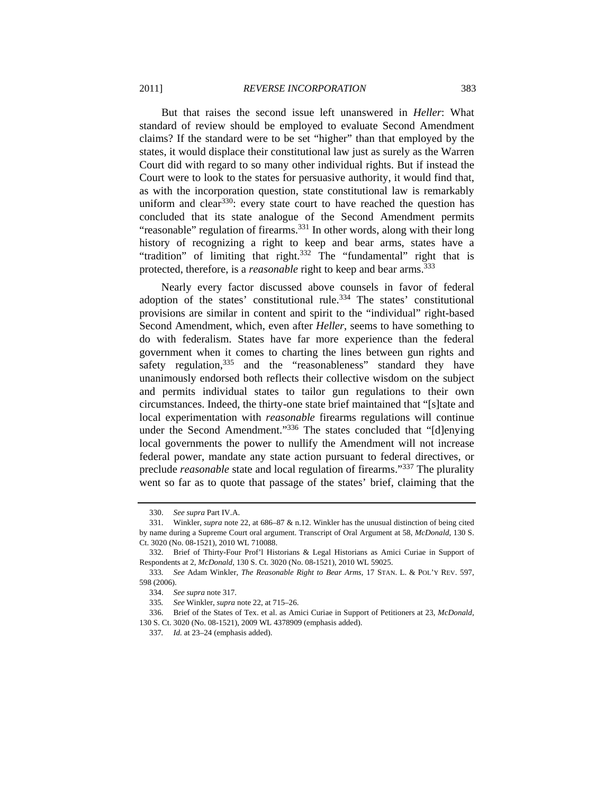But that raises the second issue left unanswered in *Heller*: What standard of review should be employed to evaluate Second Amendment claims? If the standard were to be set "higher" than that employed by the states, it would displace their constitutional law just as surely as the Warren Court did with regard to so many other individual rights. But if instead the Court were to look to the states for persuasive authority, it would find that, as with the incorporation question, state constitutional law is remarkably uniform and clear<sup>330</sup>: every state court to have reached the question has concluded that its state analogue of the Second Amendment permits "reasonable" regulation of firearms. $^{331}$  In other words, along with their long history of recognizing a right to keep and bear arms, states have a "tradition" of limiting that right.332 The "fundamental" right that is protected, therefore, is a *reasonable* right to keep and bear arms.<sup>333</sup>

Nearly every factor discussed above counsels in favor of federal adoption of the states' constitutional rule.<sup>334</sup> The states' constitutional provisions are similar in content and spirit to the "individual" right-based Second Amendment, which, even after *Heller*, seems to have something to do with federalism. States have far more experience than the federal government when it comes to charting the lines between gun rights and safety regulation,<sup>335</sup> and the "reasonableness" standard they have unanimously endorsed both reflects their collective wisdom on the subject and permits individual states to tailor gun regulations to their own circumstances. Indeed, the thirty-one state brief maintained that "[s]tate and local experimentation with *reasonable* firearms regulations will continue under the Second Amendment."<sup>336</sup> The states concluded that "[d]enying local governments the power to nullify the Amendment will not increase federal power, mandate any state action pursuant to federal directives, or preclude *reasonable* state and local regulation of firearms."337 The plurality went so far as to quote that passage of the states' brief, claiming that the

 <sup>330.</sup> *See supra* Part IV.A.

 <sup>331.</sup> Winkler, *supra* note 22, at 686–87 & n.12. Winkler has the unusual distinction of being cited by name during a Supreme Court oral argument. Transcript of Oral Argument at 58, *McDonald*, 130 S. Ct. 3020 (No. 08-1521), 2010 WL 710088.

 <sup>332.</sup> Brief of Thirty-Four Prof'l Historians & Legal Historians as Amici Curiae in Support of Respondents at 2, *McDonald*, 130 S. Ct. 3020 (No. 08-1521), 2010 WL 59025.

<sup>333</sup>*. See* Adam Winkler, *The Reasonable Right to Bear Arms*, 17 STAN. L. & POL'Y REV. 597, 598 (2006).

 <sup>334.</sup> *See supra* note 317.

<sup>335</sup>*. See* Winkler, *supra* note 22, at 715–26.

 <sup>336.</sup> Brief of the States of Tex. et al. as Amici Curiae in Support of Petitioners at 23, *McDonald*, 130 S. Ct. 3020 (No. 08-1521), 2009 WL 4378909 (emphasis added).

<sup>337</sup>*. Id.* at 23–24 (emphasis added).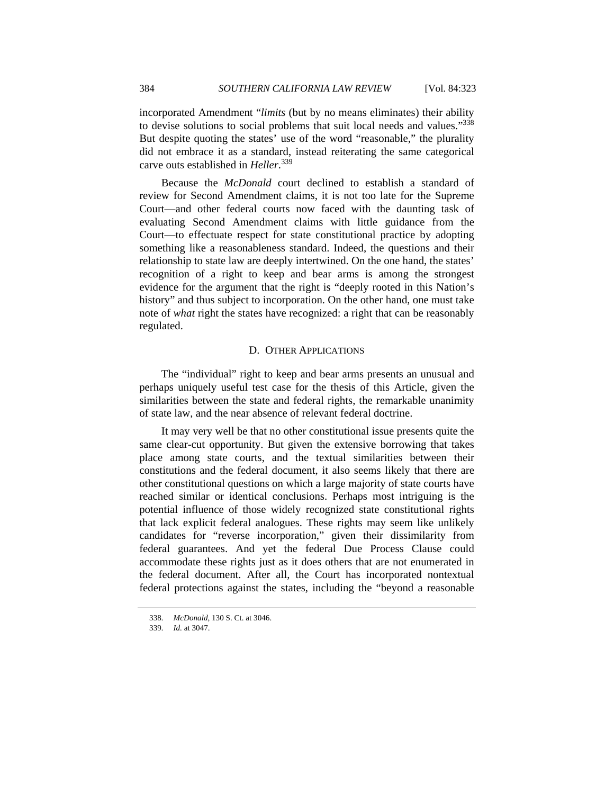incorporated Amendment "*limits* (but by no means eliminates) their ability to devise solutions to social problems that suit local needs and values."338 But despite quoting the states' use of the word "reasonable," the plurality did not embrace it as a standard, instead reiterating the same categorical carve outs established in *Heller*. 339

Because the *McDonald* court declined to establish a standard of review for Second Amendment claims, it is not too late for the Supreme Court—and other federal courts now faced with the daunting task of evaluating Second Amendment claims with little guidance from the Court—to effectuate respect for state constitutional practice by adopting something like a reasonableness standard. Indeed, the questions and their relationship to state law are deeply intertwined. On the one hand, the states' recognition of a right to keep and bear arms is among the strongest evidence for the argument that the right is "deeply rooted in this Nation's history" and thus subject to incorporation. On the other hand, one must take note of *what* right the states have recognized: a right that can be reasonably regulated.

#### D. OTHER APPLICATIONS

The "individual" right to keep and bear arms presents an unusual and perhaps uniquely useful test case for the thesis of this Article, given the similarities between the state and federal rights, the remarkable unanimity of state law, and the near absence of relevant federal doctrine.

It may very well be that no other constitutional issue presents quite the same clear-cut opportunity. But given the extensive borrowing that takes place among state courts, and the textual similarities between their constitutions and the federal document, it also seems likely that there are other constitutional questions on which a large majority of state courts have reached similar or identical conclusions. Perhaps most intriguing is the potential influence of those widely recognized state constitutional rights that lack explicit federal analogues. These rights may seem like unlikely candidates for "reverse incorporation," given their dissimilarity from federal guarantees. And yet the federal Due Process Clause could accommodate these rights just as it does others that are not enumerated in the federal document. After all, the Court has incorporated nontextual federal protections against the states, including the "beyond a reasonable

<sup>338</sup>*. McDonald*, 130 S. Ct. at 3046.

<sup>339</sup>*. Id.* at 3047.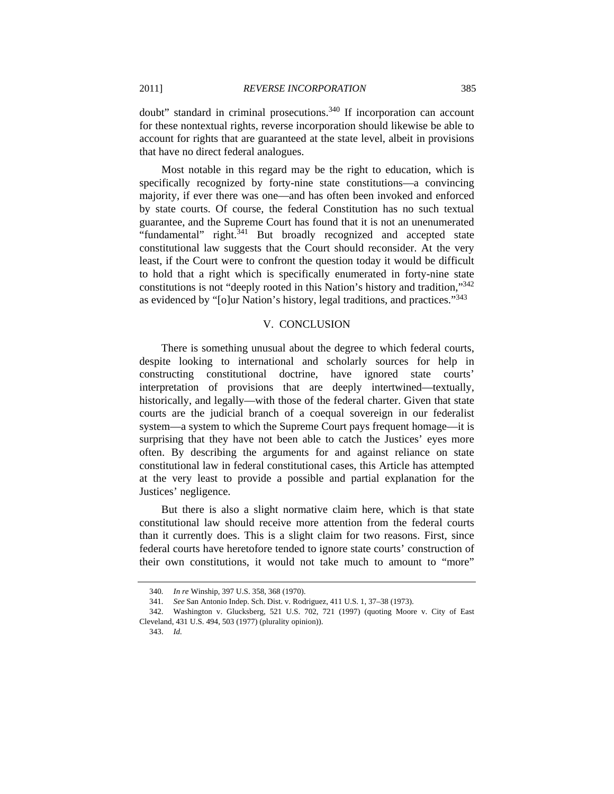doubt" standard in criminal prosecutions.<sup>340</sup> If incorporation can account for these nontextual rights, reverse incorporation should likewise be able to account for rights that are guaranteed at the state level, albeit in provisions that have no direct federal analogues.

Most notable in this regard may be the right to education, which is specifically recognized by forty-nine state constitutions—a convincing majority, if ever there was one—and has often been invoked and enforced by state courts. Of course, the federal Constitution has no such textual guarantee, and the Supreme Court has found that it is not an unenumerated "fundamental" right.341 But broadly recognized and accepted state constitutional law suggests that the Court should reconsider. At the very least, if the Court were to confront the question today it would be difficult to hold that a right which is specifically enumerated in forty-nine state constitutions is not "deeply rooted in this Nation's history and tradition,"342 as evidenced by "[o]ur Nation's history, legal traditions, and practices."<sup>343</sup>

#### V. CONCLUSION

There is something unusual about the degree to which federal courts, despite looking to international and scholarly sources for help in constructing constitutional doctrine, have ignored state courts' interpretation of provisions that are deeply intertwined—textually, historically, and legally—with those of the federal charter. Given that state courts are the judicial branch of a coequal sovereign in our federalist system—a system to which the Supreme Court pays frequent homage—it is surprising that they have not been able to catch the Justices' eyes more often. By describing the arguments for and against reliance on state constitutional law in federal constitutional cases, this Article has attempted at the very least to provide a possible and partial explanation for the Justices' negligence.

But there is also a slight normative claim here, which is that state constitutional law should receive more attention from the federal courts than it currently does. This is a slight claim for two reasons. First, since federal courts have heretofore tended to ignore state courts' construction of their own constitutions, it would not take much to amount to "more"

343. *Id.*

<sup>340</sup>*. In re* Winship, 397 U.S. 358, 368 (1970).

<sup>341</sup>*. See* San Antonio Indep. Sch. Dist. v. Rodriguez, 411 U.S. 1, 37–38 (1973).

 <sup>342.</sup> Washington v. Glucksberg, 521 U.S. 702, 721 (1997) (quoting Moore v. City of East Cleveland, 431 U.S. 494, 503 (1977) (plurality opinion)).